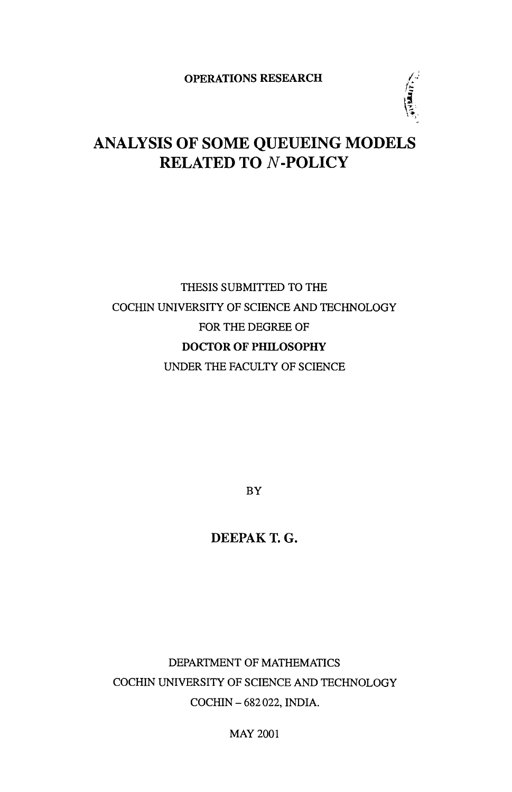OPERATIONS RESEARCH

信息

# ANALYSIS OF SOME QUEUEING MODELS RELATED TO N-POLICY

# THESIS SUBMITTED TO THE COCHIN UNIVERSITY OF SCIENCE AND TECHNOLOGY FOR THE DEGREE OF DOCTOR OF PHILOSOPHY UNDER THE FACULTY OF SCIENCE

BY

DEEPAK T. G.

DEPARTMENT OF MATHEMATICS COCHIN UNIVERSITY OF SCIENCE AND TECHNOLOGY COCHIN - 682 022, INDIA.

MAY 2001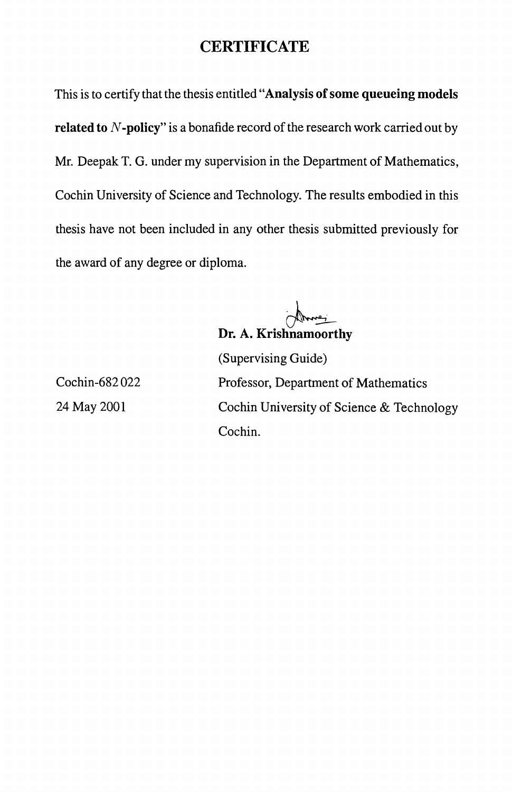# **CERTIFICATE**

This is to certify that the thesis entitled "Analysis **of** some **queueing models related to N-policy**" is a bonafide record of the research work carried out by Mr. Deepak T. G. under my supervision in the Department of Mathematics, Cochin University of Science and Technology. The results embodied in this thesis have not been included in any other thesis submitted previously for the award of any degree or diploma.

h-- **Dr. A. Krishnamoorthy** 

Cochin-682 022 24 May 2001

(Supervising Guide) Professor, Department of Mathematics Cochin University of Science & Technology Cochin.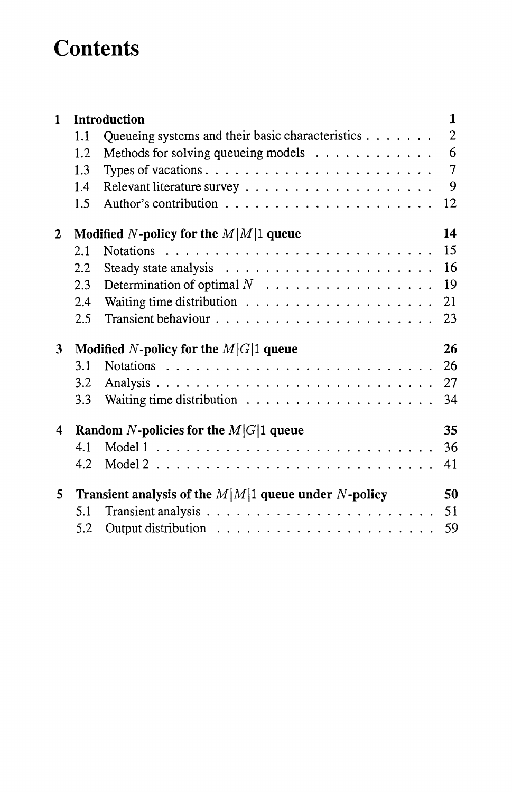# **Contents**

| 1              |                                                        | <b>Introduction</b>                                                         | $\mathbf{1}$   |  |  |  |  |
|----------------|--------------------------------------------------------|-----------------------------------------------------------------------------|----------------|--|--|--|--|
|                | 1.1                                                    | Queueing systems and their basic characteristics $\dots \dots$              | $\overline{2}$ |  |  |  |  |
|                | 1.2                                                    | Methods for solving queueing models                                         | 6              |  |  |  |  |
|                | 1.3                                                    | Types of vacations. $\dots \dots \dots \dots \dots \dots \dots \dots \dots$ | $\overline{7}$ |  |  |  |  |
|                | 1.4                                                    |                                                                             | 9              |  |  |  |  |
|                | 1.5                                                    |                                                                             | 12             |  |  |  |  |
| $\mathbf 2$    |                                                        | Modified N-policy for the $M M 1$ queue                                     | 14             |  |  |  |  |
|                | 2.1                                                    |                                                                             | 15             |  |  |  |  |
|                | 2.2                                                    |                                                                             | 16             |  |  |  |  |
|                | 2.3                                                    |                                                                             | 19             |  |  |  |  |
|                | 2.4                                                    | Waiting time distribution $\ldots \ldots \ldots \ldots \ldots \ldots$       | 21             |  |  |  |  |
|                | 2.5                                                    |                                                                             | 23             |  |  |  |  |
| 3 <sup>1</sup> |                                                        | Modified N-policy for the $M G 1$ queue                                     | 26             |  |  |  |  |
|                | 3.1                                                    |                                                                             | 26             |  |  |  |  |
|                | 3.2                                                    |                                                                             | 27             |  |  |  |  |
|                | 3.3                                                    |                                                                             | 34             |  |  |  |  |
| 4              | Random N-policies for the $M G 1$ queue                |                                                                             |                |  |  |  |  |
|                | 4.1                                                    |                                                                             | 36             |  |  |  |  |
|                | 4.2                                                    |                                                                             | 41             |  |  |  |  |
| $\mathbf{5}$   | Transient analysis of the $M M 1$ queue under N-policy |                                                                             |                |  |  |  |  |
|                | 5.1                                                    |                                                                             | 51             |  |  |  |  |
|                | 5.2                                                    |                                                                             | 59             |  |  |  |  |
|                |                                                        |                                                                             |                |  |  |  |  |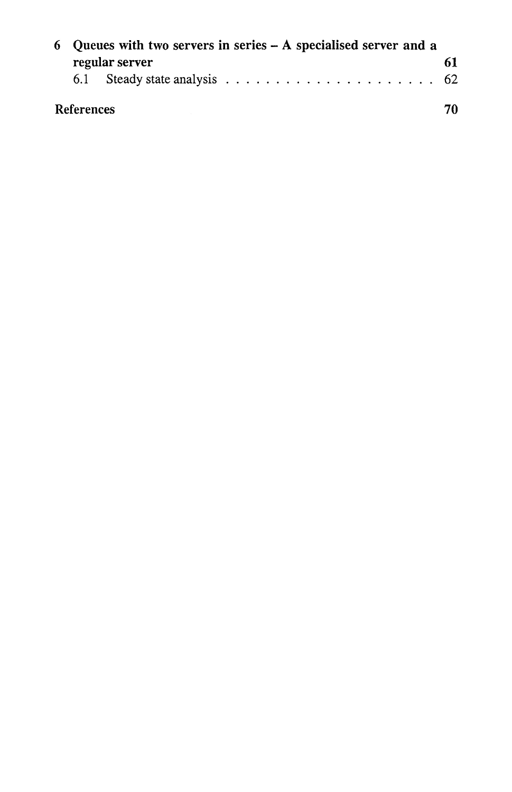| 6 Oueues with two servers in series $- A$ specialised server and a |                |     |  |  |  |
|--------------------------------------------------------------------|----------------|-----|--|--|--|
|                                                                    | regular server | 61  |  |  |  |
|                                                                    |                |     |  |  |  |
| <b>References</b>                                                  |                | 70. |  |  |  |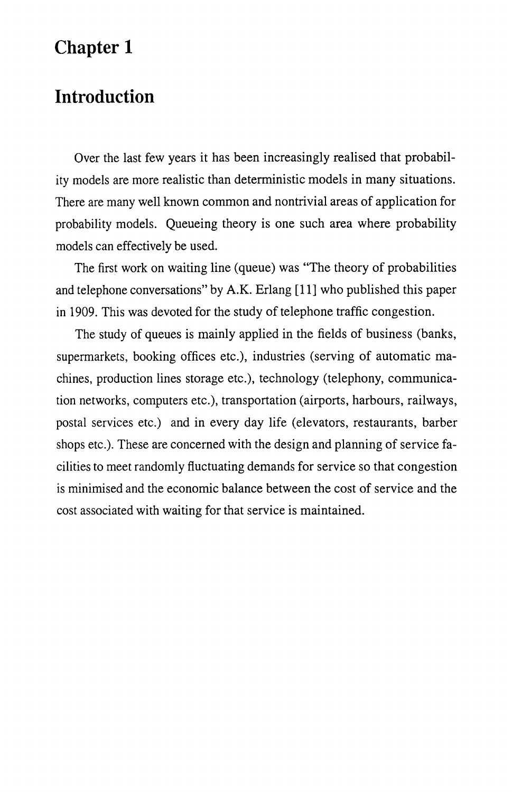# **Chapter 1**

# **Introduction**

Over the last few years it has been increasingly realised that probability models are more realistic than deterministic models in many situations. There are many well known common and nontrivial areas of application for probability models. Queueing theory is one such area where probability models can effectively be used.

The first work on waiting line (queue) was "The theory of probabilities and telephone conversations" by A.K. Erlang [11] who published this paper in 1909. This was devoted for the study of telephone traffic congestion.

The study of queues is mainly applied in the fields of business (banks, supermarkets, booking offices etc.), industries (serving of automatic machines, production lines storage etc.), technology (telephony, communication networks, computers etc.), transportation (airports, harbours, railways, postal services etc.) and in every day life (elevators, restaurants, barber shops etc.). These are concerned with the design and planning of service facilities to meet randomly fluctuating demands for service so that congestion is minimised and the economic balance between the cost of service and the cost associated with waiting for that service is maintained.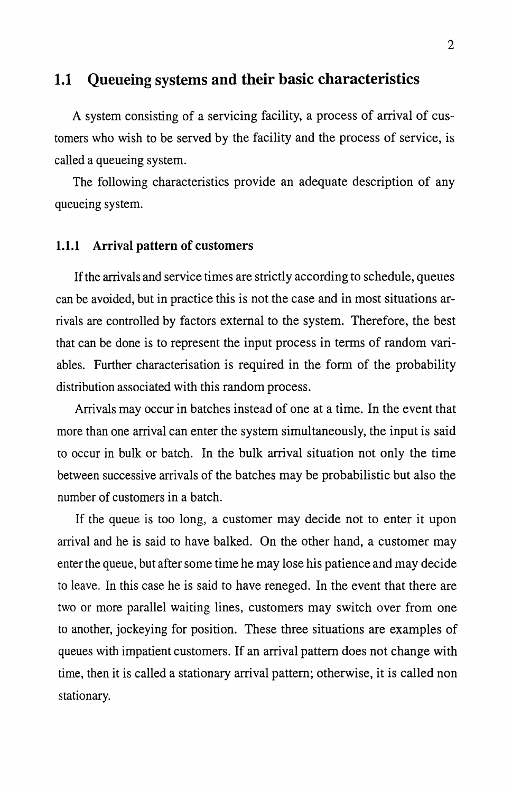### 1.1 Queueing systems and their basic characteristics

A system consisting of a servicing facility, a process of arrival of customers who wish to be served by the facility and the process of service, is called a queueing system.

The following characteristics provide an adequate description of any queueing system.

#### 1.1.1 Arrival pattern of customers

If the arrivals and service times are strictly according to schedule, queues can be avoided, but in practice this is not the case and in most situations arrivals are controlled by factors external to the system. Therefore, the best that can be done is to represent the input process in terms of random variables. Further characterisation is required in the form of the probability distribution associated with this random process.

Arrivals may occur in batches instead of one at a time. In the event that more than one arrival can enter the system simultaneously, the input is said to occur in bulk or batch. In the bulk arrival situation not only the time between successive arrivals of the batches may be probabilistic but also the number of customers in a batch.

If the queue is too long, a customer may decide not to enter it upon arrival and he is said to have balked. On the other hand, a customer may enter the queue, but after some time he may lose his patience and may decide to leave. In this case he is said to have reneged. In the event that there are two or more parallel waiting lines, customers may switch over from one to another, jockeying for position. These three situations are examples of queues with impatient customers. If an arrival pattern does not change with time, then it is called a stationary arrival pattern; otherwise, it is called non stationary.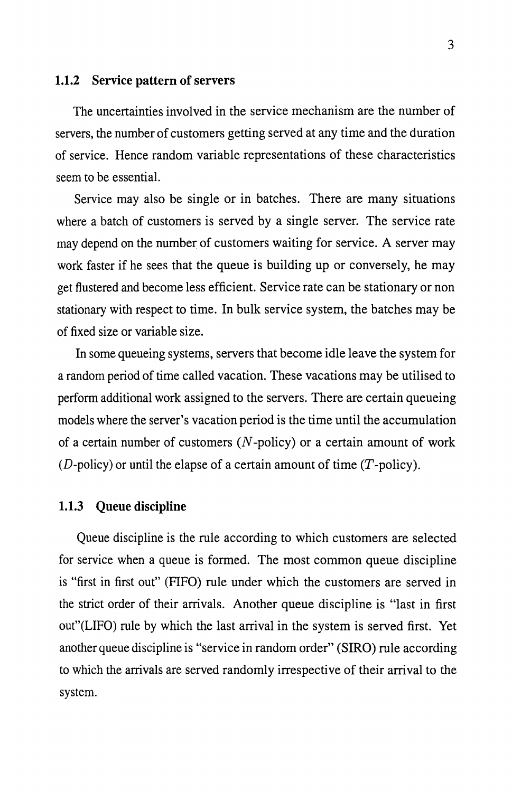#### 1.1.2 Service pattern of servers

The uncertainties involved in the service mechanism are the number of servers, the number of customers getting served at any time and the duration of service. Hence random variable representations of these characteristics seem to be essential.

Service may also be single or in batches. There are many situations where a batch of customers is served by a single server. The service rate may depend on the number of customers waiting for service. A server may work faster if he sees that the queue is building up or conversely, he may get flustered and become less efficient. Service rate can be stationary or non stationary with respect to time. In bulk service system, the batches may be of fixed size or variable size.

In some queueing systems, servers that become idle leave the system for a random period of time called vacation. These vacations may be utilised to perform additional work assigned to the servers. There are certain queueing models where the server's vacation period is the time until the accumulation of a certain number of customers  $(N$ -policy) or a certain amount of work (D-policy) or until the elapse of a certain amount of time  $(T\text{-policy})$ .

#### 1.1.3 Queue discipline

Queue discipline is the rule according to which customers are selected for service when a queue is formed. The most common queue discipline is "first in first out" (FIFO) rule under which the customers are served in the strict order of their arrivals. Another queue discipline is "last in first out"(LIFO) rule by which the last arrival in the system is served first. Yet another queue discipline is "service in random order" (SIRO) rule according to which the arrivals are served randomly irrespective of their arrival to the system.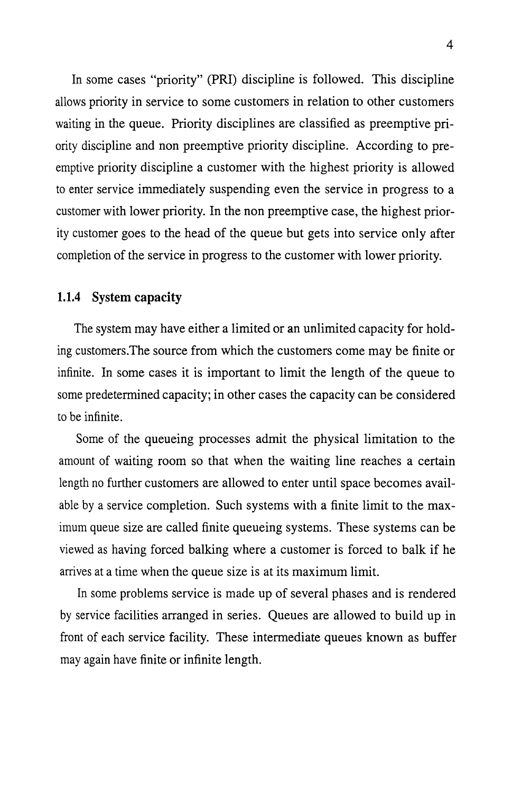In some cases "priority" (PRI) discipline is followed. This discipline allows priority in service to some customers in relation to other customers waiting in the queue. Priority disciplines are classified as preemptive priority discipline and non preemptive priority discipline. According to preemptive priority discipline a customer with the highest priority is allowed to enter service immediately suspending even the service in progress to a customer with lower priority. In the non preemptive case, the highest priority customer goes to the head of the queue but gets into service only after completion of the service in progress to the customer with lower priority.

#### 1.1.4 System capacity

The system may have either a limited or an unlimited capacity for holding customers.The source from which the customers come may be finite or infinite. In some cases it is important to limit the length of the queue to some predetermined capacity; in other cases the capacity can be considered to be infinite.

Some of the queueing processes admit the physical limitation to the amount of waiting room so that when the waiting line reaches a certain length no further customers are allowed to enter until space becomes available by a service completion. Such systems with a finite limit to the maximum queue size are called finite queueing systems. These systems can be viewed as having forced balking where a customer is forced to balk if he arrives at a time when the queue size is at its maximum limit.

In some problems service is made up of several phases and is rendered by service facilities arranged in series. Queues are allowed to build up in front of each service facility. These intermediate queues known as buffer may again have finite or infinite length.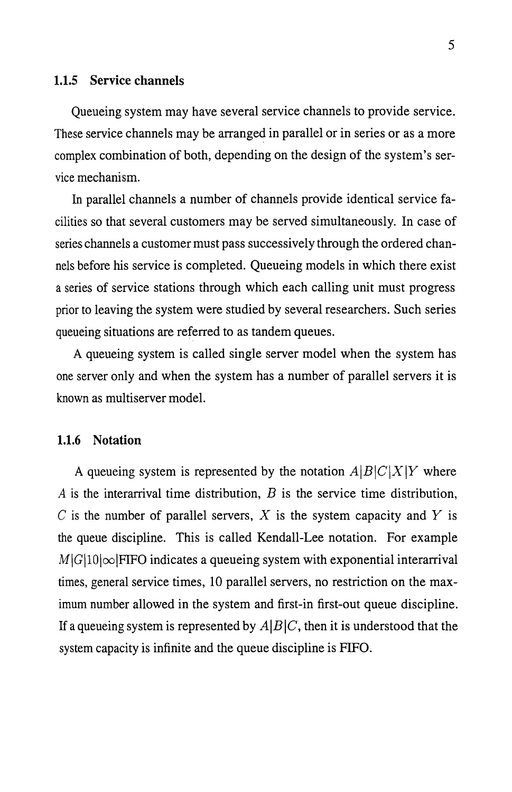#### 1.1.5 Service channels

Queueing system may have several service channels to provide service. These service channels may be arranged in parallel or in series or as a more complex combination of both, depending on the design of the system's service mechanism.

In parallel channels a number of channels provide identical service facilities so that several customers may be served simultaneously. In case of series channels a customer must pass successively through the ordered channels before his service is completed. Queueing models in which there exist a series of service stations through which each calling unit must progress prior to leaving the system were studied by several researchers. Such series queueing situations are referred to as tandem queues.

A queueing system is called single server model when the system has one server only and when the system has a number of parallel servers it is known as multiserver model.

#### 1.1.6 Notation

A queueing system is represented by the notation  $A|B|C|X|Y$  where *A* is the interarrival time distribution, *B* is the service time distribution, C is the number of parallel servers, X is the system capacity and Y is the queue discipline. This is called Kendall-Lee notation. For example  $M|G|10|\infty$  FIFO indicates a queueing system with exponential interarrival times, general service times, 10 parallel servers, no restriction on the maximum number allowed in the system and first-in first-out queue discipline. If a queueing system is represented by  $A|B|C$ , then it is understood that the system capacity is infinite and the queue discipline is FIFO.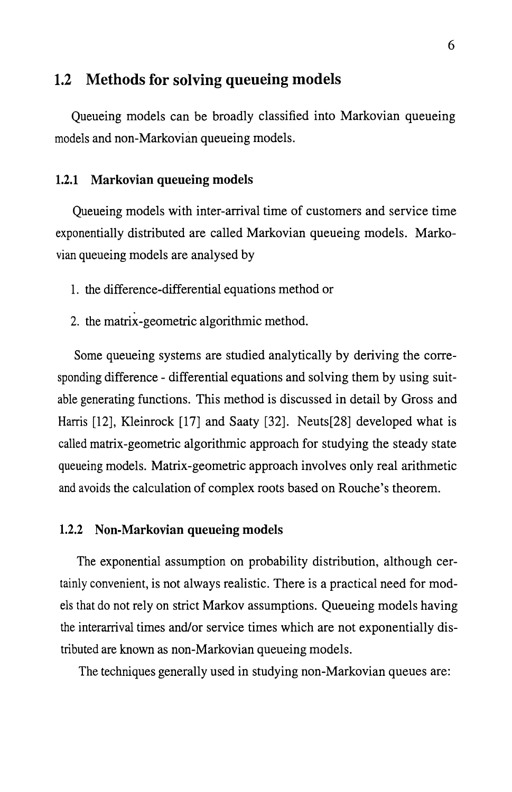### 1.2 Methods for solving queueing models

Queueing models can be broadly classified into Markovian queueing models and non-Markovian queueing models.

#### 1.2.1 Markovian queueing models

Queueing models with inter-arrival time of customers and service time exponentially distributed are called Markovian queueing models. Markovian queueing models are analysed by

- 1. the difference-differential equations method or
- 2. the matrix-geometric algorithmic method.

Some queueing systems are studied analytically by deriving the corresponding difference - differential equations and solving them by using suitable generating functions. This method is discussed in detail by Gross and Harris [12], Kleinrock [17] and Saaty [32]. Neuts[28] developed what is called matrix-geometric algorithmic approach for studying the steady state queueing models. Matrix-geometric approach involves only real arithmetic and avoids the calculation of complex roots based on Rouche's theorem.

#### 1.2.2 Non-Markovian queueing models

The exponential assumption on probability distribution, although certainly convenient, is not always realistic. There is a practical need for models that do not rely on strict Markov assumptions. Queueing models having the interarrival times and/or service times which are not exponentially distributed are known as non-Markovian queueing models.

The techniques generally used in studying non-Markovian queues are: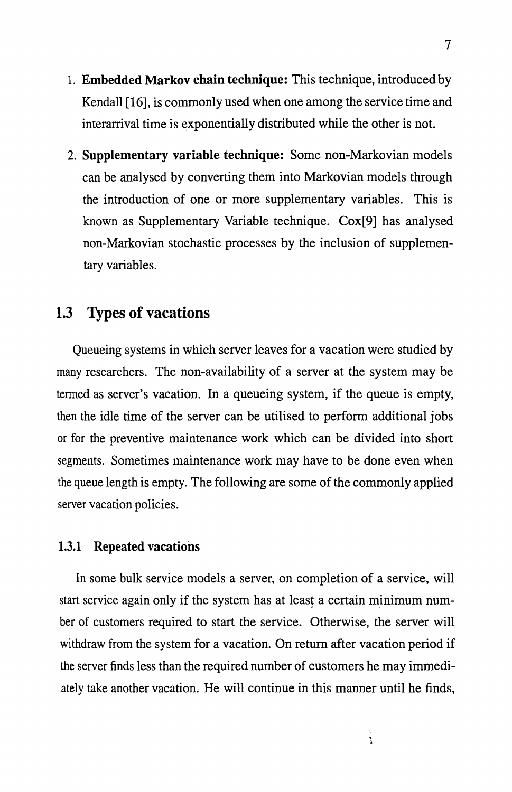- 1. Embedded Markov chain technique: This technique, introduced by Kendall [16], is commonly used when one among the service time and interarrival time is exponentially distributed while the other is not.
- 2. Supplementary variable technique: Some non-Markovian models can be analysed by converting them into Markovian models through the introduction of one or more supplementary variables. This is known as Supplementary Variable technique. Cox[9] has analysed non-Markovian stochastic processes by the inclusion of supplementary variables.

### 1.3 Types of vacations

Queueing systems in which server leaves for a vacation were studied by many researchers. The non-availability of a server at the system may be termed as server's vacation. In a queueing system, if the queue is empty, then the idle time of the server can be utilised to perform additional jobs or for the preventive maintenance work which can be divided into short segments. Sometimes maintenance work may have to be done even when the queue length is empty. The following are some of the commonly applied server vacation policies.

#### 1.3.1 Repeated vacations

In some bulk service models a server, on completion of a service, will start service again only if the system has at least a certain minimum number of customers required to start the service. Otherwise, the server will withdraw from the system for a vacation. On return after vacation period if the server finds less than the required number of customers he may immediately take another vacation. He will continue in this manner until he finds,

 $\frac{1}{3}$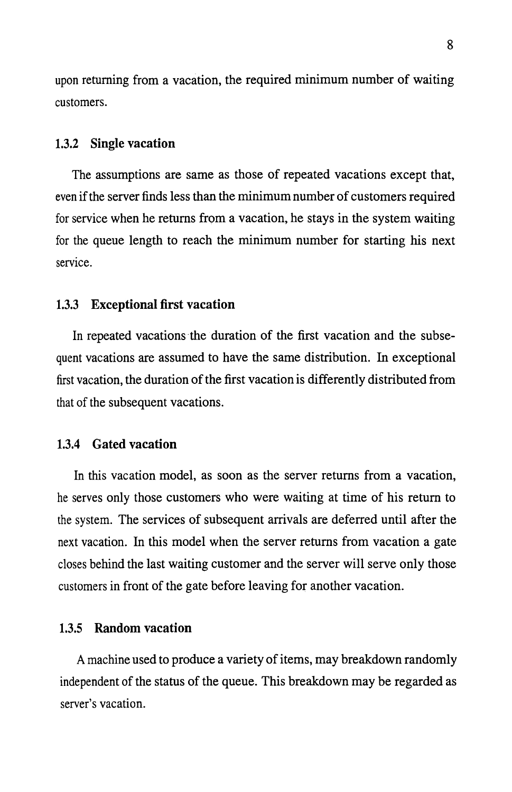upon returning from a vacation, the required minimum number of waiting customers.

#### 1.3.2 Single vacation

The assumptions are same as those of repeated vacations except that, even if the server finds less than the minimum number of customers required for service when he returns from a vacation, he stays in the system waiting for the queue length to reach the minimum number for starting his next service.

#### 1.3.3 Exceptional first vacation

In repeated vacations the duration of the first vacation and the subsequent vacations are assumed to have the same distribution. In exceptional first vacation, the duration of the first vacation is differently distributed from that of the subsequent vacations.

#### 1.3.4 Gated vacation

In this vacation model, as soon as the server returns from a vacation, he serves only those customers who were waiting at time of his return to the system. The services of subsequent arrivals are deferred until after the next vacation. In this model when the server returns from vacation a gate closes behind the last waiting customer and the server will serve only those customers in front of the gate before leaving for another vacation.

#### 1.3.5 Random vacation

A machine used to produce a variety of items, may breakdown randomly independent of the status of the queue. This breakdown may be regarded as server's vacation.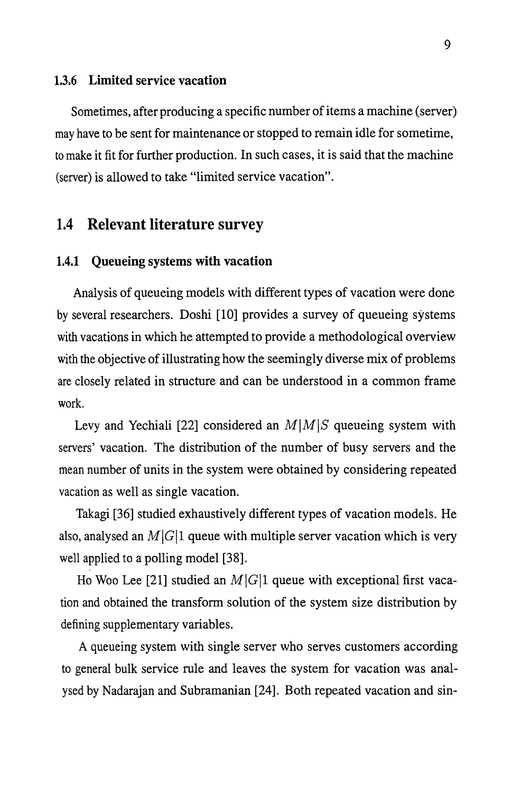#### 1.3.6 Limited service vacation

Sometimes, after producing a specific number of items a machine ( server) may have to be sent for maintenance or stopped to remain idle for sometime, to make it fit for further production. In such cases, it is said that the machine (server) is allowed to take "limited service vacation".

### 1.4 Relevant literature survey

#### 1.4.1 Queueing systems with vacation

Analysis of queueing models with different types of vacation were done by several researchers. Doshi [10] provides a survey of queueing systems with vacations in which he attempted to provide a methodological overview with the objective of illustrating how the seemingly diverse mix of problems are closely related in structure and can be understood in a common frame work.

Levy and Yechiali [22] considered an  $M|M|S$  queueing system with servers' vacation. The distribution of the number of busy servers and the mean number of units in the system were obtained by considering repeated vacation as well as single vacation.

Takagi [36] studied exhaustively different types of vacation models. He also, analysed an  $M|G|1$  queue with multiple server vacation which is very well applied to a polling model [38].

Ho Woo Lee [21] studied an  $M|G|1$  queue with exceptional first vacation and obtained the transform solution of the system size distribution by defining supplementary variables.

A queueing system with single server who serves customers according to general bulk service rule and leaves the system for vacation was analysed by Nadarajan and Subramanian [24]. Both repeated vacation and sin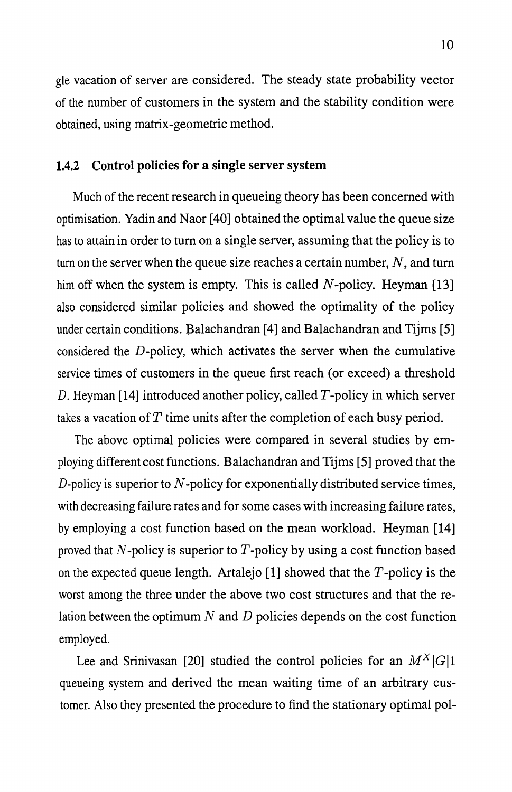gle vacation of server are considered. The steady state probability vector of the number of customers in the system and the stability condition were obtained, using matrix-geometric method.

#### 1.4.2 Control policies for a single server system

Much of the recent research in queueing theory has been concerned with optimisation. Yadin and Naor [40] obtained the optimal value the queue size has to attain in order to turn on a single server, assuming that the policy is to turn on the server when the queue size reaches a certain number,  $N$ , and turn him off when the system is empty. This is called N-policy. Heyman  $[13]$ also considered similar policies and showed the optimality of the policy under certain conditions. Balachandran [4] and Balachandran and Tijms [5] considered the D-policy, which activates the server when the cumulative service times of customers in the queue first reach (or exceed) a threshold D. Heyman [14] introduced another policy, called  $T$ -policy in which server takes a vacation of  $T$  time units after the completion of each busy period.

The above optimal policies were compared in several studies by employing different cost functions. Balachandran and Tijms [5] proved that the  $D$ -policy is superior to  $N$ -policy for exponentially distributed service times, with decreasing failure rates and for some cases with increasing failure rates, by employing a cost function based on the mean workload. Heyman [14] proved that  $N$ -policy is superior to  $T$ -policy by using a cost function based on the expected queue length. Artalejo [1] showed that the *T* -policy is the worst among the three under the above two cost structures and that the relation between the optimum  $N$  and  $D$  policies depends on the cost function employed.

Lee and Srinivasan [20] studied the control policies for an  $M^X|G|1$ queueing system and derived the mean waiting time of an arbitrary customer. Also they presented the procedure to find the stationary optimal pol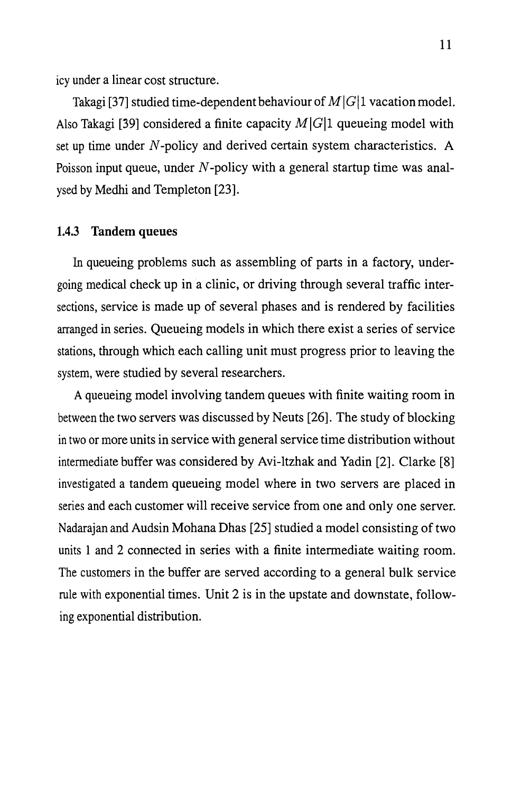icy under a linear cost structure.

Takagi [37] studied time-dependent behaviour of  $M|G|1$  vacation model. Also Takagi [39] considered a finite capacity  $M|G|1$  queueing model with set up time under N-policy and derived certain system characteristics. A Poisson input queue, under  $N$ -policy with a general startup time was analysed by Medhi and Templeton [23].

#### 1.4.3 Tandem queues

In queueing problems such as assembling of parts in a factory, undergoing medical check up in a clinic, or driving through several traffic intersections, service is made up of several phases and is rendered by facilities arranged in series. Queueing models in which there exist a series of service stations, through which each calling unit must progress prior to leaving the system, were studied by several researchers.

A queueing model involving tandem queues with finite waiting room in between the two servers was discussed by Neuts [26]. The study of blocking in two or more units in service with general service time distribution without intermediate buffer was considered by Avi-ltzhak and Yadin [2]. Clarke [8] investigated a tandem queueing model where in two servers are placed in series and each customer will receive service from one and only one server. Nadarajan and Audsin Mohana Dhas [25] studied a model consisting of two units land 2 connected in series with a finite intermediate waiting room. The customers in the buffer are served according to a general bulk service rule with exponential times. Unit 2 is in the upstate and downstate, following exponential distribution.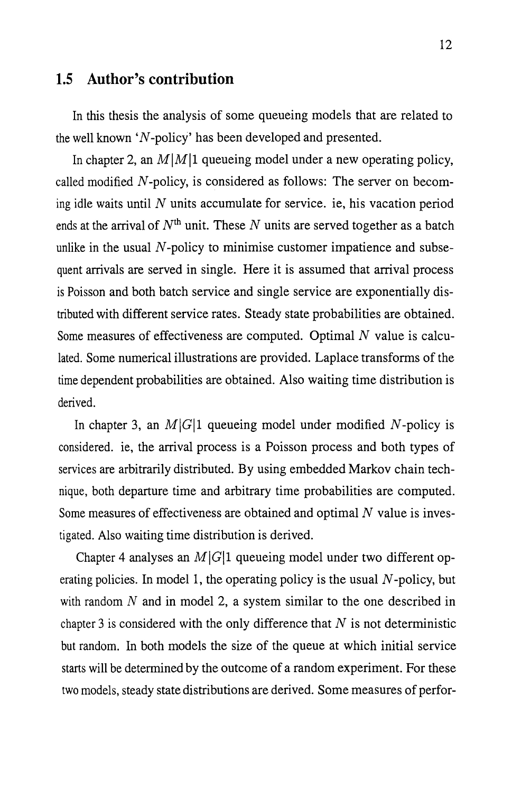### **1.5 Author's contribution**

In this thesis the analysis of some queueing models that are related to the well known ' $N$ -policy' has been developed and presented.

In chapter 2, an  $M|M|1$  queueing model under a new operating policy, called modified *N* -policy, is considered as follows: The server on becoming idle waits until  $N$  units accumulate for service. ie, his vacation period ends at the arrival of  $N<sup>th</sup>$  unit. These N units are served together as a batch unlike in the usual  $N$ -policy to minimise customer impatience and subsequent arrivals are served in single. Here it is assumed that arrival process is Poisson and both batch service and single service are exponentially distributed with different service rates. Steady state probabilities are obtained. Some measures of effectiveness are computed. Optimal  $N$  value is calculated. Some numerical illustrations are provided. Laplace transforms of the time dependent probabilities are obtained. Also waiting time distribution is derived.

In chapter 3, an  $M|G|1$  queueing model under modified N-policy is considered. ie, the arrival process is a Poisson process and both types of services are arbitrarily distributed. By using embedded Markov chain technique, both departure time and arbitrary time probabilities are computed. Some measures of effectiveness are obtained and optimal  $N$  value is investigated. Also waiting time distribution is derived.

Chapter 4 analyses an  $M|G|1$  queueing model under two different operating policies. In model 1, the operating policy is the usual  $N$ -policy, but with random  $N$  and in model 2, a system similar to the one described in chapter 3 is considered with the only difference that  $N$  is not deterministic but random. In both models the size of the queue at which initial service starts will be determined by the outcome of a random experiment. For these two models, steady state distributions are derived. Some measures of perfor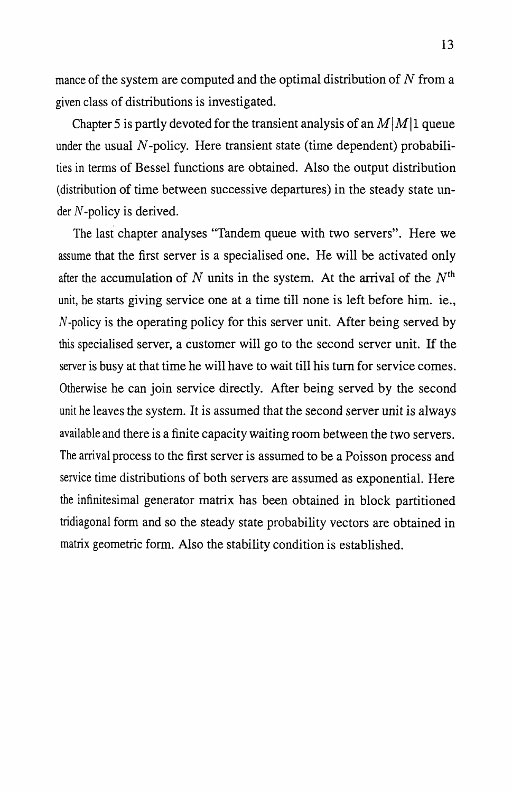mance of the system are computed and the optimal distribution of  $N$  from a given class of distributions is investigated.

Chapter 5 is partly devoted for the transient analysis of an  $M|M|1$  queue under the usual  $N$ -policy. Here transient state (time dependent) probabilities in terms of Bessel functions are obtained. Also the output distribution (distribution of time between successive departures) in the steady state un $der N-policy$  is derived.

The last chapter analyses "Tandem queue with two servers". Here we assume that the first server is a specialised one. He will be activated only after the accumulation of *N* units in the system. At the arrival of the *Nth*  unit, he starts giving service one at a time till none is left before him. ie., *N* -policy is the operating policy for this server unit. After being served by this specialised server, a customer will go to the second server unit. If the server is busy at that time he will have to wait till his turn for service comes. Otherwise he can join service directly. After being served by the second unit he leaves the system. It is assumed that the second server unit is always available and there is a finite capacity waiting room between the two servers. The arrival process to the first server is assumed to be a Poisson process and service time distributions of both servers are assumed as exponential. Here the infinitesimal generator matrix has been obtained in block partitioned tridiagonal form and so the steady state probability vectors are obtained in matrix geometric form. Also the stability condition is established.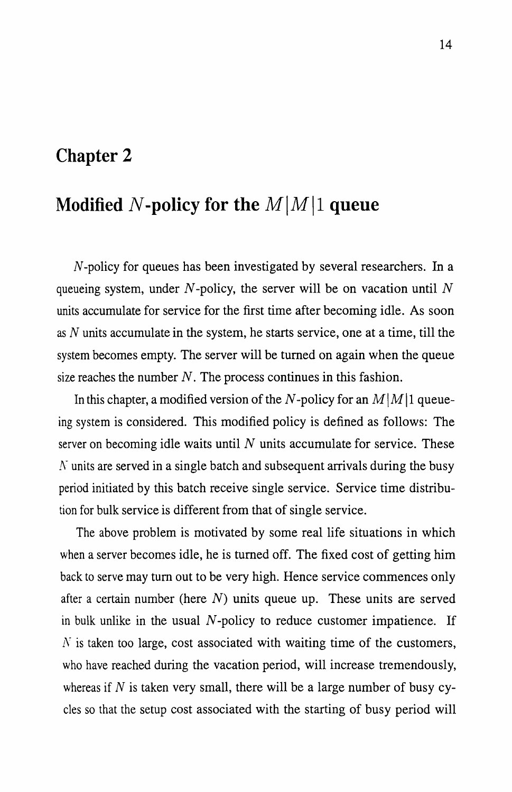# **Chapter 2**

# **Modified N-policy for the**  $M|M|1$  **queue**

N -policy for queues has been investigated by several researchers. In a queueing system, under  $N$ -policy, the server will be on vacation until  $N$ units accumulate for service for the first time after becoming idle. As soon as N units accumulate in the system, he starts service, one at a time, till the system becomes empty. The server will be turned on again when the queue size reaches the number  $N$ . The process continues in this fashion.

In this chapter, a modified version of the N-policy for an  $M|M|1$  queueing system is considered. This modified policy is defined as follows: The server on becoming idle waits until  $N$  units accumulate for service. These  $\overline{N}$  units are served in a single batch and subsequent arrivals during the busy period initiated by this batch receive single service. Service time distribution for bulk service is different from that of single service.

The above problem is motivated by some real life situations in which when a server becomes idle, he is turned off. The fixed cost of getting him back to serve may turn out to be very high. Hence service commences only after a certain number (here  $N$ ) units queue up. These units are served in bulk unlike in the usual *N* -policy to reduce customer impatience. If  $N$  is taken too large, cost associated with waiting time of the customers, who have reached during the vacation period, will increase tremendously, whereas if  $N$  is taken very small, there will be a large number of busy cycles so that the setup cost associated with the starting of busy period will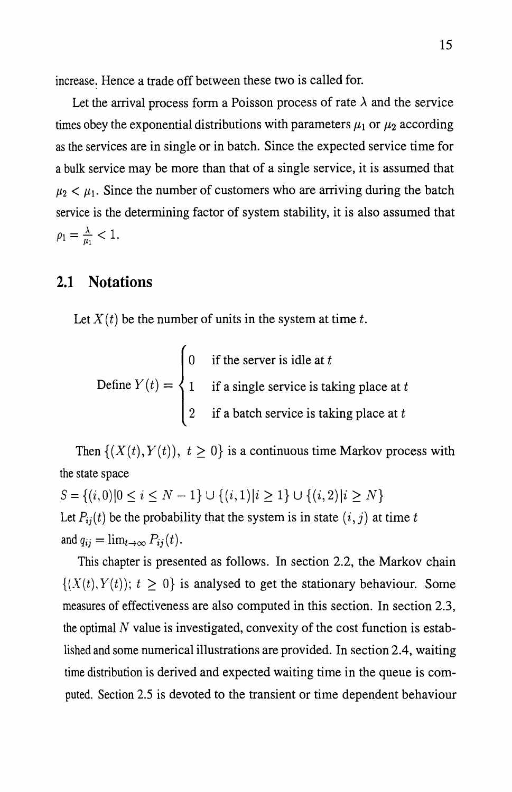increase. Hence a trade off between these two is called for.

Let the arrival process form a Poisson process of rate  $\lambda$  and the service times obey the exponential distributions with parameters  $\mu_1$  or  $\mu_2$  according as the services are in single or in batch. Since the expected service time for a bulk service may be more than that of a single service, it is assumed that  $\mu_2 < \mu_1$ . Since the number of customers who are arriving during the batch service is the determining factor of system stability, it is also assumed that  $\rho_1 = \frac{\lambda}{\mu_1} < 1.$ 

# **2.1 Notations**

Let  $X(t)$  be the number of units in the system at time t.

Define 
$$
Y(t) = \begin{cases} 0 & \text{if the server is idle at } t \\ 1 & \text{if a single service is taking place at } t \\ 2 & \text{if a batch service is taking place at } t \end{cases}
$$

Then  $\{(X(t), Y(t)), t \ge 0\}$  is a continuous time Markov process with the state space

 $S = \{(i,0)|0 \le i \le N-1\} \cup \{(i,1)|i \ge 1\} \cup \{(i,2)|i \ge N\}$ Let  $P_{ij}(t)$  be the probability that the system is in state  $(i, j)$  at time t and  $q_{ij} = \lim_{t \to \infty} P_{ij}(t)$ .

This chapter is presented as follows. In section 2.2, the Markov chain  $\{(X(t), Y(t)); t \geq 0\}$  is analysed to get the stationary behaviour. Some measures of effectiveness are also computed in this section. In section 2.3, the optimal  $N$  value is investigated, convexity of the cost function is established and some numerical illustrations are provided. In section 2.4, waiting time distribution is derived and expected waiting time in the queue is computed. Section 2.5 is devoted to the transient or time dependent behaviour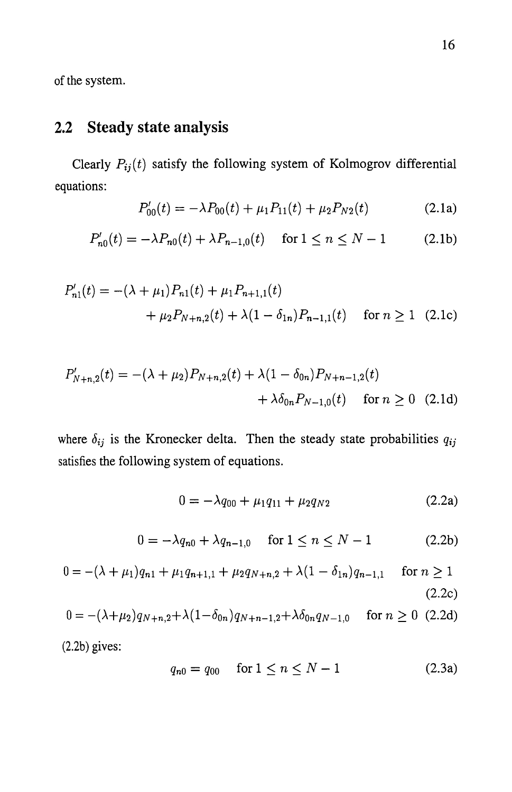of the system.

# **2.2 Steady state analysis**

Clearly  $P_{ij}(t)$  satisfy the following system of Kolmogrov differential equations:

$$
P'_{00}(t) = -\lambda P_{00}(t) + \mu_1 P_{11}(t) + \mu_2 P_{N2}(t)
$$
 (2.1a)

$$
P'_{n0}(t) = -\lambda P_{n0}(t) + \lambda P_{n-1,0}(t) \quad \text{for } 1 \le n \le N-1 \tag{2.1b}
$$

$$
P'_{n1}(t) = -(\lambda + \mu_1)P_{n1}(t) + \mu_1 P_{n+1,1}(t)
$$
  
+  $\mu_2 P_{N+n,2}(t) + \lambda (1 - \delta_{1n})P_{n-1,1}(t)$  for  $n \ge 1$  (2.1c)

$$
P'_{N+n,2}(t) = -(\lambda + \mu_2) P_{N+n,2}(t) + \lambda (1 - \delta_{0n}) P_{N+n-1,2}(t) + \lambda \delta_{0n} P_{N-1,0}(t) \quad \text{for } n \ge 0 \quad (2.1d)
$$

where  $\delta_{ij}$  is the Kronecker delta. Then the steady state probabilities  $q_{ij}$ satisfies the following system of equations.

$$
0 = -\lambda q_{00} + \mu_1 q_{11} + \mu_2 q_{N2} \tag{2.2a}
$$

$$
0 = -\lambda q_{n0} + \lambda q_{n-1,0} \quad \text{for } 1 \le n \le N-1 \tag{2.2b}
$$

$$
0 = -(\lambda + \mu_1)q_{n1} + \mu_1 q_{n+1,1} + \mu_2 q_{N+n,2} + \lambda (1 - \delta_{1n})q_{n-1,1} \quad \text{for } n \ge 1
$$
\n(2.2c)

$$
0 = -(\lambda + \mu_2)q_{N+n,2} + \lambda (1 - \delta_{0n})q_{N+n-1,2} + \lambda \delta_{0n} q_{N-1,0} \quad \text{for } n \ge 0 \tag{2.2d}
$$

(2.2b) gives:

$$
q_{n0} = q_{00} \quad \text{for } 1 \le n \le N - 1 \tag{2.3a}
$$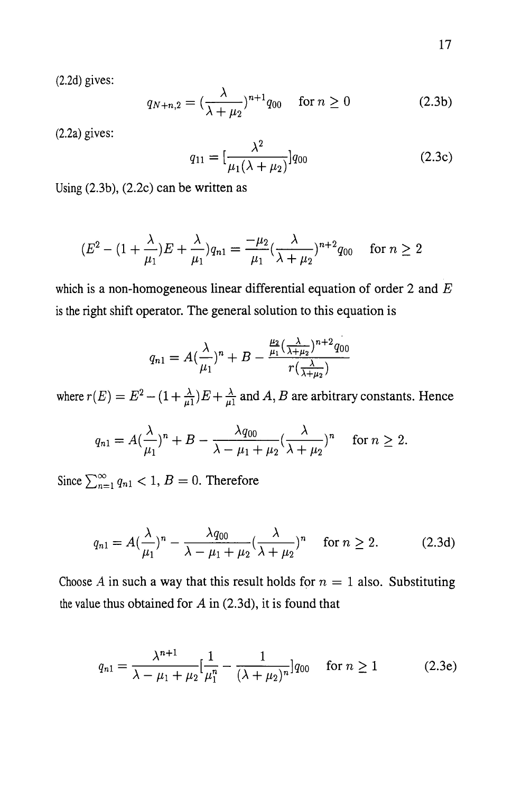17

(2.2d) gives:

$$
q_{N+n,2} = \left(\frac{\lambda}{\lambda + \mu_2}\right)^{n+1} q_{00} \quad \text{for } n \ge 0
$$
 (2.3b)

(2.2a) gives:

$$
q_{11} = \left[\frac{\lambda^2}{\mu_1(\lambda + \mu_2)}\right] q_{00} \tag{2.3c}
$$

Using (2.3b), (2.2c) can be written as

$$
(E2 - (1 + \frac{\lambda}{\mu_1})E + \frac{\lambda}{\mu_1})q_{n1} = \frac{-\mu_2}{\mu_1} (\frac{\lambda}{\lambda + \mu_2})^{n+2} q_{00} \quad \text{for } n \ge 2
$$

which is a non-homogeneous linear differential equation of order 2 and *E*  is the right shift operator. The general solution to this equation is

$$
q_{n1} = A\left(\frac{\lambda}{\mu_1}\right)^n + B - \frac{\frac{\mu_2}{\mu_1}\left(\frac{\lambda}{\lambda + \mu_2}\right)^{n+2}q_{00}}{r\left(\frac{\lambda}{\lambda + \mu_2}\right)}
$$

where  $r(E) = E^2 - (1 + \frac{\lambda}{\mu 1})E + \frac{\lambda}{\mu 1}$  and *A*, *B* are arbitrary constants. Hence

$$
q_{n1} = A(\frac{\lambda}{\mu_1})^n + B - \frac{\lambda q_{00}}{\lambda - \mu_1 + \mu_2} (\frac{\lambda}{\lambda + \mu_2})^n \quad \text{ for } n \ge 2.
$$

Since  $\sum_{n=1}^{\infty} q_{n1} < 1, B = 0$ . Therefore

$$
q_{n1} = A\left(\frac{\lambda}{\mu_1}\right)^n - \frac{\lambda q_{00}}{\lambda - \mu_1 + \mu_2} \left(\frac{\lambda}{\lambda + \mu_2}\right)^n \quad \text{for } n \ge 2. \tag{2.3d}
$$

Choose *A* in such a way that this result holds for  $n = 1$  also. Substituting the value thus obtained for  $A$  in (2.3d), it is found that

$$
q_{n1} = \frac{\lambda^{n+1}}{\lambda - \mu_1 + \mu_2} \left[ \frac{1}{\mu_1^n} - \frac{1}{(\lambda + \mu_2)^n} \right] q_{00} \quad \text{for } n \ge 1 \tag{2.3e}
$$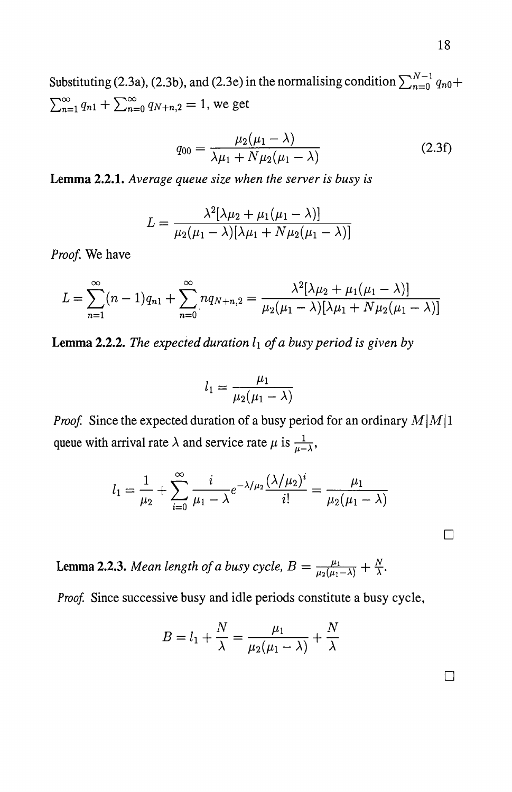Substituting (2.3a), (2.3b), and (2.3e) in the normalising condition  $\sum_{n=0}^{N-1} q_{n0} +$  $\sum_{n=1}^{\infty} q_{n1} + \sum_{n=0}^{\infty} q_{N+n,2} = 1$ , we get

$$
q_{00} = \frac{\mu_2(\mu_1 - \lambda)}{\lambda \mu_1 + N \mu_2(\mu_1 - \lambda)}
$$
 (2.3f)

**Lemma 2.2.1.** *Average queue size when the server is busy is* 

$$
L = \frac{\lambda^2[\lambda\mu_2 + \mu_1(\mu_1 - \lambda)]}{\mu_2(\mu_1 - \lambda)[\lambda\mu_1 + N\mu_2(\mu_1 - \lambda)]}
$$

*Proof.* We have

$$
L = \sum_{n=1}^{\infty} (n-1)q_{n1} + \sum_{n=0}^{\infty} nq_{N+n,2} = \frac{\lambda^2[\lambda\mu_2 + \mu_1(\mu_1 - \lambda)]}{\mu_2(\mu_1 - \lambda)[\lambda\mu_1 + N\mu_2(\mu_1 - \lambda)]}
$$

Lemma 2.2.2. The expected duration  $l_1$  of a busy period is given by

$$
l_1 = \frac{\mu_1}{\mu_2(\mu_1 - \lambda)}
$$

*Proof.* Since the expected duration of a busy period for an ordinary  $M|M|1$ queue with arrival rate  $\lambda$  and service rate  $\mu$  is  $\frac{1}{\mu-\lambda}$ ,

$$
l_1 = \frac{1}{\mu_2} + \sum_{i=0}^{\infty} \frac{i}{\mu_1 - \lambda} e^{-\lambda/\mu_2} \frac{(\lambda/\mu_2)^i}{i!} = \frac{\mu_1}{\mu_2(\mu_1 - \lambda)}
$$

**Lemma 2.2.3.** *Mean length of a busy cycle,*  $B = \frac{\mu_1}{\mu_2(\mu_1 - \lambda)} + \frac{N}{\lambda}$ *.* 

*Proof.* Since successive busy and idle periods constitute a busy cycle,

$$
B = l_1 + \frac{N}{\lambda} = \frac{\mu_1}{\mu_2(\mu_1 - \lambda)} + \frac{N}{\lambda}
$$

 $\Box$ 

 $\Box$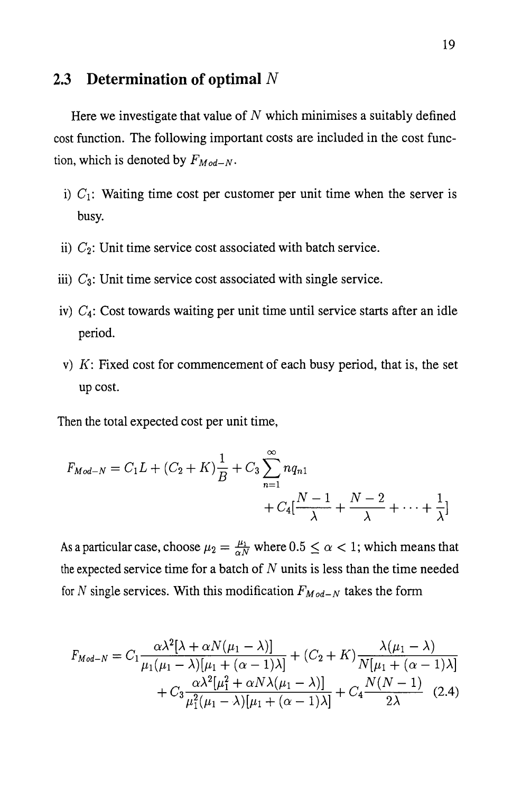### **2.3 Determination of optimal N**

Here we investigate that value of  $N$  which minimises a suitably defined cost function. The following important costs are included in the cost function, which is denoted by  $F_{Mod-N}$ .

- i)  $C_1$ : Waiting time cost per customer per unit time when the server is busy.
- ii)  $C_2$ : Unit time service cost associated with batch service.
- iii) C*3:* Unit time service cost associated with single service.
- iv)  $C_4$ : Cost towards waiting per unit time until service starts after an idle period.
- v)  $K$ : Fixed cost for commencement of each busy period, that is, the set up cost.

Then the total expected cost per unit time,

$$
F_{Mod-N} = C_1 L + (C_2 + K) \frac{1}{B} + C_3 \sum_{n=1}^{\infty} nq_{n1} + C_4 \left[ \frac{N-1}{\lambda} + \frac{N-2}{\lambda} + \dots + \frac{1}{\lambda} \right]
$$

As a particular case, choose  $\mu_2 = \frac{\mu_1}{\alpha N}$  where  $0.5 \le \alpha < 1$ ; which means that the expected service time for a batch of  $N$  units is less than the time needed for N single services. With this modification  $F_{Mod-N}$  takes the form

$$
F_{Mod-N} = C_1 \frac{\alpha \lambda^2 [\lambda + \alpha N(\mu_1 - \lambda)]}{\mu_1 (\mu_1 - \lambda) [\mu_1 + (\alpha - 1)\lambda]} + (C_2 + K) \frac{\lambda(\mu_1 - \lambda)}{N[\mu_1 + (\alpha - 1)\lambda]} + C_3 \frac{\alpha \lambda^2 [\mu_1^2 + \alpha N \lambda(\mu_1 - \lambda)]}{\mu_1^2 (\mu_1 - \lambda) [\mu_1 + (\alpha - 1)\lambda]} + C_4 \frac{N(N - 1)}{2\lambda}
$$
(2.4)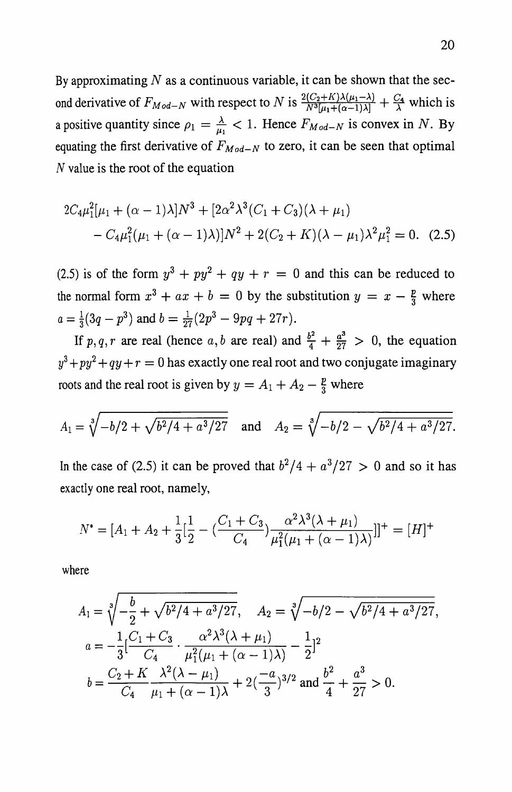By approximating  $N$  as a continuous variable, it can be shown that the second derivative of  $F_{Mod-N}$  with respect to N is  $\frac{2(C_2+K)\lambda(\mu_1-\lambda)}{N^3[\mu_1+(\alpha-1)\lambda]} + \frac{C_4}{\lambda}$  which is a positive quantity since  $\rho_1 = \frac{\lambda}{\mu_1} < 1$ . Hence  $F_{Mod-N}$  is convex in N. By equating the first derivative of  $F_{Mod-N}$  to zero, it can be seen that optimal N value is the root of the equation

$$
2C_4\mu_1^2[\mu_1 + (\alpha - 1)\lambda]N^3 + [2\alpha^2\lambda^3(C_1 + C_3)(\lambda + \mu_1) - C_4\mu_1^2(\mu_1 + (\alpha - 1)\lambda)]N^2 + 2(C_2 + K)(\lambda - \mu_1)\lambda^2\mu_1^2 = 0.
$$
 (2.5)

(2.5) is of the form  $y^3 + py^2 + qy + r = 0$  and this can be reduced to the normal form  $x^3 + ax + b = 0$  by the substitution  $y = x - \frac{p}{3}$  where  $a = \frac{1}{3}(3q - p^3)$  and  $b = \frac{1}{27}(2p^3 - 9pq + 27r)$ .

If p, q, r are real (hence a, b are real) and  $\frac{b^2}{4} + \frac{a^3}{27} > 0$ , the equation  $y^3 + py^2 + qy + r = 0$  has exactly one real root and two conjugate imaginary roots and the real root is given by  $y = A_1 + A_2 - \frac{p}{3}$  where

$$
A_1 = \sqrt[3]{-b/2 + \sqrt{b^2/4 + a^3/27}}
$$
 and  $A_2 = \sqrt[3]{-b/2 - \sqrt{b^2/4 + a^3/27}}$ .

In the case of (2.5) it can be proved that  $b^2/4 + a^3/27 > 0$  and so it has exactly one real root, namely,

$$
N^* = [A_1 + A_2 + \frac{1}{3} \left[ \frac{1}{2} - \left( \frac{C_1 + C_3}{C_4} \right) \frac{\alpha^2 \lambda^3 (\lambda + \mu_1)}{\mu_1^2 (\mu_1 + (\alpha - 1)\lambda)} \right]]^+ = [H]^+
$$

where

$$
A_1 = \sqrt[3]{-\frac{b}{2} + \sqrt{b^2/4 + a^3/27}}, \quad A_2 = \sqrt[3]{-b/2 - \sqrt{b^2/4 + a^3/27}},
$$
  
\n
$$
a = -\frac{1}{3} \left[ \frac{C_1 + C_3}{C_4} \cdot \frac{\alpha^2 \lambda^3 (\lambda + \mu_1)}{\mu_1^2 (\mu_1 + (\alpha - 1)\lambda)} - \frac{1}{2} \right]^2
$$
  
\n
$$
b = \frac{C_2 + K}{C_4} \frac{\lambda^2 (\lambda - \mu_1)}{\mu_1 + (\alpha - 1)\lambda} + 2 \left( \frac{-a}{3} \right)^{3/2} \text{ and } \frac{b^2}{4} + \frac{a^3}{27} > 0.
$$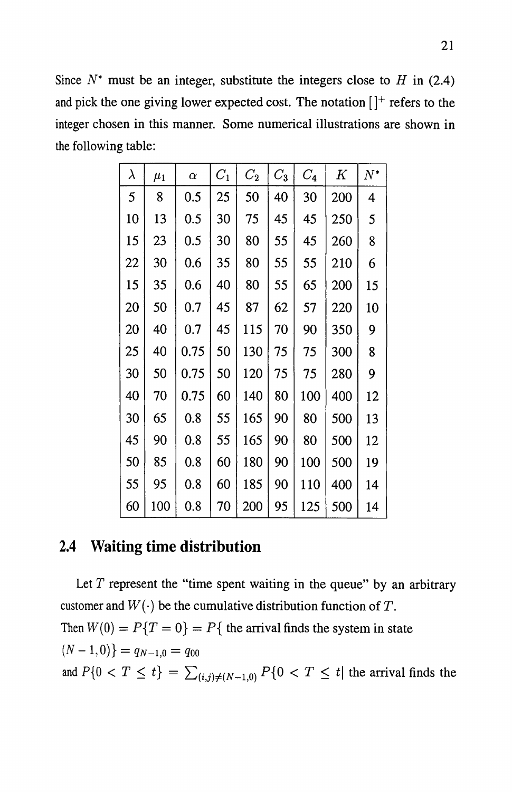Since  $N^*$  must be an integer, substitute the integers close to H in (2.4) and pick the one giving lower expected cost. The notation  $[ ]^+$  refers to the integer chosen in this manner. Some numerical illustrations are shown in the following table:

| $\lambda$ | $\mu_1$ | $\alpha$ | $C_1$ | $C_{2}$ | $C_3$ | $C_{4}$ | $\,K$ | $N^*$ |
|-----------|---------|----------|-------|---------|-------|---------|-------|-------|
| 5         | 8       | 0.5      | 25    | 50      | 40    | 30      | 200   | 4     |
| 10        | 13      | 0.5      | 30    | 75      | 45    | 45      | 250   | 5     |
| 15        | 23      | 0.5      | 30    | 80      | 55    | 45      | 260   | 8     |
| 22        | 30      | 0.6      | 35    | 80      | 55    | 55      | 210   | 6     |
| 15        | 35      | 0.6      | 40    | 80      | 55    | 65      | 200   | 15    |
| 20        | 50      | 0.7      | 45    | 87      | 62    | 57      | 220   | 10    |
| 20        | 40      | 0.7      | 45    | 115     | 70    | 90      | 350   | 9     |
| 25        | 40      | 0.75     | 50    | 130     | 75    | 75      | 300   | 8     |
| 30        | 50      | 0.75     | 50    | 120     | 75    | 75      | 280   | 9     |
| 40        | 70      | 0.75     | 60    | 140     | 80    | 100     | 400   | 12    |
| 30        | 65      | 0.8      | 55    | 165     | 90    | 80      | 500   | 13    |
| 45        | 90      | 0.8      | 55    | 165     | 90    | 80      | 500   | 12    |
| 50        | 85      | 0.8      | 60    | 180     | 90    | 100     | 500   | 19    |
| 55        | 95      | 0.8      | 60    | 185     | 90    | 110     | 400   | 14    |
| 60        | 100     | 0.8      | 70    | 200     | 95    | 125     | 500   | 14    |

# **2.4 Waiting time distribution**

Let  $T$  represent the "time spent waiting in the queue" by an arbitrary customer and  $W(\cdot)$  be the cumulative distribution function of T. Then  $W(0) = P\{T = 0\} = P\{$  the arrival finds the system in state  $(N-1,0)\} = q_{N-1,0} = q_{00}$ and  $P\{0 < T \leq t\} = \sum_{(i,j)\neq(N-1,0)} P\{0 < T \leq t\}$  the arrival finds the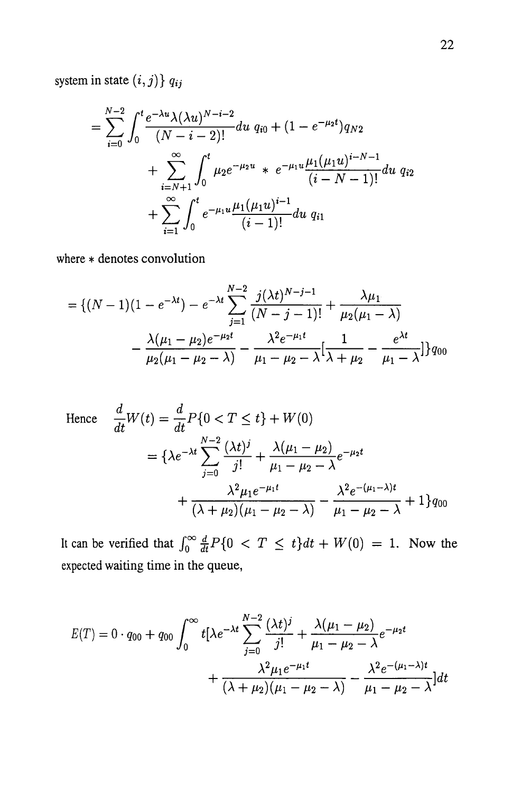system in state  $(i, j)$   $q_{ij}$ 

$$
= \sum_{i=0}^{N-2} \int_0^t \frac{e^{-\lambda u} \lambda(\lambda u)^{N-i-2}}{(N-i-2)!} du q_{i0} + (1 - e^{-\mu_2 t}) q_{N2} + \sum_{i=N+1}^{\infty} \int_0^t \mu_2 e^{-\mu_2 u} * e^{-\mu_1 u} \frac{\mu_1(\mu_1 u)^{i-N-1}}{(i-N-1)!} du q_{i2} + \sum_{i=1}^{\infty} \int_0^t e^{-\mu_1 u} \frac{\mu_1(\mu_1 u)^{i-1}}{(i-1)!} du q_{i1}
$$

where \* denotes convolution

$$
= \{(N-1)(1 - e^{-\lambda t}) - e^{-\lambda t} \sum_{j=1}^{N-2} \frac{j(\lambda t)^{N-j-1}}{(N-j-1)!} + \frac{\lambda \mu_1}{\mu_2(\mu_1 - \lambda)}
$$

$$
- \frac{\lambda(\mu_1 - \mu_2)e^{-\mu_2 t}}{\mu_2(\mu_1 - \mu_2 - \lambda)} - \frac{\lambda^2 e^{-\mu_1 t}}{\mu_1 - \mu_2 - \lambda} \left[ \frac{1}{\lambda + \mu_2} - \frac{e^{\lambda t}}{\mu_1 - \lambda} \right] \} q_{00}
$$

Hence 
$$
\frac{d}{dt}W(t) = \frac{d}{dt}P\{0 < T \le t\} + W(0)
$$

$$
= \{\lambda e^{-\lambda t} \sum_{j=0}^{N-2} \frac{(\lambda t)^j}{j!} + \frac{\lambda(\mu_1 - \mu_2)}{\mu_1 - \mu_2 - \lambda} e^{-\mu_2 t} + \frac{\lambda^2 \mu_1 e^{-\mu_1 t}}{(\lambda + \mu_2)(\mu_1 - \mu_2 - \lambda)} - \frac{\lambda^2 e^{-(\mu_1 - \lambda)t}}{\mu_1 - \mu_2 - \lambda} + 1\}q_{00}
$$

It can be verified that  $\int_0^\infty \frac{d}{dt}P\{0 < T \leq t\}dt + W(0) = 1$ . Now the expected waiting time in the queue,

$$
E(T) = 0 \cdot q_{00} + q_{00} \int_0^\infty t \left[ \lambda e^{-\lambda t} \sum_{j=0}^{N-2} \frac{(\lambda t)^j}{j!} + \frac{\lambda (\mu_1 - \mu_2)}{\mu_1 - \mu_2 - \lambda} e^{-\mu_2 t} + \frac{\lambda^2 \mu_1 e^{-\mu_1 t}}{(\lambda + \mu_2)(\mu_1 - \mu_2 - \lambda)} - \frac{\lambda^2 e^{-(\mu_1 - \lambda)t}}{\mu_1 - \mu_2 - \lambda} \right] dt
$$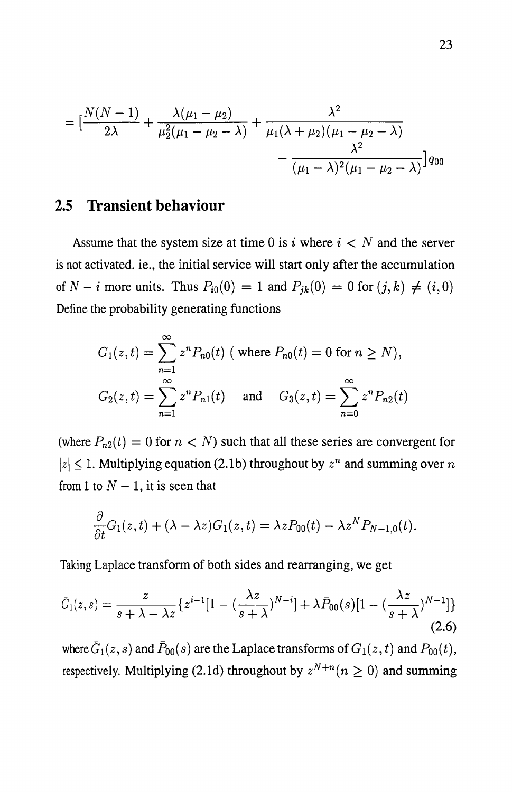$$
= \left[\frac{N(N-1)}{2\lambda} + \frac{\lambda(\mu_1 - \mu_2)}{\mu_2^2(\mu_1 - \mu_2 - \lambda)} + \frac{\lambda^2}{\mu_1(\lambda + \mu_2)(\mu_1 - \mu_2 - \lambda)} - \frac{\lambda^2}{(\mu_1 - \lambda)^2(\mu_1 - \mu_2 - \lambda)}\right]q_{00}
$$

### **2.5 Transient behaviour**

Assume that the system size at time 0 is i where  $i < N$  and the server is not activated. ie., the initial service will start only after the accumulation of  $N - i$  more units. Thus  $P_{i0}(0) = 1$  and  $P_{jk}(0) = 0$  for  $(j, k) \neq (i, 0)$ Define the probability generating functions

$$
G_1(z,t) = \sum_{n=1}^{\infty} z^n P_{n0}(t) \text{ (where } P_{n0}(t) = 0 \text{ for } n \ge N),
$$
  

$$
G_2(z,t) = \sum_{n=1}^{\infty} z^n P_{n1}(t) \text{ and } G_3(z,t) = \sum_{n=0}^{\infty} z^n P_{n2}(t)
$$

(where  $P_{n2}(t) = 0$  for  $n < N$ ) such that all these series are convergent for  $|z| \leq 1$ . Multiplying equation (2.1b) throughout by  $z^n$  and summing over *n* from 1 to  $N-1$ , it is seen that

$$
\frac{\partial}{\partial t}G_1(z,t)+(\lambda-\lambda z)G_1(z,t)=\lambda zP_{00}(t)-\lambda z^NP_{N-1,0}(t).
$$

Taking Laplace transform of both sides and rearranging, we get

$$
\bar{G}_1(z,s) = \frac{z}{s+\lambda-\lambda z} \left\{ z^{i-1} [1 - \left(\frac{\lambda z}{s+\lambda}\right)^{N-i}] + \lambda \bar{P}_{00}(s) [1 - \left(\frac{\lambda z}{s+\lambda}\right)^{N-1}] \right\}
$$
\n(2.6)

where  $\bar{G}_1(z,s)$  and  $\bar{P}_{00}(s)$  are the Laplace transforms of  $G_1(z,t)$  and  $P_{00}(t)$ , respectively. Multiplying (2.1d) throughout by  $z^{N+n}$  ( $n \ge 0$ ) and summing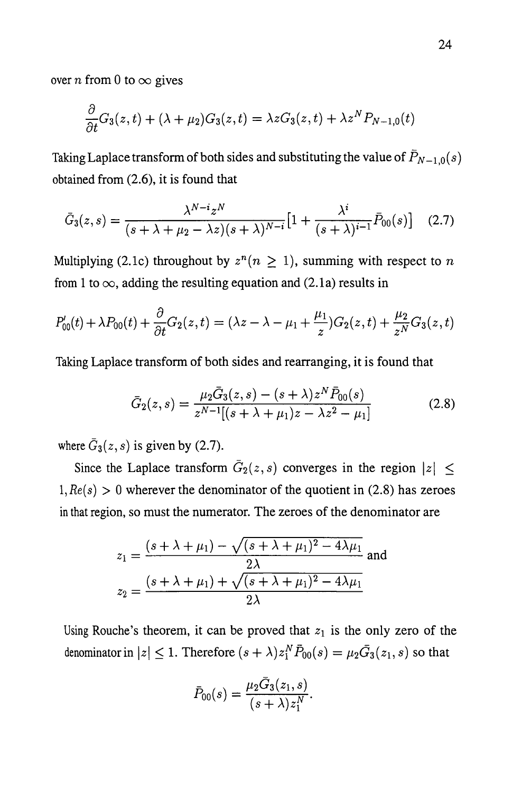over *n* from 0 to  $\infty$  gives

$$
\frac{\partial}{\partial t}G_3(z,t) + (\lambda + \mu_2)G_3(z,t) = \lambda zG_3(z,t) + \lambda z^N P_{N-1,0}(t)
$$

Taking Laplace transform of both sides and substituting the value of  $\bar{P}_{N-1,0}(s)$ obtained from (2.6), it is found that

$$
\bar{G}_3(z,s) = \frac{\lambda^{N-i}z^N}{(s+\lambda+\mu_2-\lambda z)(s+\lambda)^{N-i}}\Big[1+\frac{\lambda^i}{(s+\lambda)^{i-1}}\bar{P}_{00}(s)\Big] \quad (2.7)
$$

Multiplying (2.1c) throughout by  $z^n (n \geq 1)$ , summing with respect to *n* from 1 to  $\infty$ , adding the resulting equation and (2.1a) results in

$$
P'_{00}(t) + \lambda P_{00}(t) + \frac{\partial}{\partial t} G_2(z, t) = (\lambda z - \lambda - \mu_1 + \frac{\mu_1}{z}) G_2(z, t) + \frac{\mu_2}{z^N} G_3(z, t)
$$

Taking Laplace transform of both sides and rearranging, it is found that

$$
\bar{G}_2(z,s) = \frac{\mu_2 \bar{G}_3(z,s) - (s+\lambda) z^N \bar{P}_{00}(s)}{z^{N-1}[(s+\lambda+\mu_1)z - \lambda z^2 - \mu_1]}
$$
(2.8)

where  $\bar{G}_3(z, s)$  is given by (2.7).

Since the Laplace transform  $\overline{G}_2(z, s)$  converges in the region  $|z| \leq$  $1, Re(s) > 0$  wherever the denominator of the quotient in (2.8) has zeroes in that region, so must the numerator. The zeroes of the denominator are

$$
z_1 = \frac{(s + \lambda + \mu_1) - \sqrt{(s + \lambda + \mu_1)^2 - 4\lambda\mu_1}}{2\lambda}
$$
 and  

$$
z_2 = \frac{(s + \lambda + \mu_1) + \sqrt{(s + \lambda + \mu_1)^2 - 4\lambda\mu_1}}{2\lambda}
$$

Using Rouche's theorem, it can be proved that  $z_1$  is the only zero of the denominator in  $|z| \leq 1$ . Therefore  $(s + \lambda)z_1^N \bar{P}_{00}(s) = \mu_2 \bar{G}_3(z_1, s)$  so that

$$
\bar{P}_{00}(s) = \frac{\mu_2 \bar{G}_3(z_1, s)}{(s + \lambda) z_1^N}.
$$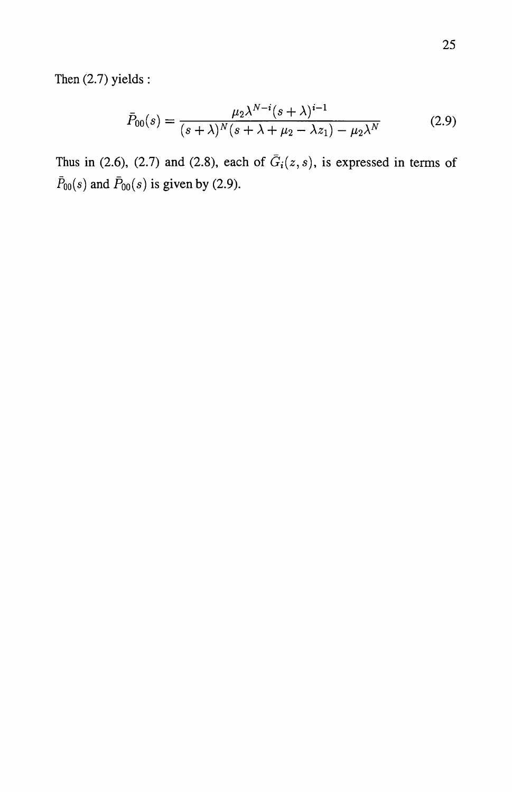$$
\bar{P}_{00}(s) = \frac{\mu_2 \lambda^{N-i} (s + \lambda)^{i-1}}{(s + \lambda)^N (s + \lambda + \mu_2 - \lambda z_1) - \mu_2 \lambda^N}
$$
(2.9)

Thus in (2.6), (2.7) and (2.8), each of  $\bar{G}_i(z, s)$ , is expressed in terms of  $\bar{P}_{00}(s)$  and  $\bar{P}_{00}(s)$  is given by (2.9).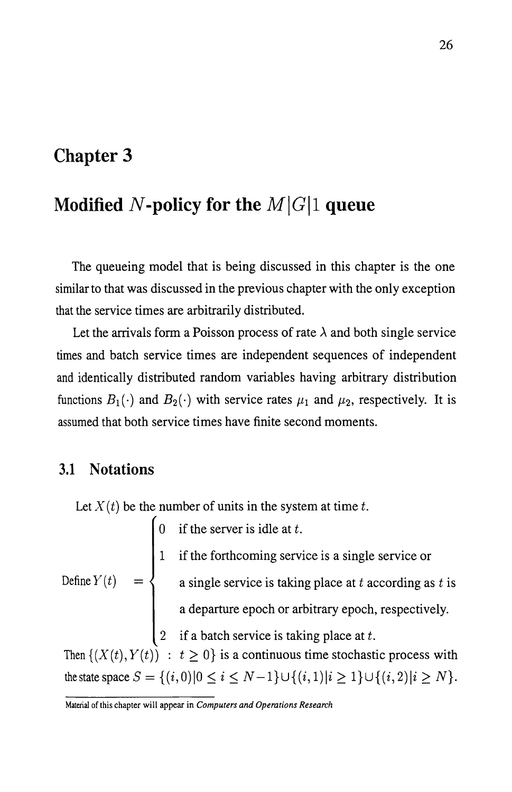# **Chapter 3**

# Modified N-policy for the  $M|G|1$  queue

The queueing model that is being discussed in this chapter is the one similar to that was discussed in the previous chapter with the only exception that the service times are arbitrarily distributed.

Let the arrivals form a Poisson process of rate  $\lambda$  and both single service times and batch service times are independent sequences of independent and identically distributed random variables having arbitrary distribution functions  $B_1(\cdot)$  and  $B_2(\cdot)$  with service rates  $\mu_1$  and  $\mu_2$ , respectively. It is assumed that both service times have finite second moments.

### **3.1 Notations**

Let  $X(t)$  be the number of units in the system at time t.

0 if the server is idle at  $t$ . Define  $Y(t)$ 1 if the forthcoming service is a single service or a single service is taking place at  $t$  according as  $t$  is a departure epoch or arbitrary epoch, respectively. 2 if a batch service is taking place at  $t$ . Then  $\{(X(t), Y(t)) : t \geq 0\}$  is a continuous time stochastic process with the state space  $S = \{(i,0)|0 \le i \le N-1\} \cup \{(i,1)|i \ge 1\} \cup \{(i,2)|i \ge N\}.$ 

Material of this chapter will appear in *Computers and Operations Research*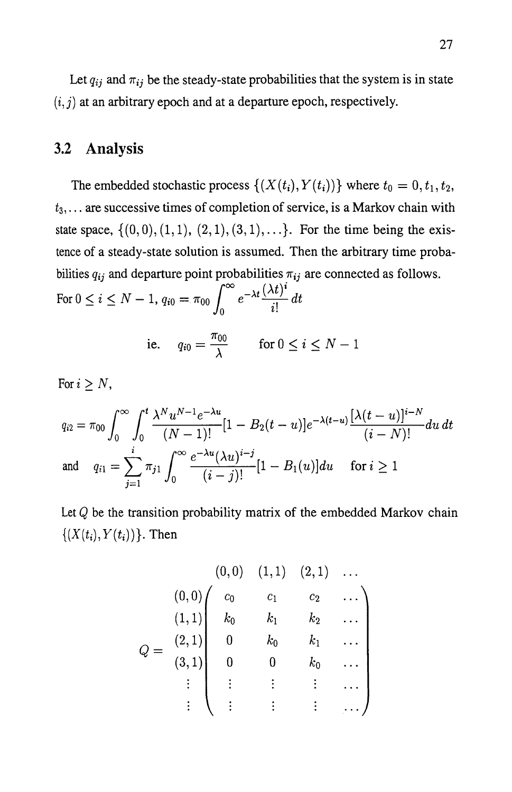Let  $q_{ij}$  and  $\pi_{ij}$  be the steady-state probabilities that the system is in state  $(i, j)$  at an arbitrary epoch and at a departure epoch, respectively.

# **3.2 Analysis**

The embedded stochastic process  $\{(X(t_i), Y(t_i))\}$  where  $t_0 = 0, t_1, t_2$ , *t3, ...* are successive times of completion of service, is a Markov chain with state space,  $\{(0,0), (1,1), (2,1), (3,1), \ldots\}$ . For the time being the existence of a steady-state solution is assumed. Then the arbitrary time probabilities  $q_{ij}$  and departure point probabilities  $\pi_{ij}$  are connected as follows.<br>For  $0 \le i \le N - 1$ ,  $q_{i0} = \pi_{00} \int_{0}^{\infty} e^{-\lambda t} \frac{(\lambda t)^i}{n} dt$ 

$$
0 \le i \le N - 1, q_{i0} = \pi_{00} \int_0^{\infty} e^{-\lambda t} \frac{\sqrt{N} - 1}{i!} dt
$$
  
i.e.  $q_{i0} = \frac{\pi_{00}}{\lambda}$  for  $0 \le i \le N - 1$ 

For  $i \geq N$ ,

$$
q_{i2} = \pi_{00} \int_0^{\infty} \int_0^t \frac{\lambda^N u^{N-1} e^{-\lambda u}}{(N-1)!} [1 - B_2(t-u)] e^{-\lambda(t-u)} \frac{[\lambda(t-u)]^{i-N}}{(i-N)!} du dt
$$
  
and 
$$
q_{i1} = \sum_{j=1}^i \pi_{j1} \int_0^{\infty} \frac{e^{-\lambda u} (\lambda u)^{i-j}}{(i-j)!} [1 - B_1(u)] du \quad \text{for } i \ge 1
$$

Let *Q* be the transition probability matrix of the embedded Markov chain  $\{(X(t_i), Y(t_i))\}$ . Then

$$
Q = \begin{pmatrix} (0,0) & (1,1) & (2,1) & \dots \\ (0,0) & c_0 & c_1 & c_2 & \dots \\ (1,1) & k_0 & k_1 & k_2 & \dots \\ (2,1) & 0 & k_0 & k_1 & \dots \\ (3,1) & 0 & 0 & k_0 & \dots \\ \vdots & \vdots & \vdots & \vdots & \dots \end{pmatrix}
$$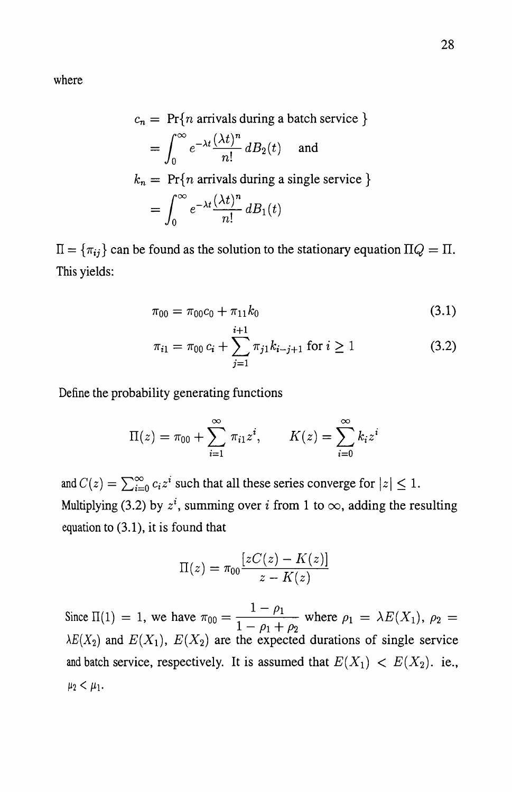where

$$
c_n = \Pr\{n \text{ arrivals during a batch service }\}
$$
  
= 
$$
\int_0^\infty e^{-\lambda t} \frac{(\lambda t)^n}{n!} dB_2(t) \text{ and }
$$
  

$$
k_n = \Pr\{n \text{ arrivals during a single service }\}
$$
  
= 
$$
\int_0^\infty e^{-\lambda t} \frac{(\lambda t)^n}{n!} dB_1(t)
$$

 $\Pi = {\pi_{ij}}$  can be found as the solution to the stationary equation  $\Pi Q = \Pi$ . This yields:

$$
\pi_{00} = \pi_{00}c_0 + \pi_{11}k_0 \tag{3.1}
$$

$$
\pi_{i1} = \pi_{00} c_i + \sum_{j=1}^{i+1} \pi_{j1} k_{i-j+1} \text{ for } i \ge 1
$$
 (3.2)

Define the probability generating functions

$$
\Pi(z) = \pi_{00} + \sum_{i=1}^{\infty} \pi_{i1} z^i, \qquad K(z) = \sum_{i=0}^{\infty} k_i z^i
$$

and  $C(z) = \sum_{i=0}^{\infty} c_i z^i$  such that all these series converge for  $|z| \leq 1$ . Multiplying (3.2) by  $z^i$ , summing over i from 1 to  $\infty$ , adding the resulting equation to (3.1), it is found that

$$
\Pi(z) = \pi_{00} \frac{[zC(z) - K(z)]}{z - K(z)}
$$

Since  $\Pi(1) = 1$ , we have  $\pi_{00} = \frac{1 - \rho_1}{1 - \rho_1}$  where  $\rho_1 = \lambda E(X_1)$ ,  $\rho_2 =$  $\frac{1-\rho_1+\rho_2}{\rho_1+\rho_2}$  $\lambda E(X_2)$  and  $E(X_1)$ ,  $E(X_2)$  are the expected durations of single service and batch service, respectively. It is assumed that  $E(X_1) < E(X_2)$ . ie.,  $\mu_2 < \mu_1$ .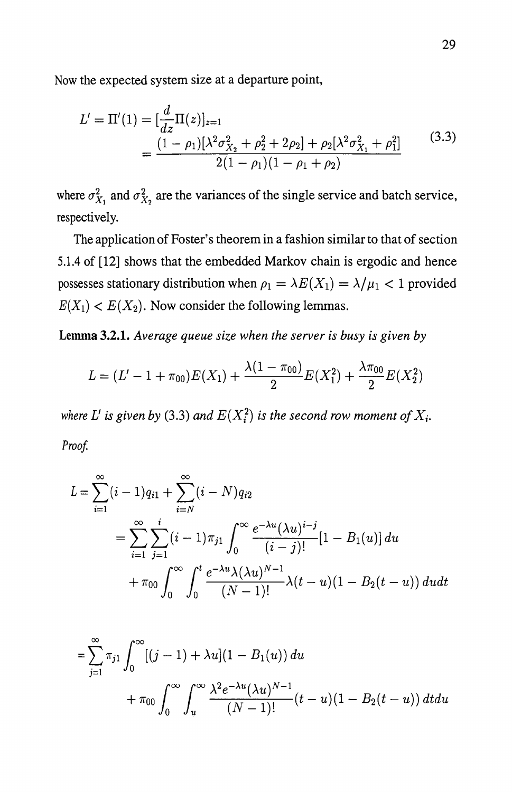Now the expected system size at a departure point,

$$
L' = \Pi'(1) = \left[\frac{d}{dz}\Pi(z)\right]_{z=1}
$$
  
= 
$$
\frac{(1 - \rho_1)[\lambda^2 \sigma_{X_2}^2 + \rho_2^2 + 2\rho_2] + \rho_2[\lambda^2 \sigma_{X_1}^2 + \rho_1^2]}{2(1 - \rho_1)(1 - \rho_1 + \rho_2)}
$$
(3.3)

where  $\sigma_{X_1}^2$  and  $\sigma_{X_2}^2$  are the variances of the single service and batch service, respectively.

The application of Foster's theorem in a fashion similar to that of section 5.1.4 of [12] shows that the embedded Markov chain is ergodic and hence possesses stationary distribution when  $\rho_1 = \lambda E(X_1) = \lambda/\mu_1 < 1$  provided  $E(X_1) < E(X_2)$ . Now consider the following lemmas.

**Lemma 3.2.1.** *Average queue size when the server is busy is given by* 

$$
L = (L' - 1 + \pi_{00})E(X_1) + \frac{\lambda(1 - \pi_{00})}{2}E(X_1^2) + \frac{\lambda \pi_{00}}{2}E(X_2^2)
$$

*where L' is given by* (3.3) *and*  $E(X_i^2)$  *is the second row moment of*  $X_i$ . Proof.

$$
L = \sum_{i=1}^{\infty} (i-1)q_{i1} + \sum_{i=N}^{\infty} (i-N)q_{i2}
$$
  
= 
$$
\sum_{i=1}^{\infty} \sum_{j=1}^{i} (i-1)\pi_{j1} \int_{0}^{\infty} \frac{e^{-\lambda u}(\lambda u)^{i-j}}{(i-j)!} [1 - B_1(u)] du
$$
  
+ 
$$
\pi_{00} \int_{0}^{\infty} \int_{0}^{t} \frac{e^{-\lambda u} \lambda(\lambda u)^{N-1}}{(N-1)!} \lambda(t-u) (1 - B_2(t-u)) du dt
$$

$$
= \sum_{j=1}^{\infty} \pi_{j1} \int_0^{\infty} [(j-1) + \lambda u](1 - B_1(u)) du
$$
  
+  $\pi_{00} \int_0^{\infty} \int_u^{\infty} \frac{\lambda^2 e^{-\lambda u} (\lambda u)^{N-1}}{(N-1)!} (t-u)(1 - B_2(t-u)) dt du$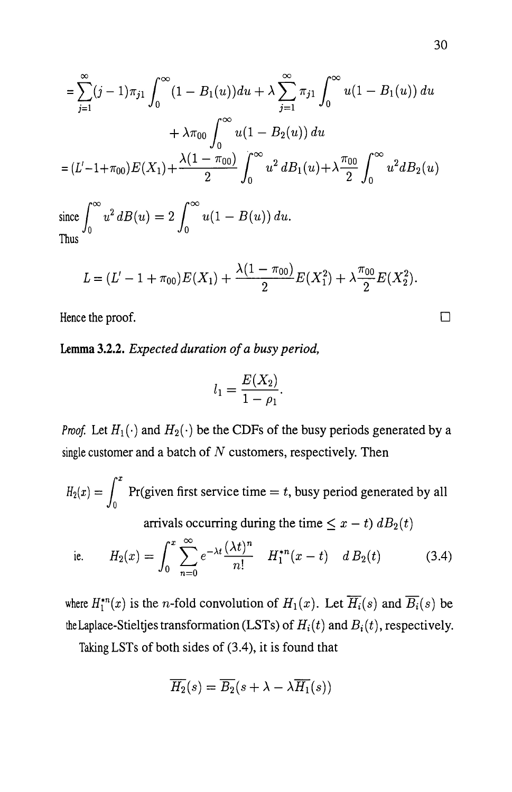$$
= \sum_{j=1}^{\infty} (j-1)\pi_{j1} \int_0^{\infty} (1 - B_1(u)) du + \lambda \sum_{j=1}^{\infty} \pi_{j1} \int_0^{\infty} u(1 - B_1(u)) du
$$
  
+  $\lambda \pi_{00} \int_0^{\infty} u(1 - B_2(u)) du$   
=  $(L'-1+\pi_{00})E(X_1) + \frac{\lambda(1-\pi_{00})}{2} \int_0^{\infty} u^2 dB_1(u) + \lambda \frac{\pi_{00}}{2} \int_0^{\infty} u^2 dB_2(u)$   
since  $\int_0^{\infty} u^2 dB(u) = 2 \int_0^{\infty} u(1 - B(u)) du$ .  
Thus

$$
f_{\rm{max}}
$$

$$
L = (L' - 1 + \pi_{00})E(X_1) + \frac{\lambda(1 - \pi_{00})}{2}E(X_1^2) + \lambda \frac{\pi_{00}}{2}E(X_2^2).
$$

Hence the proof.

Lemma 3.2.2. *Expected duration of a busy period,* 

$$
l_1=\frac{E(X_2)}{1-\rho_1}.
$$

*Proof.* Let  $H_1(\cdot)$  and  $H_2(\cdot)$  be the CDFs of the busy periods generated by a single customer and a batch of  $N$  customers, respectively. Then

 $H_2(x) = \int_0^x$  Pr(given first service time = *t*, busy period generated by all arrivals occurring during the time  $\leq x - t$ )  $dB_2(t)$ 

i.e. 
$$
H_2(x) = \int_0^x \sum_{n=0}^\infty e^{-\lambda t} \frac{(\lambda t)^n}{n!} H_1^{*n}(x-t) d B_2(t)
$$
 (3.4)

where  $H_1^{*n}(x)$  is the *n*-fold convolution of  $H_1(x)$ . Let  $\overline{H_i}(s)$  and  $\overline{B_i}(s)$  be the Laplace-Stieltjes transformation (LSTs) of  $H_i(t)$  and  $B_i(t)$ , respectively.

Taking LSTs of both sides of (3.4), it is found that

$$
\overline{H_2}(s) = \overline{B_2}(s + \lambda - \lambda \overline{H_1}(s))
$$

 $\Box$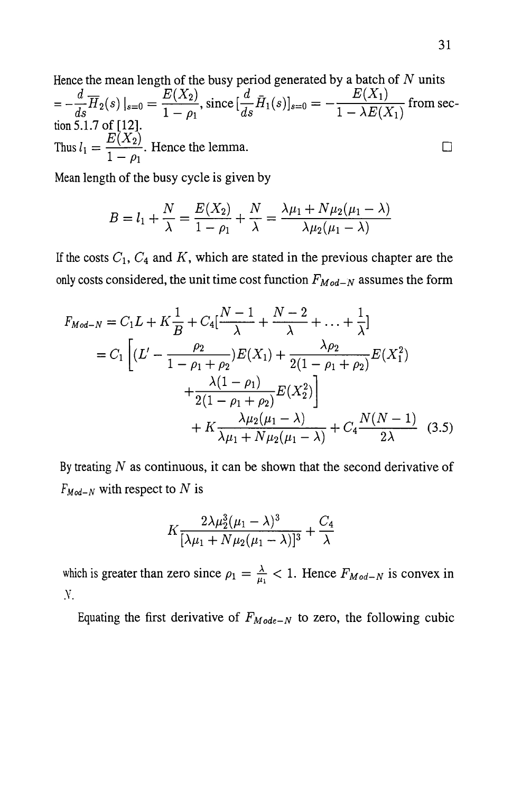Hence the mean length of the busy period generated by a batch of  $N$  units  $d \frac{1}{\overline{H}(C)}$   $E(X_2)$   $\liminf_{n \to \infty} d \overline{H}(C)$   $E(X_1)$  $=-\frac{a}{ds}H_2(s)\Big|_{s=0}=\frac{a}{1-a_1}(\frac{s}{ds})$ , since  $[\frac{a}{ds}H_1(s)]_{s=0}=-\frac{a}{1-\lambda}E(X_1)$  from section 5.1.7 of [12]. Thus  $l_1 = \frac{E(X_2)}{1}$ . Hence the lemma.  $1-\rho_1$ 

Mean length of the busy cycle is given by

$$
B = l_1 + \frac{N}{\lambda} = \frac{E(X_2)}{1 - \rho_1} + \frac{N}{\lambda} = \frac{\lambda \mu_1 + N \mu_2(\mu_1 - \lambda)}{\lambda \mu_2(\mu_1 - \lambda)}
$$

If the costs  $C_1$ ,  $C_4$  and K, which are stated in the previous chapter are the only costs considered, the unit time cost function  $F_{Mod-N}$  assumes the form

$$
F_{Mod-N} = C_1 L + K \frac{1}{B} + C_4 \left[ \frac{N-1}{\lambda} + \frac{N-2}{\lambda} + \dots + \frac{1}{\lambda} \right]
$$
  
=  $C_1 \left[ (L' - \frac{\rho_2}{1 - \rho_1 + \rho_2}) E(X_1) + \frac{\lambda \rho_2}{2(1 - \rho_1 + \rho_2)} E(X_1^2) + \frac{\lambda (1 - \rho_1)}{2(1 - \rho_1 + \rho_2)} E(X_2^2) \right]$   
+  $K \frac{\lambda \mu_2(\mu_1 - \lambda)}{\lambda \mu_1 + N \mu_2(\mu_1 - \lambda)} + C_4 \frac{N(N-1)}{2\lambda}$  (3.5)

By treating  $N$  as continuous, it can be shown that the second derivative of  $F_{Mod-N}$  with respect to N is

$$
K\frac{2\lambda\mu_2^3(\mu_1-\lambda)^3}{[\lambda\mu_1+N\mu_2(\mu_1-\lambda)]^3}+\frac{C_4}{\lambda}
$$

which is greater than zero since  $\rho_1 = \frac{\lambda}{\mu_1} < 1$ . Hence  $F_{Mod-N}$  is convex in .v.

Equating the first derivative of  $F_{Mode-N}$  to zero, the following cubic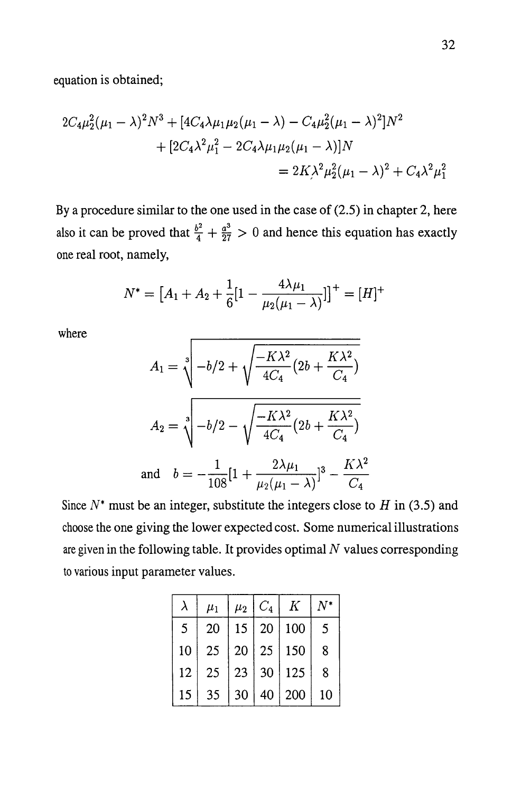$$
2C_4\mu_2^2(\mu_1 - \lambda)^2 N^3 + [4C_4\lambda\mu_1\mu_2(\mu_1 - \lambda) - C_4\mu_2^2(\mu_1 - \lambda)^2]N^2
$$
  
+ 
$$
[2C_4\lambda^2\mu_1^2 - 2C_4\lambda\mu_1\mu_2(\mu_1 - \lambda)]N
$$
  
= 
$$
2K\lambda^2\mu_2^2(\mu_1 - \lambda)^2 + C_4\lambda^2\mu_1^2
$$

By a procedure similar to the one used in the case of (2.5) in chapter 2, here also it can be proved that  $\frac{b^2}{4} + \frac{a^3}{27} > 0$  and hence this equation has exactly one real root, namely,

$$
N^* = [A_1 + A_2 + \frac{1}{6}[1 - \frac{4\lambda\mu_1}{\mu_2(\mu_1 - \lambda)}]]^+ = [H]^+
$$

where

$$
A_1 = \sqrt[3]{-b/2 + \sqrt{\frac{-K\lambda^2}{4C_4}(2b + \frac{K\lambda^2}{C_4})}}
$$
  
\n
$$
A_2 = \sqrt[3]{-b/2 - \sqrt{\frac{-K\lambda^2}{4C_4}(2b + \frac{K\lambda^2}{C_4})}}
$$
  
\nand 
$$
b = -\frac{1}{108}[1 + \frac{2\lambda\mu_1}{\mu_2(\mu_1 - \lambda)}]^3 - \frac{K\lambda^2}{C_4}
$$

Since *N\** must be an integer, substitute the integers close to *H* in (3.5) and choose the one giving the lower expected cost. Some numerical illustrations are given in the following table. It provides optimal  $N$  values corresponding to various input parameter values.

| λ  | $\mu_1$ | $\mu_2$ | $C_4$            | $\pmb{K}$ | $\mathbf{V}^*$ |
|----|---------|---------|------------------|-----------|----------------|
| 5  | 20      | 15      | $\vert 20 \vert$ | 100       | 5              |
| 10 | 25      | 20      | 25               | 150       | 8              |
| 12 | 25      | 23      | $\vert$ 30       | 125       | 8              |
| 15 | 35      | 30      | 40               | 200       | 10             |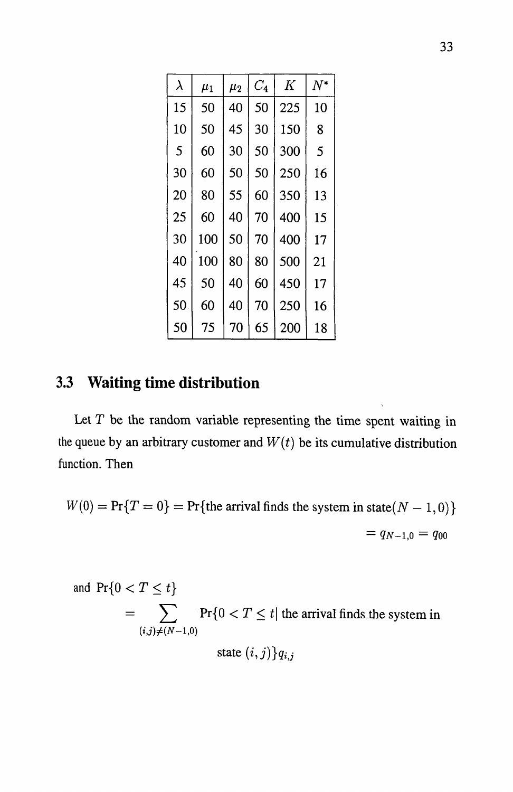| $\lambda$ | $\mu_1$ | $\mu_2$ | $C_{\bf 4}$ | K   | $N^*$ |
|-----------|---------|---------|-------------|-----|-------|
| 15        | 50      | 40      | 50          | 225 | 10    |
| 10        | 50      | 45      | 30          | 150 | 8     |
| 5         | 60      | 30      | 50          | 300 | 5     |
| 30        | 60      | 50      | 50          | 250 | 16    |
| 20        | 80      | 55      | 60          | 350 | 13    |
| 25        | 60      | 40      | 70          | 400 | 15    |
| 30        | 100     | 50      | 70          | 400 | 17    |
| 40        | 100     | 80      | 80          | 500 | 21    |
| 45        | 50      | 40      | 60          | 450 | 17    |
| 50        | 60      | 40      | 70          | 250 | 16    |
| 50        | 75      | 70      | 65          | 200 | 18    |

## **3.3 Waiting time distribution**

Let  $T$  be the random variable representing the time spent waiting in the queue by an arbitrary customer and  $W(t)$  be its cumulative distribution function. Then

$$
W(0) = \Pr\{T = 0\} = \Pr\{\text{the arrival finds the system in state}(N - 1, 0)\}
$$

$$
= q_{N-1,0} = q_{00}
$$

and 
$$
Pr\{0 < T \leq t\}
$$
  
\n
$$
= \sum_{(i,j)\neq (N-1,0)} Pr\{0 < T \leq t \mid \text{the arrival finds the system in} \atop \text{state } (i,j)\} q_{i,j}
$$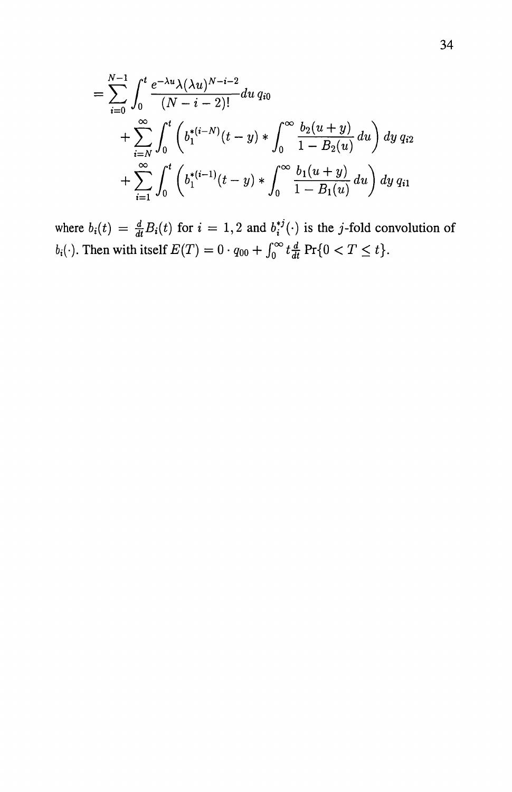$$
= \sum_{i=0}^{N-1} \int_0^t \frac{e^{-\lambda u} \lambda(\lambda u)^{N-i-2}}{(N-i-2)!} du q_{i0}
$$
  
+ 
$$
\sum_{i=N}^{\infty} \int_0^t \left(b_1^{*(i-N)}(t-y) * \int_0^{\infty} \frac{b_2(u+y)}{1-B_2(u)} du\right) dy q_{i2}
$$
  
+ 
$$
\sum_{i=1}^{\infty} \int_0^t \left(b_1^{*(i-1)}(t-y) * \int_0^{\infty} \frac{b_1(u+y)}{1-B_1(u)} du\right) dy q_{i1}
$$

where  $b_i(t) = \frac{d}{dt}B_i(t)$  for  $i = 1,2$  and  $b_i^{*j}(\cdot)$  is the j-fold convolution of *b*<sub>i</sub>(·). Then with itself  $E(T) = 0 \cdot q_{00} + \int_0^\infty t \frac{d}{dt} \Pr\{0 < T \leq t\}.$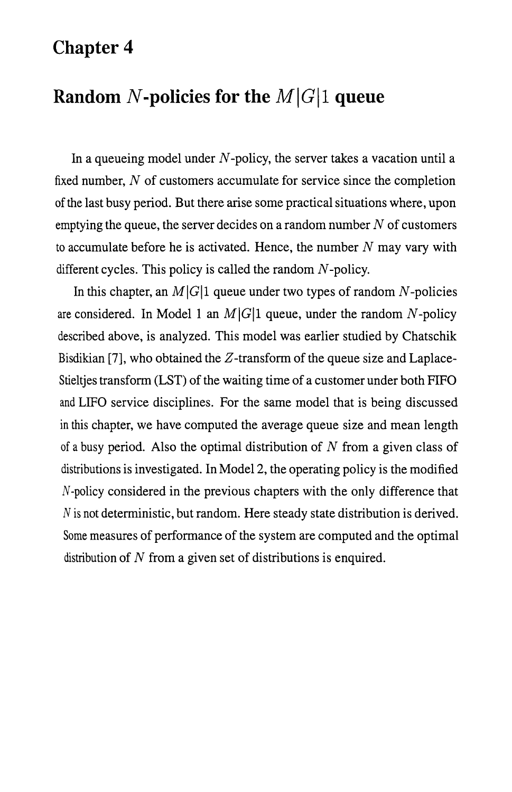## **Chapter 4**

## **Random N-policies for the**  $M|G|1$  **queue**

In a queueing model under  $N$ -policy, the server takes a vacation until a fixed number,  $N$  of customers accumulate for service since the completion of the last busy period. But there arise some practical situations where, upon emptying the queue, the server decides on a random number  $N$  of customers to accumulate before he is activated. Hence, the number  $N$  may vary with different cycles. This policy is called the random  $N$ -policy.

In this chapter, an  $M|G|1$  queue under two types of random N-policies are considered. In Model 1 an  $M|G|1$  queue, under the random N-policy described above, is analyzed. This model was earlier studied by Chatschik Bisdikian [7], who obtained the  $Z$ -transform of the queue size and Laplace-Stieltjes transform (LST) of the waiting time of a customer under both FIFO and LIFO service disciplines. For the same model that is being discussed in this chapter, we have computed the average queue size and mean length of a busy period. Also the optimal distribution of  $N$  from a given class of distributions is investigated. In Model 2, the operating policy is the modified N-policy considered in the previous chapters with the only difference that N is not deterministic, but random. Here steady state distribution is derived. Some measures of performance of the system are computed and the optimal distribution of  $N$  from a given set of distributions is enquired.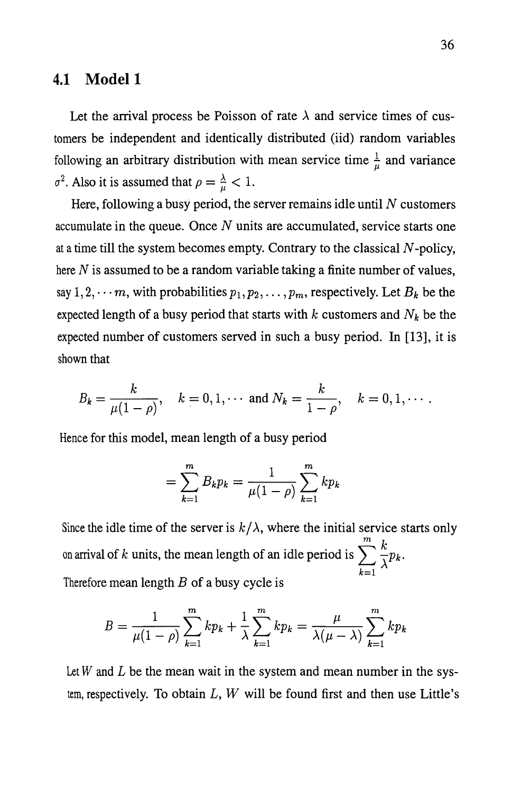#### **4.1 Model1**

Let the arrival process be Poisson of rate  $\lambda$  and service times of customers be independent and identically distributed (iid) random variables following an arbitrary distribution with mean service time  $\frac{1}{\mu}$  and variance  $\sigma^2$ . Also it is assumed that  $\rho = \frac{\lambda}{\mu} < 1$ .

Here, following a busy period, the server remains idle until  $N$  customers accumulate in the queue. Once  $N$  units are accumulated, service starts one at a time till the system becomes empty. Contrary to the classical N -policy, here  $N$  is assumed to be a random variable taking a finite number of values, say  $1, 2, \dots$ *m*, with probabilities  $p_1, p_2, \dots, p_m$ , respectively. Let  $B_k$  be the expected length of a busy period that starts with *k* customers and *Nk* be the expected number of customers served in such a busy period. In [13], it is shown that

$$
B_k = \frac{k}{\mu(1-\rho)}, \quad k = 0, 1, \cdots \text{ and } N_k = \frac{k}{1-\rho}, \quad k = 0, 1, \cdots.
$$

Hence for this model, mean length of a busy period

$$
= \sum_{k=1}^{m} B_k p_k = \frac{1}{\mu(1-\rho)} \sum_{k=1}^{m} k p_k
$$

Since the idle time of the server is  $k/\lambda$ , where the initial service starts only on arrival of *k* units, the mean length of an idle period is  $\sum_{k=1}^{m} \frac{k}{\lambda} p_k$ .  $k=1$ Therefore mean length  $B$  of a busy cycle is

$$
B = \frac{1}{\mu(1-\rho)} \sum_{k=1}^{m} k p_k + \frac{1}{\lambda} \sum_{k=1}^{m} k p_k = \frac{\mu}{\lambda(\mu - \lambda)} \sum_{k=1}^{m} k p_k
$$

Let  $W$  and  $L$  be the mean wait in the system and mean number in the system, respectively. To obtain *L, W* will be found first and then use Little's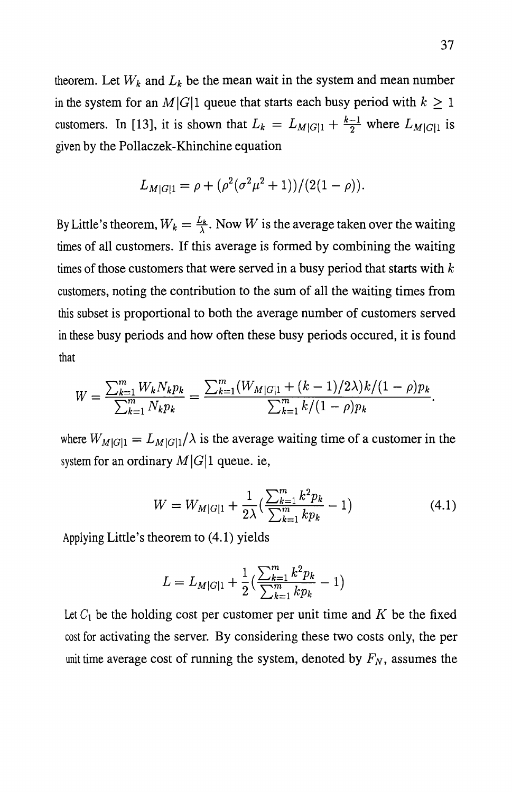theorem. Let  $W_k$  and  $L_k$  be the mean wait in the system and mean number in the system for an  $M|G|1$  queue that starts each busy period with  $k \geq 1$ customers. In [13], it is shown that  $L_k = L_{M|G|1} + \frac{k-1}{2}$  where  $L_{M|G|1}$  is given by the Pollaczek -Khinchine equation

$$
L_{M|G|1} = \rho + (\rho^2(\sigma^2\mu^2 + 1))/(2(1 - \rho)).
$$

By Little's theorem,  $W_k = \frac{L_k}{\lambda}$ . Now *W* is the average taken over the waiting times of all customers. If this average is formed by combining the waiting times of those customers that were served in a busy period that starts with  $k$ customers, noting the contribution to the sum of all the waiting times from this subset is proportional to both the average number of customers served in these busy periods and how often these busy periods occured, it is found that

$$
W = \frac{\sum_{k=1}^{m} W_k N_k p_k}{\sum_{k=1}^{m} N_k p_k} = \frac{\sum_{k=1}^{m} (W_{M|G|1} + (k-1)/2\lambda) k / (1-\rho) p_k}{\sum_{k=1}^{m} k / (1-\rho) p_k}.
$$

where  $W_{M|G|1} = L_{M|G|1}/\lambda$  is the average waiting time of a customer in the system for an ordinary  $M|G|1$  queue. ie,

$$
W = W_{M|G|1} + \frac{1}{2\lambda} \left( \frac{\sum_{k=1}^{m} k^2 p_k}{\sum_{k=1}^{m} k p_k} - 1 \right)
$$
 (4.1)

Applying Little's theorem to (4.1) yields

$$
L = L_{M|G|1} + \frac{1}{2} \left( \frac{\sum_{k=1}^{m} k^{2} p_{k}}{\sum_{k=1}^{m} k p_{k}} - 1 \right)
$$

Let  $C_1$  be the holding cost per customer per unit time and  $K$  be the fixed cost for activating the server. By considering these two costs only, the per unit time average cost of running the system, denoted by  $F_N$ , assumes the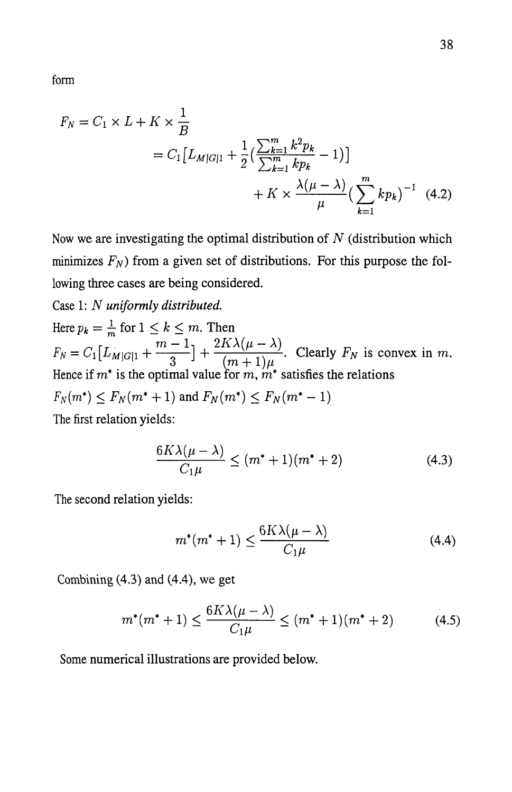form

$$
F_N = C_1 \times L + K \times \frac{1}{B}
$$
  
=  $C_1 \left[ L_{M|G|1} + \frac{1}{2} \left( \frac{\sum_{k=1}^m k^2 p_k}{\sum_{k=1}^m k p_k} - 1 \right) \right]$   
+  $K \times \frac{\lambda(\mu - \lambda)}{\mu} \left( \sum_{k=1}^m k p_k \right)^{-1}$  (4.2)

Now we are investigating the optimal distribution of  $N$  (distribution which minimizes  $F_N$ ) from a given set of distributions. For this purpose the following three cases are being considered.

Case 1: *N uniformly distributed.* 

Here  $p_k = \frac{1}{m}$  for  $1 \leq k \leq m$ . Then Here  $p_k = \frac{1}{m}$  for  $1 \le k \le m$ . Then<br>  $F_N = C_1 \left[ L_{M|G|1} + \frac{m-1}{3} \right] + \frac{2K\lambda(\mu-\lambda)}{(m+1)\mu}$ . Clearly  $F_N$  is convex in m. Hence if  $m^*$  is the optimal value for  $m, m^*$  satisfies the relations  $F_N(m^*) \le F_N(m^* + 1)$  and  $F_N(m^*) \le F_N(m^* - 1)$ The first relation yields:

$$
\frac{6K\lambda(\mu-\lambda)}{C_1\mu} \le (m^*+1)(m^*+2)
$$
 (4.3)

The second relation yields:

$$
m^*(m^*+1) \le \frac{6K\lambda(\mu-\lambda)}{C_1\mu} \tag{4.4}
$$

Combining (4.3) and (4.4), we get

$$
m^*(m^*+1) \le \frac{6K\lambda(\mu-\lambda)}{C_1\mu} \le (m^*+1)(m^*+2) \tag{4.5}
$$

Some numerical illustrations are provided below.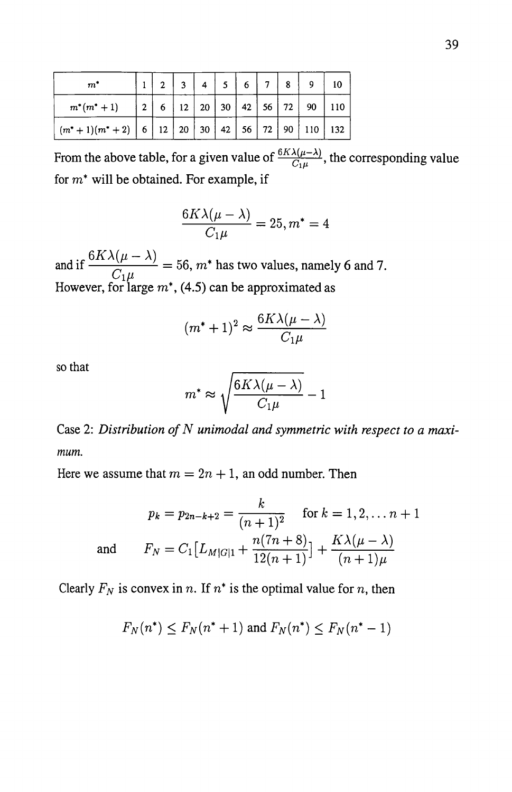| $m^*$                                                                                                                    | 2 <sup>7</sup> | $\vert$ 3 | $4 \mid 5 \mid 6$ | $\begin{array}{ c c c c c } \hline 7 & 8 \ \hline \end{array}$ |                                                                                            |  |
|--------------------------------------------------------------------------------------------------------------------------|----------------|-----------|-------------------|----------------------------------------------------------------|--------------------------------------------------------------------------------------------|--|
| $m^*(m^*+1)$                                                                                                             |                |           |                   |                                                                | $\vert 2 \vert 6 \vert 12 \vert 20 \vert 30 \vert 42 \vert 56 \vert 72 \vert 90 \vert 110$ |  |
| $\left  \frac{m^*+1}{m^*+2} \right  6 \mid 12 \mid 20 \mid 30 \mid 42 \mid 56 \mid 72 \mid 90 \mid 110 \mid 132 \right $ |                |           |                   |                                                                |                                                                                            |  |

From the above table, for a given value of  $\frac{6A\lambda(\mu-\lambda)}{C_1\mu}$ , the corresponding value for  $m^*$  will be obtained. For example, if

$$
\frac{6K\lambda(\mu-\lambda)}{C_1\mu}=25, m^*=4
$$

and if  $\frac{6K\lambda(\mu-\lambda)}{C}$  = 56, m<sup>\*</sup> has two values, namely 6 and 7. However, for large  $m^*$ , (4.5) can be approximated as

$$
(m^* + 1)^2 \approx \frac{6K\lambda(\mu - \lambda)}{C_1\mu}
$$

so that

$$
m^* \approx \sqrt{\frac{6K\lambda(\mu-\lambda)}{C_1\mu}} - 1
$$

Case 2: *Distribution of N unimodal and symmetric with respect to a maximum.* 

Here we assume that  $m = 2n + 1$ , an odd number. Then

$$
p_k = p_{2n-k+2} = \frac{k}{(n+1)^2} \quad \text{for } k = 1, 2, \dots n+1
$$
  
and 
$$
F_N = C_1 \left[ L_{M|G|1} + \frac{n(7n+8)}{12(n+1)} \right] + \frac{K\lambda(\mu-\lambda)}{(n+1)\mu}
$$

Clearly  $F_N$  is convex in n. If  $n^*$  is the optimal value for n, then

$$
F_N(n^*) \le F_N(n^* + 1)
$$
 and  $F_N(n^*) \le F_N(n^* - 1)$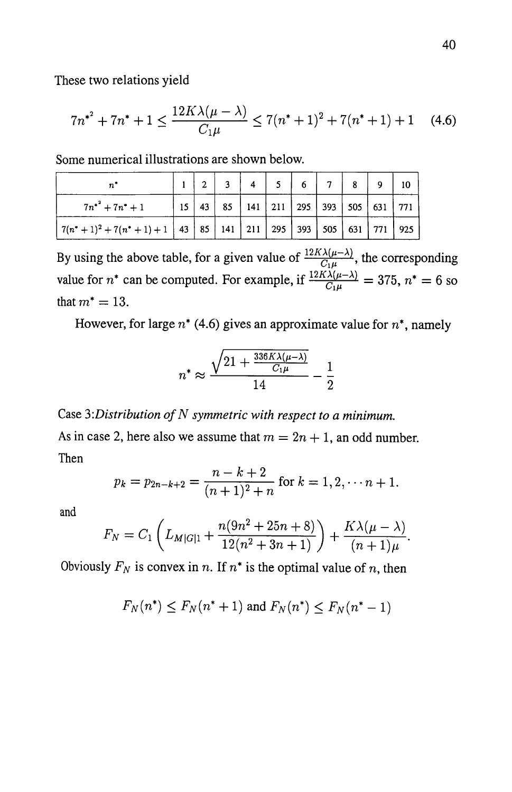These two relations yield

$$
7n^{*^2} + 7n^* + 1 \le \frac{12K\lambda(\mu - \lambda)}{C_1\mu} \le 7(n^* + 1)^2 + 7(n^* + 1) + 1 \quad (4.6)
$$

Some numerical illustrations are shown below.

|                                                                |  | $2 \mid 3 \mid 4 \mid 5 \mid 6 \mid 7 \mid 8$                                            |  |  |  |  |
|----------------------------------------------------------------|--|------------------------------------------------------------------------------------------|--|--|--|--|
| $7n^{*^2} + 7n^* + 1$                                          |  | $15 \mid 43 \mid 85 \mid 141 \mid 211 \mid 295 \mid 393 \mid 505 \mid 631 \mid 771 \mid$ |  |  |  |  |
| $ 7(n^*+1)^2+7(n^*+1)+1 43 85 141 211 295 393 505 631 771 925$ |  |                                                                                          |  |  |  |  |

By using the above table, for a given value of  $\frac{12K\lambda(\mu-\lambda)}{G\mu}$ , the corresponding value for  $n^*$  can be computed. For example, if  $\frac{12A\lambda(\mu-\lambda)}{C_1\mu} = 375$ ,  $n^* = 6$  so that  $m^* = 13$ .

However, for large *n\** (4.6) gives an approximate value for *n\*,* namely

$$
n^* \approx \frac{\sqrt{21 + \frac{336K\lambda(\mu - \lambda)}{C_1\mu}}}{14} - \frac{1}{2}
$$

Case 3: Distribution of N symmetric with respect to a minimum.

As in case 2, here also we assume that  $m = 2n + 1$ , an odd number. Then

$$
p_k = p_{2n-k+2} = \frac{n-k+2}{(n+1)^2 + n}
$$
 for  $k = 1, 2, \dots, n+1$ .

and

$$
F_N = C_1 \left( L_{M|G|1} + \frac{n(9n^2 + 25n + 8)}{12(n^2 + 3n + 1)} \right) + \frac{K\lambda(\mu - \lambda)}{(n+1)\mu}.
$$

Obviously  $F_N$  is convex in *n*. If  $n^*$  is the optimal value of *n*, then

$$
F_N(n^*) \le F_N(n^*+1)
$$
 and  $F_N(n^*) \le F_N(n^*-1)$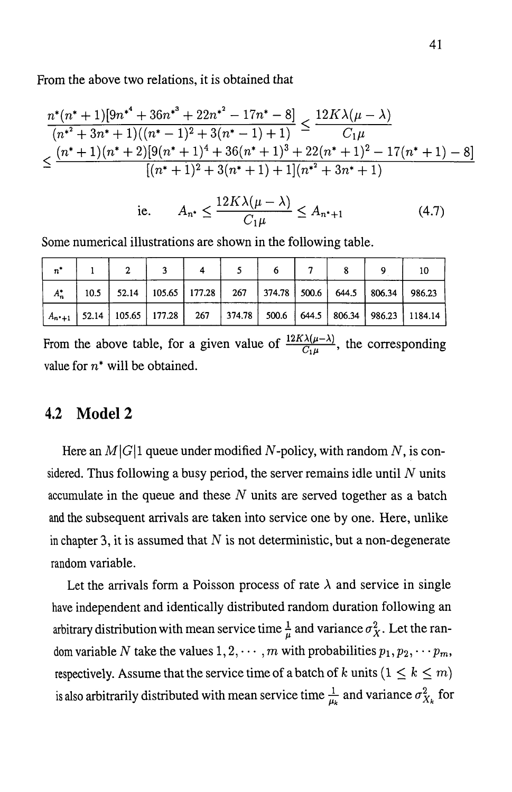From the above two relations, it is obtained that

$$
\frac{n^*(n^*+1)[9n^{*^4}+36n^{*^3}+22n^{*^2}-17n^*-8]}{(n^{*^2}+3n^*+1)((n^*-1)^2+3(n^*-1)+1)} \le \frac{12K\lambda(\mu-\lambda)}{C_1\mu}
$$
\n
$$
\le \frac{(n^*+1)(n^*+2)[9(n^*+1)^4+36(n^*+1)^3+22(n^*+1)^2-17(n^*+1)-8]}{[(n^*+1)^2+3(n^*+1)+1](n^{*^2}+3n^*+1)}
$$

$$
\text{ie.} \qquad A_{n^*} \le \frac{12K\lambda(\mu - \lambda)}{C_1\mu} \le A_{n^*+1} \tag{4.7}
$$

Some numerical illustrations are shown in the following table.

|  |  |  |  | $A_n^*$   10.5   52.14   105.65   177.28   267   374.78   500.6   644.5   806.34   986.23 |                                                                                                |
|--|--|--|--|-------------------------------------------------------------------------------------------|------------------------------------------------------------------------------------------------|
|  |  |  |  |                                                                                           | $ A_{n+1} $ 52.14   105.65   177.28   267   374.78   500.6   644.5   806.34   986.23   1184.14 |

From the above table, for a given value of  $\frac{12K\lambda(\mu-\lambda)}{C_1\mu}$ , the corresponding value for  $n^*$  will be obtained.

### **4.2 Model2**

Here an  $M|G|1$  queue under modified N-policy, with random N, is considered. Thus following a busy period, the server remains idle until  $N$  units accumulate in the queue and these  $N$  units are served together as a batch and the subsequent arrivals are taken into service one by one. Here, unlike in chapter 3, it is assumed that  $N$  is not deterministic, but a non-degenerate random variable.

Let the arrivals form a Poisson process of rate  $\lambda$  and service in single have independent and identically distributed random duration following an arbitrary distribution with mean service time  $\frac{1}{\mu}$  and variance  $\sigma_X^2$ . Let the random variable N take the values  $1, 2, \cdots, m$  with probabilities  $p_1, p_2, \cdots p_m$ , respectively. Assume that the service time of a batch of k units  $(1 \leq k \leq m)$ is also arbitrarily distributed with mean service time  $\frac{1}{\mu_k}$  and variance  $\sigma_{X_k}^2$  for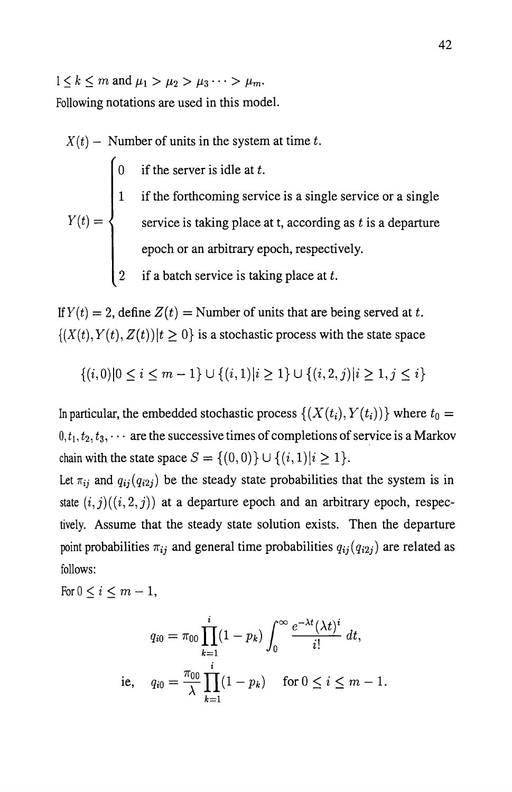$1 \leq k \leq m$  and  $\mu_1 > \mu_2 > \mu_3 \cdots > \mu_m$ .

Following notations are used in this model.

- $X(t)$  Number of units in the system at time t.
- 0 if the server is idle at  $t$ . 1 if the forthcoming service is a single service or a single  $Y(t) = \begin{cases}$  service is taking place at t, according as t is a departure epoch or an arbitrary epoch, respectively. 2 if a batch service is taking place at  $t$ .

If  $Y(t) = 2$ , define  $Z(t) =$  Number of units that are being served at t.  $\{(X(t), Y(t), Z(t)) | t \ge 0\}$  is a stochastic process with the state space

$$
\{(i,0)|0\leq i\leq m-1\}\cup\{(i,1)|i\geq 1\}\cup\{(i,2,j)|i\geq 1,j\leq i\}
$$

In particular, the embedded stochastic process  $\{(X(t_i), Y(t_i))\}$  where  $t_0 =$  $0, t_1, t_2, t_3, \cdots$  are the successive times of completions of service is a Markov chain with the state space  $S = \{(0, 0)\} \cup \{(i, 1)|i \geq 1\}.$ 

Let  $\pi_{ij}$  and  $q_{ij} (q_{i2j})$  be the steady state probabilities that the system is in state  $(i, j)((i, 2, j))$  at a departure epoch and an arbitrary epoch, respectively. Assume that the steady state solution exists. Then the departure point probabilities  $\pi_{ij}$  and general time probabilities  $q_{ij} (q_{i2j})$  are related as follows:

For  $0 \leq i \leq m-1$ ,

$$
q_{i0} = \pi_{00} \prod_{k=1}^{i} (1 - p_k) \int_0^\infty \frac{e^{-\lambda t} (\lambda t)^i}{i!} dt,
$$
  
i.e,  $q_{i0} = \frac{\pi_{00}}{\lambda} \prod_{k=1}^{i} (1 - p_k) \quad \text{for } 0 \le i \le m - 1.$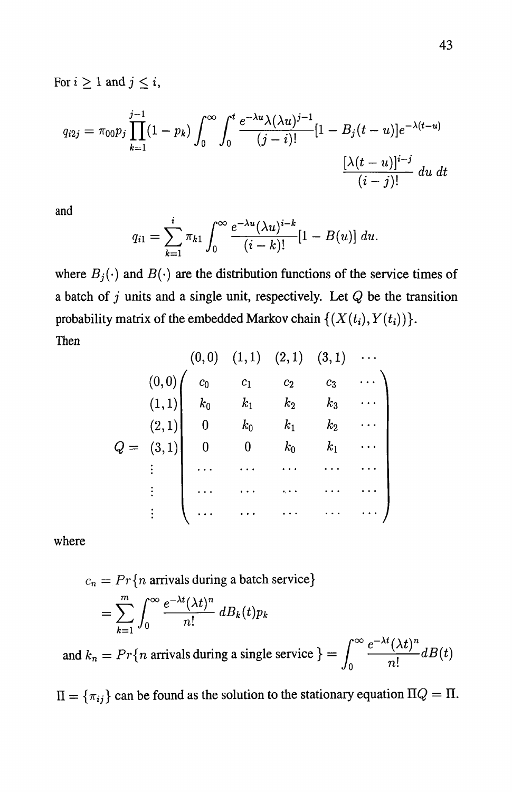For  $i \geq 1$  and  $j \leq i$ ,

$$
q_{i2j} = \pi_{00} p_j \prod_{k=1}^{j-1} (1 - p_k) \int_0^\infty \int_0^t \frac{e^{-\lambda u} \lambda(\lambda u)^{j-1}}{(j-i)!} [1 - B_j(t-u)] e^{-\lambda(t-u)} \frac{[\lambda(t-u)]^{i-j}}{(i-j)!} du dt
$$

and

$$
q_{i1} = \sum_{k=1}^{i} \pi_{k1} \int_0^{\infty} \frac{e^{-\lambda u} (\lambda u)^{i-k}}{(i-k)!} [1 - B(u)] \ du.
$$

where  $B_j(\cdot)$  and  $B(\cdot)$  are the distribution functions of the service times of a batch of j units and a single unit, respectively. Let *Q* be the transition probability matrix of the embedded Markov chain  $\{(X(t_i), Y(t_i))\}.$ Then

$$
Q = \begin{pmatrix} (0,0) & (1,1) & (2,1) & (3,1) & \cdots \\ (0,0) & c_0 & c_1 & c_2 & c_3 & \cdots \\ (1,1) & k_0 & k_1 & k_2 & k_3 & \cdots \\ (2,1) & 0 & k_0 & k_1 & k_2 & \cdots \\ 0 & 0 & k_0 & k_1 & \cdots \\ \vdots & \vdots & \cdots & \cdots & \cdots & \cdots \\ \vdots & \vdots & \cdots & \cdots & \cdots & \cdots \end{pmatrix}
$$

where

$$
c_n = Pr\{n \text{ arrivals during a batch service}\}\
$$

$$
= \sum_{k=1}^m \int_0^\infty \frac{e^{-\lambda t} (\lambda t)^n}{n!} dB_k(t) p_k
$$

and  $k_n = Pr\{n \text{ arrivals during a single service }\} = \int_0^\infty \frac{e^{-\lambda t} (\lambda t)^n}{n!} dB(t)$  $\begin{array}{ccc} & & n! \end{array}$ 

 $\Pi = {\pi_{ij}}$  can be found as the solution to the stationary equation  $\Pi Q = \Pi$ .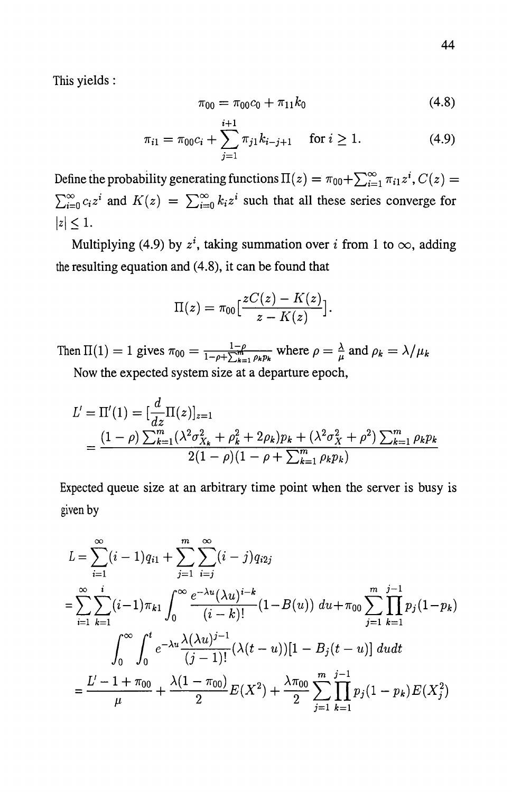This yields :

$$
\pi_{00} = \pi_{00}c_0 + \pi_{11}k_0 \tag{4.8}
$$

$$
\pi_{i1} = \pi_{00}c_i + \sum_{j=1}^{i+1} \pi_{j1}k_{i-j+1} \quad \text{for } i \ge 1.
$$
 (4.9)

Define the probability generating functions  $\Pi(z) = \pi_{00} + \sum_{i=1}^{\infty} \pi_{i1} z^i$ ,  $C(z) =$  $\sum_{i=0}^{\infty} c_i z^i$  and  $K(z) = \sum_{i=0}^{\infty} k_i z^i$  such that all these series converge for  $|z| \leq 1$ .

Multiplying (4.9) by  $z^i$ , taking summation over i from 1 to  $\infty$ , adding the resulting equation and (4.8), it can be found that

$$
\Pi(z)=\pi_{00}\big[\frac{zC(z)-K(z)}{z-K(z)}\big].
$$

Then  $\Pi(1) = 1$  gives  $\pi_{00} = \frac{1-\rho}{1-\rho + \sum_{k=1}^{m} \rho_k p_k}$  where  $\rho = \frac{\lambda}{\mu}$  and  $\rho_k = \lambda / \mu_k$ Now the expected system size at a departure epoch,

$$
L' = \Pi'(1) = \left[\frac{d}{dz}\Pi(z)\right]_{z=1}
$$
  
= 
$$
\frac{(1-\rho)\sum_{k=1}^{m}(\lambda^2\sigma_{X_k}^2 + \rho_k^2 + 2\rho_k)p_k + (\lambda^2\sigma_X^2 + \rho^2)\sum_{k=1}^{m}\rho_kp_k}{2(1-\rho)(1-\rho + \sum_{k=1}^{m}\rho_kp_k)}
$$

Expected queue size at an arbitrary time point when the server is busy is given by

$$
L = \sum_{i=1}^{\infty} (i-1)q_{i1} + \sum_{j=1}^{m} \sum_{i=j}^{\infty} (i-j)q_{i2j}
$$
  
= 
$$
\sum_{i=1}^{\infty} \sum_{k=1}^{i} (i-1)\pi_{k1} \int_{0}^{\infty} \frac{e^{-\lambda u}(\lambda u)^{i-k}}{(i-k)!} (1-B(u)) du + \pi_{00} \sum_{j=1}^{m} \prod_{k=1}^{j-1} p_{j} (1-p_{k})
$$
  

$$
\int_{0}^{\infty} \int_{0}^{t} e^{-\lambda u} \frac{\lambda(\lambda u)^{j-1}}{(j-1)!} (\lambda(t-u))[1-B_{j}(t-u)] du dt
$$
  
= 
$$
\frac{L'-1+\pi_{00}}{\mu} + \frac{\lambda(1-\pi_{00})}{2} E(X^{2}) + \frac{\lambda \pi_{00}}{2} \sum_{j=1}^{m} \prod_{k=1}^{j-1} p_{j} (1-p_{k}) E(X^{2}_{j})
$$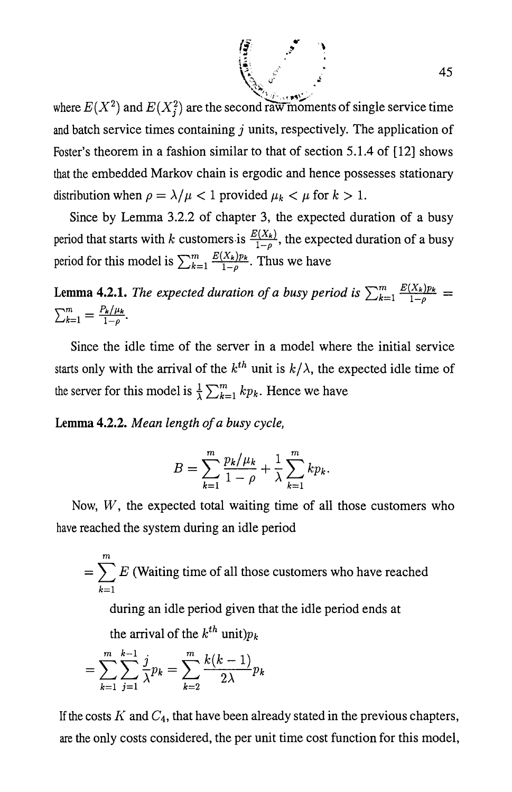$\mathcal{I}$  is the set of  $\mathcal{I}$  and  $\mathcal{I}$ ". *"J-* ", ,. ... ~ ..... / where  $E(X^2)$  and  $E(X_i^2)$  are the second raw moments of single service time and batch service times containing  $j$  units, respectively. The application of Foster's theorem in a fashion similar to that of section 5.1.4 of [12] shows that the embedded Markov chain is ergodic and hence possesses stationary distribution when  $\rho = \lambda/\mu < 1$  provided  $\mu_k < \mu$  for  $k > 1$ .

 $\mathcal{N}$  , and  $\mathcal{N}$  , and  $\mathcal{N}$ 

 $\sqrt{\frac{5}{4}}$ 

Since by Lemma 3.2.2 of chapter 3, the expected duration of a busy period that starts with *k* customers is  $\frac{E(X_k)}{1-\rho}$ , the expected duration of a busy period for this model is  $\sum_{k=1}^{m} \frac{E(X_k)p_k}{1-\rho}$ . Thus we have

**Lemma 4.2.1.** *The expected duration of a busy period is*  $\sum_{k=1}^{m} \frac{E(X_k)p_k}{1-\rho}$  =  $\sum_{k=1}^{m} = \frac{P_k/\mu_k}{1-\rho}.$ 

Since the idle time of the server in a model where the initial service starts only with the arrival of the  $k^{th}$  unit is  $k/\lambda$ , the expected idle time of the server for this model is  $\frac{1}{\lambda} \sum_{k=1}^{m} k p_k$ . Hence we have

**Lemma 4.2.2.** *Mean length of a busy cycle,* 

$$
B = \sum_{k=1}^{m} \frac{p_k / \mu_k}{1 - \rho} + \frac{1}{\lambda} \sum_{k=1}^{m} k p_k.
$$

Now,  $W$ , the expected total waiting time of all those customers who have reached the system during an idle period

$$
= \sum_{k=1}^{m} E
$$
 (Waiting time of all those customers who have reached

during an idle period given that the idle period ends at

the arrival of the  $k^{th}$  unit) $p_k$ 

$$
= \sum_{k=1}^{m} \sum_{j=1}^{k-1} \frac{j}{\lambda} p_k = \sum_{k=2}^{m} \frac{k(k-1)}{2\lambda} p_k
$$

If the costs  $K$  and  $C_4$ , that have been already stated in the previous chapters, are the only costs considered, the per unit time cost function for this model,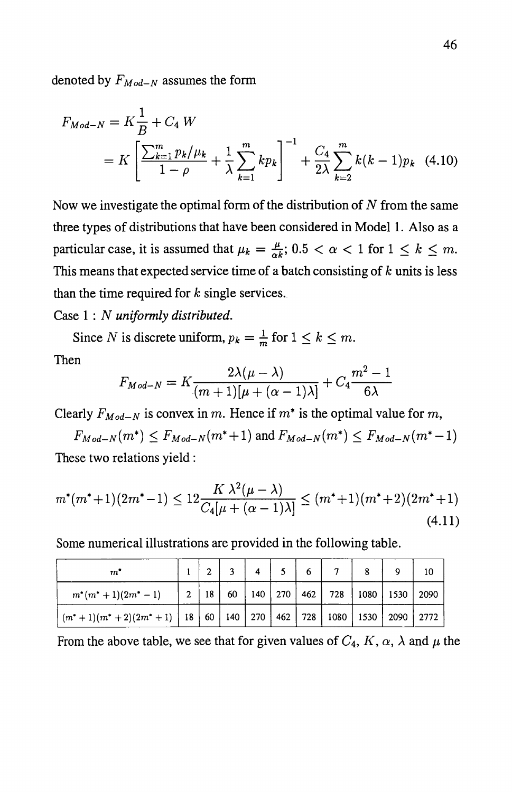denoted by  $F_{Mod-N}$  assumes the form

$$
F_{Mod-N} = K \frac{1}{B} + C_4 W
$$
  
=  $K \left[ \frac{\sum_{k=1}^{m} p_k / \mu_k}{1 - \rho} + \frac{1}{\lambda} \sum_{k=1}^{m} k p_k \right]^{-1} + \frac{C_4}{2\lambda} \sum_{k=2}^{m} k(k-1) p_k$  (4.10)

Now we investigate the optimal form of the distribution of  $N$  from the same three types of distributions that have been considered in Model 1. Also as a particular case, it is assumed that  $\mu_k = \frac{\mu}{\alpha k}$ ; 0.5 <  $\alpha$  < 1 for  $1 \leq k \leq m$ . This means that expected service time of a batch consisting of *k* units is less than the time required for *k* single services.

Case 1 : *N uniformly distributed.* 

Since *N* is discrete uniform,  $p_k = \frac{1}{m}$  for  $1 \leq k \leq m$ . Then

$$
F_{Mod-N} = K \frac{2\lambda(\mu - \lambda)}{(m+1)[\mu + (\alpha - 1)\lambda]} + C_4 \frac{m^2 - 1}{6\lambda}
$$

Clearly  $F_{Mod-N}$  is convex in m. Hence if  $m^*$  is the optimal value for m,

 $F_{Mod-N}(m^*) \le F_{Mod-N}(m^*+1)$  and  $F_{Mod-N}(m^*) \le F_{Mod-N}(m^*-1)$ These two relations yield:

$$
m^*(m^*+1)(2m^*-1) \le 12 \frac{K\lambda^2(\mu-\lambda)}{C_4[\mu+(\alpha-1)\lambda]} \le (m^*+1)(m^*+2)(2m^*+1)
$$
\n(4.11)

Some numerical illustrations are provided in the following table.

| $m^\ast$                                                                               |  | 3 <sup>7</sup> | $\overline{4}$ |  |  |                                                          | 10 |
|----------------------------------------------------------------------------------------|--|----------------|----------------|--|--|----------------------------------------------------------|----|
| $m^*(m^*+1)(2m^*-1)$                                                                   |  |                |                |  |  | 2   18   60   140   270   462   728   1080   1530   2090 |    |
| $(m^*+1)(m^*+2)(2m^*+1)$   18   60   140   270   462   728   1080   1530   2090   2772 |  |                |                |  |  |                                                          |    |

From the above table, we see that for given values of  $C_4$ ,  $K$ ,  $\alpha$ ,  $\lambda$  and  $\mu$  the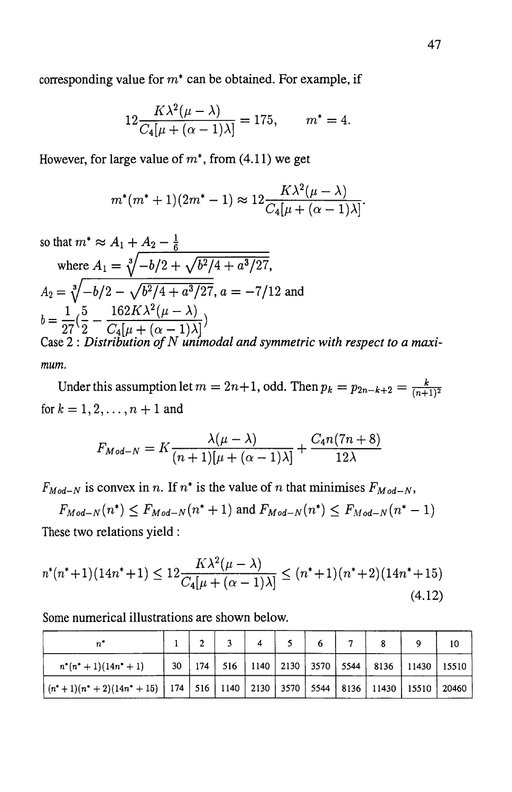corresponding value for  $m^*$  can be obtained. For example, if

$$
12 \frac{K\lambda^{2}(\mu - \lambda)}{C_{4}[\mu + (\alpha - 1)\lambda]} = 175, \qquad m^{*} = 4.
$$

However, for large value of  $m^*$ , from (4.11) we get

$$
m^*(m^*+1)(2m^*-1) \approx 12 \frac{K\lambda^2(\mu-\lambda)}{C_4[\mu+(\alpha-1)\lambda]}.
$$

so that  $m^* \approx A_1 + A_2 - \frac{1}{6}$ where  $A_1 = \sqrt[3]{-b/2} + \sqrt{b^2/4 + a^3/27}$ ,  $A_2 = \sqrt[3]{-b/2 - \sqrt{b^2/4 + a^3/27}}, a = -7/12$  and  $b = \frac{1}{\sqrt{5}} - \frac{162K\lambda^2(\mu - \lambda)}{2}$  $27\overline{2} - C_4[\mu + (\alpha - 1)\lambda]$ Case 2 : *Distribution of N unimodal and symmetric with respect to a maximum.* 

Under this assumption let  $m = 2n+1$ , odd. Then  $p_k = p_{2n-k+2} = \frac{k}{(n+1)^2}$ for  $k = 1, 2, ..., n + 1$  and

$$
F_{Mod-N} = K \frac{\lambda(\mu - \lambda)}{(n+1)[\mu + (\alpha - 1)\lambda]} + \frac{C_4 n(7n+8)}{12\lambda}
$$

 $F_{Mod-N}$  is convex in *n*. If  $n^*$  is the value of *n* that minimises  $F_{Mod-N}$ ,

 $F_{Mod-N}(n^*) \le F_{Mod-N}(n^*+1)$  and  $F_{Mod-N}(n^*) \le F_{Mod-N}(n^*-1)$ These two relations yield:

$$
n^*(n^*+1)(14n^*+1) \le 12 \frac{K\lambda^2(\mu-\lambda)}{C_4[\mu+(\alpha-1)\lambda]} \le (n^*+1)(n^*+2)(14n^*+15)
$$
\n(4.12)

Some numerical illustrations are shown below.

|                                                                                                                      |  | $\overline{a}$ | 4 |  | $\overline{7}$ |                                                                   |  |
|----------------------------------------------------------------------------------------------------------------------|--|----------------|---|--|----------------|-------------------------------------------------------------------|--|
| $n^*(n^*+1)(14n^*+1)$                                                                                                |  |                |   |  |                | 30   174   516   1140   2130   3570   5544   8136   11430   15510 |  |
| $\left( (n^{*}+1)(n^{*}+2)(14n^{*}+15) \right)$ 174   516   1140   2130   3570   5544   8136   11430   15510   20460 |  |                |   |  |                |                                                                   |  |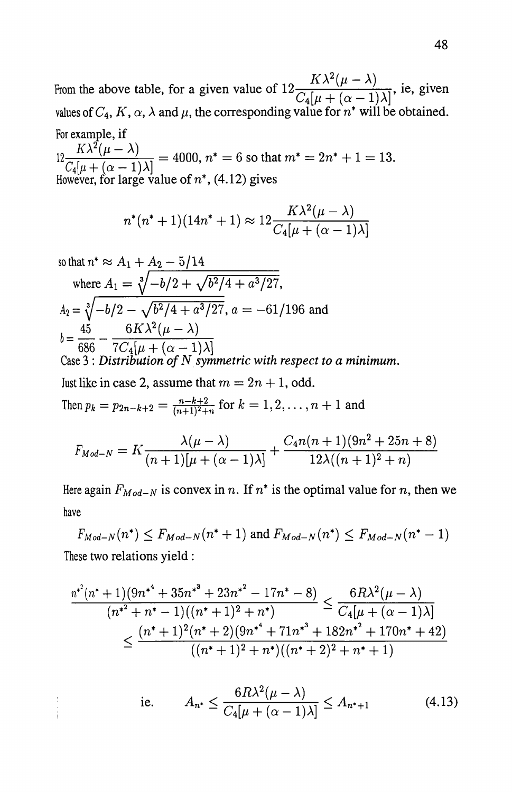From the above table, for a given value of  $12 \frac{K\lambda^2(\mu - \lambda)}{C_4[\mu + (\alpha - 1)\lambda]},$  ie, given values of  $C_4$ ,  $K$ ,  $\alpha$ ,  $\lambda$  and  $\mu$ , the corresponding value for  $n^*$  will be obtained. For example, if

 $\frac{K\lambda^2(\mu - \lambda)}{C_4[\mu + (\alpha - 1)\lambda]}$  = 4000,  $n^* = 6$  so that  $m^* = 2n^* + 1 = 13$ .<br>However, for large value of  $n^*$ , (4.12) gives

$$
n^*(n^*+1)(14n^*+1) \approx 12 \frac{K\lambda^2(\mu-\lambda)}{C_4[\mu+(\alpha-1)\lambda]}
$$

so that 
$$
n^* \approx A_1 + A_2 - 5/14
$$
  
\nwhere  $A_1 = \sqrt[3]{-b/2 + \sqrt{b^2/4 + a^3/27}}$ ,  
\n $A_2 = \sqrt[3]{-b/2 - \sqrt{b^2/4 + a^3/27}}$ ,  $a = -61/196$  and  
\n $b = \frac{45}{686} - \frac{6K\lambda^2(\mu - \lambda)}{7C_4[\mu + (\alpha - 1)\lambda]}$ 

Case 3 : *Distribution of* N *symmetric with respect to a minimum.*  Just like in case 2, assume that  $m = 2n + 1$ , odd.

Then 
$$
p_k = p_{2n-k+2} = \frac{n-k+2}{(n+1)^2+n}
$$
 for  $k = 1, 2, ..., n+1$  and

$$
F_{Mod-N} = K \frac{\lambda(\mu - \lambda)}{(n+1)[\mu + (\alpha - 1)\lambda]} + \frac{C_4 n(n+1)(9n^2 + 25n + 8)}{12\lambda((n+1)^2 + n)}
$$

Here again  $F_{Mod-N}$  is convex in n. If  $n^*$  is the optimal value for n, then we have

 $F_{Mod-N}(n^*) \le F_{Mod-N}(n^*+1)$  and  $F_{Mod-N}(n^*) \le F_{Mod-N}(n^*-1)$ These two relations yield :

$$
\frac{n^{*^2}(n^*+1)(9n^{*^4}+35n^{*^3}+23n^{*^2}-17n^*-8)}{(n^{*^2}+n^*-1)((n^*+1)^2+n^*)} \leq \frac{6R\lambda^2(\mu-\lambda)}{C_4[\mu+(\alpha-1)\lambda]}
$$
  

$$
\leq \frac{(n^*+1)^2(n^*+2)(9n^{*^4}+71n^{*^3}+182n^{*^2}+170n^*+42)}{((n^*+1)^2+n^*)((n^*+2)^2+n^*+1)}
$$

i.e. 
$$
A_{n^*} \leq \frac{6R\lambda^2(\mu - \lambda)}{C_4[\mu + (\alpha - 1)\lambda]} \leq A_{n^*+1}
$$
 (4.13)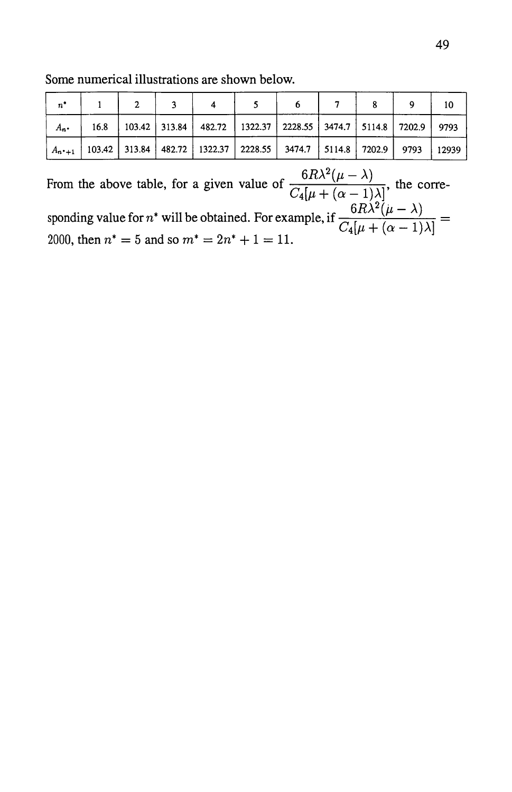Some numerical illustrations are shown below.

| $n^*$   |  |                                                                                            |  |  |       |
|---------|--|--------------------------------------------------------------------------------------------|--|--|-------|
| $A_{n}$ |  | 16.8   103.42   313.84   482.72   1322.37   2228.55   3474.7   5114.8   7202.9   9793      |  |  |       |
|         |  | $A_{n+1}$   103.42   313.84   482.72   1322.37   2228.55   3474.7   5114.8   7202.9   9793 |  |  | 12939 |

From the above table, for a given value of  $\frac{6R\lambda^2(\mu-\lambda)}{C_4[\mu+(\alpha-1)\lambda]}$ , the corresponding value for *n*<sup>\*</sup> will be obtained. For example, if  $\frac{6R\lambda^2(\mu - \lambda)}{C_4[\mu + (\alpha - 1)\lambda]}$ 2000, then  $n^* = 5$  and so  $m^* = 2n^* + 1 = 11$ .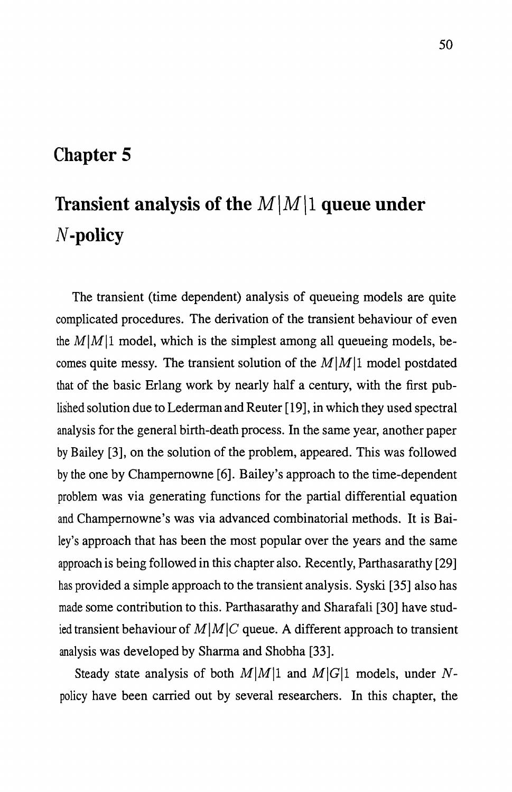### **Chapter 5**

# **Transient analysis of the**  $M\vert M\vert$  **queue under N-policy**

The transient (time dependent) analysis of queueing models are quite complicated procedures. The derivation of the transient behaviour of even the  $M|M|1$  model, which is the simplest among all queueing models, becomes quite messy. The transient solution of the  $M|M|1$  model postdated that of the basic Erlang work by nearly half a century, with the first published solution due to Lederman and Reuter [19], in which they used spectral analysis for the general birth-death process. In the same year, another paper by Bailey [3], on the solution of the problem, appeared. This was followed by the one by Champernowne [6]. Bailey's approach to the time-dependent problem was via generating functions for the partial differential equation and Champernowne's was via advanced combinatorial methods. It is Bailey's approach that has been the most popular over the years and the same approach is being followed in this chapter also. Recently, Parthasarathy [29] has provided a simple approach to the transient analysis. Syski [35] also has made some contribution to this. Parthasarathy and Sharafali [30] have studied transient behaviour of  $M|M|C$  queue. A different approach to transient analysis was developed by Sharma and Shobha [33].

Steady state analysis of both  $M|M|1$  and  $M|G|1$  models, under Npolicy have been carried out by several researchers. In this chapter, the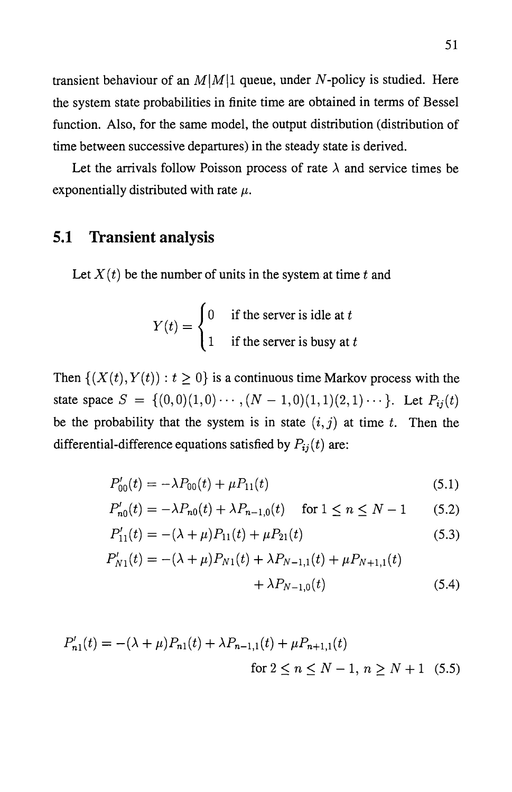transient behaviour of an  $M|M|1$  queue, under N-policy is studied. Here the system state probabilities in finite time are obtained in terms of Bessel function. Also, for the same model, the output distribution (distribution of time between successive departures) in the steady state is derived.

Let the arrivals follow Poisson process of rate  $\lambda$  and service times be exponentially distributed with rate  $\mu$ .

#### **5.1 Transient analysis**

Let  $X(t)$  be the number of units in the system at time  $t$  and

$$
Y(t) = \begin{cases} 0 & \text{if the server is idle at } t \\ 1 & \text{if the server is busy at } t \end{cases}
$$

Then  $\{(X(t), Y(t)) : t \geq 0\}$  is a continuous time Markov process with the state space  $S = \{(0,0)(1,0)\cdots,(N-1,0)(1,1)(2,1)\cdots\}$ . Let  $P_{ij}(t)$ be the probability that the system is in state  $(i, j)$  at time  $t$ . Then the differential-difference equations satisfied by  $P_{ij}(t)$  are:

$$
P'_{00}(t) = -\lambda P_{00}(t) + \mu P_{11}(t)
$$
\n(5.1)

$$
P'_{n0}(t) = -\lambda P_{n0}(t) + \lambda P_{n-1,0}(t) \quad \text{for } 1 \le n \le N-1 \qquad (5.2)
$$

$$
P'_{11}(t) = -(\lambda + \mu)P_{11}(t) + \mu P_{21}(t)
$$
\n(5.3)

$$
P'_{N1}(t) = -(\lambda + \mu)P_{N1}(t) + \lambda P_{N-1,1}(t) + \mu P_{N+1,1}(t) + \lambda P_{N-1,0}(t)
$$
\n(5.4)

$$
P'_{n1}(t) = -(\lambda + \mu)P_{n1}(t) + \lambda P_{n-1,1}(t) + \mu P_{n+1,1}(t)
$$
  
for  $2 \le n \le N - 1$ ,  $n \ge N + 1$  (5.5)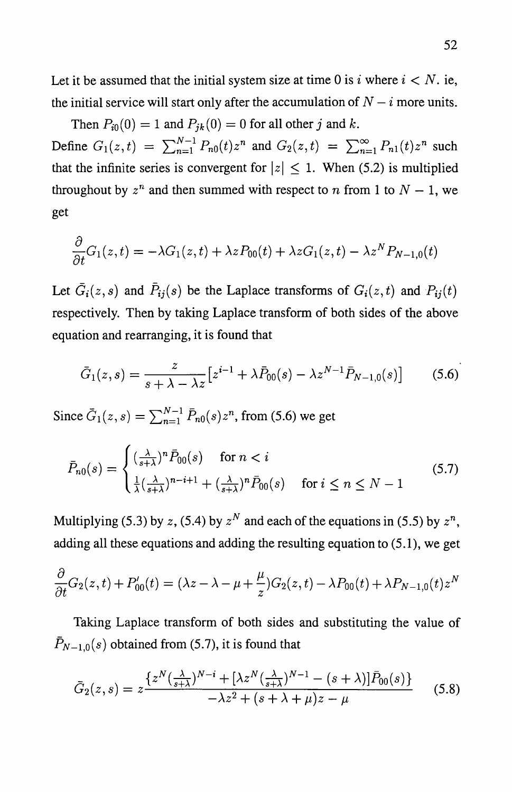Let it be assumed that the initial system size at time 0 is i where  $i < N$ . ie, the initial service will start only after the accumulation of  $N - i$  more units.

Then  $P_{i0}(0) = 1$  and  $P_{ik}(0) = 0$  for all other j and k. Define  $G_1(z,t) = \sum_{n=1}^{N-1} P_{n0}(t)z^n$  and  $G_2(z,t) = \sum_{n=1}^{\infty} P_{n1}(t)z^n$  such that the infinite series is convergent for  $|z| \leq 1$ . When (5.2) is multiplied throughout by  $z^n$  and then summed with respect to *n* from 1 to  $N - 1$ , we get

$$
\frac{\partial}{\partial t}G_1(z,t)=-\lambda G_1(z,t)+\lambda z P_{00}(t)+\lambda z G_1(z,t)-\lambda z^N P_{N-1,0}(t)
$$

Let  $\bar{G}_i(z, s)$  and  $\bar{P}_{ij}(s)$  be the Laplace transforms of  $G_i(z, t)$  and  $P_{ij}(t)$ respectively. Then by taking Laplace transform of both sides of the above equation and rearranging, it is found that

$$
\bar{G}_1(z,s) = \frac{z}{s + \lambda - \lambda z} \left[ z^{i-1} + \lambda \bar{P}_{00}(s) - \lambda z^{N-1} \bar{P}_{N-1,0}(s) \right]
$$
(5.6)

Since  $\bar{G}_1(z, s) = \sum_{n=1}^{N-1} \bar{P}_{n0}(s) z^n$ , from (5.6) we get

$$
\bar{P}_{n0}(s) = \begin{cases}\n\left(\frac{\lambda}{s+\lambda}\right)^n \bar{P}_{00}(s) & \text{for } n < i \\
\frac{1}{\lambda} \left(\frac{\lambda}{s+\lambda}\right)^{n-i+1} + \left(\frac{\lambda}{s+\lambda}\right)^n \bar{P}_{00}(s) & \text{for } i \le n \le N-1\n\end{cases} \tag{5.7}
$$

Multiplying (5.3) by *z*, (5.4) by  $z^N$  and each of the equations in (5.5) by  $z^n$ , adding all these equations and adding the resulting equation to (5.1), we get

$$
\frac{\partial}{\partial t}G_2(z,t) + P'_{00}(t) = (\lambda z - \lambda - \mu + \frac{\mu}{z})G_2(z,t) - \lambda P_{00}(t) + \lambda P_{N-1,0}(t)z^N
$$

Taking Laplace transform of both sides and substituting the value of  $\bar{P}_{N-1,0}(s)$  obtained from (5.7), it is found that

$$
\bar{G}_2(z,s) = z \frac{\left\{ z^N \left( \frac{\lambda}{s+\lambda} \right)^{N-i} + \left[ \lambda z^N \left( \frac{\lambda}{s+\lambda} \right)^{N-1} - (s+\lambda) \right] \bar{P}_{00}(s) \right\}}{-\lambda z^2 + (s+\lambda+\mu) z - \mu} \tag{5.8}
$$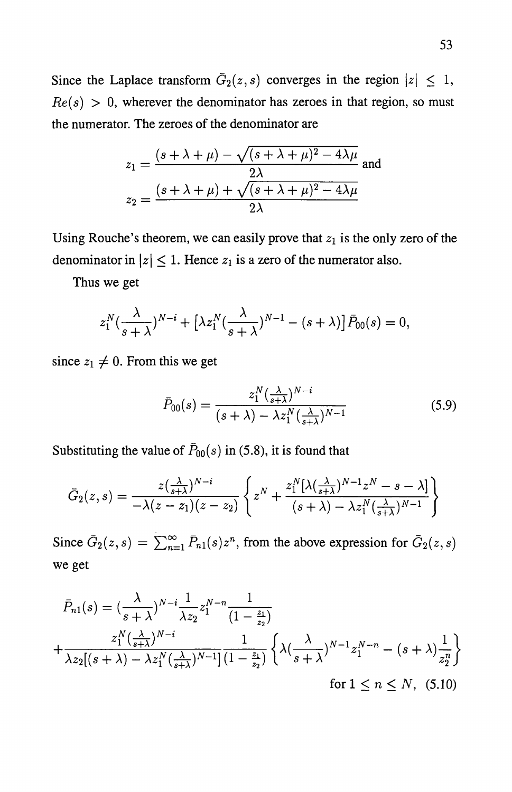Since the Laplace transform  $\bar{G}_2(z, s)$  converges in the region  $|z| \leq 1$ ,  $Re(s) > 0$ , wherever the denominator has zeroes in that region, so must the numerator. The zeroes of the denominator are

$$
z_1 = \frac{(s + \lambda + \mu) - \sqrt{(s + \lambda + \mu)^2 - 4\lambda\mu}}{2\lambda}
$$
 and  

$$
z_2 = \frac{(s + \lambda + \mu) + \sqrt{(s + \lambda + \mu)^2 - 4\lambda\mu}}{2\lambda}
$$

Using Rouche's theorem, we can easily prove that  $z_1$  is the only zero of the denominator in  $|z| \leq 1$ . Hence  $z_1$  is a zero of the numerator also.

Thus we get

$$
z_1^N(\frac{\lambda}{s+\lambda})^{N-i} + \left[\lambda z_1^N(\frac{\lambda}{s+\lambda})^{N-1} - (s+\lambda)\right]\bar{P}_{00}(s) = 0,
$$

since  $z_1 \neq 0$ . From this we get

$$
\bar{P}_{00}(s) = \frac{z_1^N(\frac{\lambda}{s+\lambda})^{N-i}}{(s+\lambda) - \lambda z_1^N(\frac{\lambda}{s+\lambda})^{N-1}}
$$
(5.9)

Substituting the value of  $\bar{P}_{00}(s)$  in (5.8), it is found that

$$
\bar{G}_2(z,s) = \frac{z(\frac{\lambda}{s+\lambda})^{N-i}}{-\lambda(z-z_1)(z-z_2)} \left\{ z^N + \frac{z_1^N[\lambda(\frac{\lambda}{s+\lambda})^{N-1}z^N - s - \lambda]}{(s+\lambda) - \lambda z_1^N(\frac{\lambda}{s+\lambda})^{N-1}} \right\}
$$

Since  $\bar{G}_2(z,s) = \sum_{n=1}^{\infty} \bar{P}_{n1}(s)z^n$ , from the above expression for  $\bar{G}_2(z,s)$ we get

$$
\bar{P}_{n1}(s) = \left(\frac{\lambda}{s+\lambda}\right)^{N-i} \frac{1}{\lambda z_2} z_1^{N-n} \frac{1}{\left(1-\frac{z_1}{z_2}\right)}
$$
\n
$$
+ \frac{z_1^N \left(\frac{\lambda}{s+\lambda}\right)^{N-i}}{\lambda z_2 \left[(s+\lambda) - \lambda z_1^N \left(\frac{\lambda}{s+\lambda}\right)^{N-1}\right] \left(1-\frac{z_1}{z_2}\right)} \left\{\lambda \left(\frac{\lambda}{s+\lambda}\right)^{N-1} z_1^{N-n} - (s+\lambda) \frac{1}{z_2^n}\right\}
$$
\nfor  $1 \le n \le N$ ,

\n(5.10)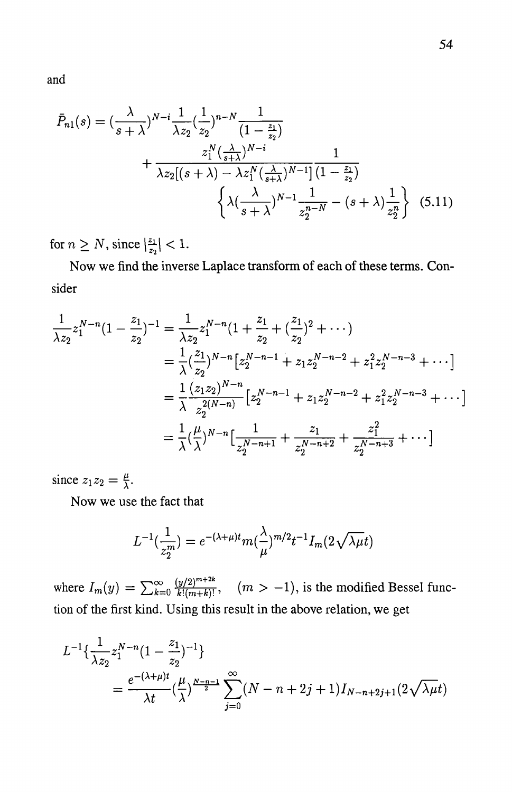and

$$
\bar{P}_{n1}(s) = \left(\frac{\lambda}{s+\lambda}\right)^{N-i} \frac{1}{\lambda z_2} \left(\frac{1}{z_2}\right)^{n-N} \frac{1}{\left(1-\frac{z_1}{z_2}\right)} + \frac{z_1^N \left(\frac{\lambda}{s+\lambda}\right)^{N-i}}{\lambda z_2 \left[ (s+\lambda) - \lambda z_1^N \left(\frac{\lambda}{s+\lambda}\right)^{N-1} \right] \left(1-\frac{z_1}{z_2}\right)} + \left\{ \lambda \left(\frac{\lambda}{s+\lambda}\right)^{N-1} \frac{1}{z_2^{n-N}} - (s+\lambda) \frac{1}{z_2^n} \right\} \tag{5.11}
$$

for  $n \geq N$ , since  $\left|\frac{z_1}{z_2}\right|$  < 1.

Now we find the inverse Laplace transform of each of these terms. Consider

$$
\frac{1}{\lambda z_2} z_1^{N-n} (1 - \frac{z_1}{z_2})^{-1} = \frac{1}{\lambda z_2} z_1^{N-n} (1 + \frac{z_1}{z_2} + (\frac{z_1}{z_2})^2 + \cdots)
$$
  
\n
$$
= \frac{1}{\lambda} (\frac{z_1}{z_2})^{N-n} [z_2^{N-n-1} + z_1 z_2^{N-n-2} + z_1^2 z_2^{N-n-3} + \cdots]
$$
  
\n
$$
= \frac{1}{\lambda} \frac{(z_1 z_2)^{N-n}}{z_2^{2(N-n)}} [z_2^{N-n-1} + z_1 z_2^{N-n-2} + z_1^2 z_2^{N-n-3} + \cdots]
$$
  
\n
$$
= \frac{1}{\lambda} (\frac{\mu}{\lambda})^{N-n} [\frac{1}{z_2^{N-n+1}} + \frac{z_1}{z_2^{N-n+2}} + \frac{z_1^2}{z_2^{N-n+3}} + \cdots]
$$

since  $z_1z_2 = \frac{\mu}{\lambda}$ .

Now we use the fact that

$$
L^{-1}(\frac{1}{z_2^m}) = e^{-(\lambda+\mu)t} m(\frac{\lambda}{\mu})^{m/2} t^{-1} I_m(2\sqrt{\lambda\mu}t)
$$

where  $I_m(y) = \sum_{k=0}^{\infty} \frac{(y/2)^{m+2k}}{k!(m+k)!}$ ,  $(m > -1)$ , is the modified Bessel function of the first kind. Using this result in the above relation, we get

$$
L^{-1}\left\{\frac{1}{\lambda z_2}z_1^{N-n}\left(1-\frac{z_1}{z_2}\right)^{-1}\right\}
$$
  
= 
$$
\frac{e^{-(\lambda+\mu)t}}{\lambda t}\left(\frac{\mu}{\lambda}\right)^{\frac{N-n-1}{2}}\sum_{j=0}^{\infty}(N-n+2j+1)I_{N-n+2j+1}(2\sqrt{\lambda\mu}t)
$$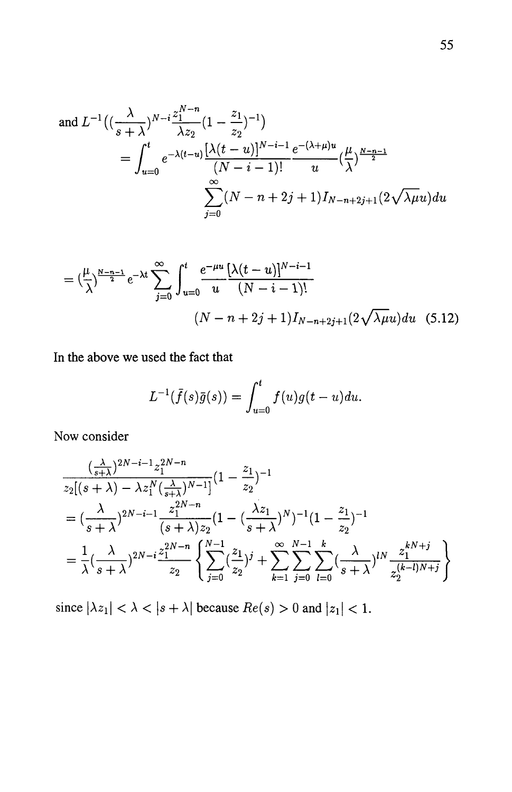and 
$$
L^{-1}\left((\frac{\lambda}{s+\lambda})^{N-i}\frac{z_1^{N-n}}{\lambda z_2}(1-\frac{z_1}{z_2})^{-1}\right)
$$
  
= 
$$
\int_{u=0}^t e^{-\lambda(t-u)}\frac{[\lambda(t-u)]^{N-i-1}}{(N-i-1)!}e^{-(\lambda+\mu)u}\left(\frac{\mu}{\lambda}\right)^{\frac{N-n-1}{2}}
$$

$$
\sum_{j=0}^\infty (N-n+2j+1)I_{N-n+2j+1}(2\sqrt{\lambda\mu}u)du
$$

$$
= \left(\frac{\mu}{\lambda}\right)^{\frac{N-n-1}{2}} e^{-\lambda t} \sum_{j=0}^{\infty} \int_{u=0}^{t} \frac{e^{-\mu u} \left[\lambda(t-u)\right]^{N-i-1}}{u} \left(N-i-1\right)! \\
 \left(N-n+2j+1\right) I_{N-n+2j+1} \left(2\sqrt{\lambda\mu}u\right) du \quad (5.12)
$$

In the above we used the fact that

$$
L^{-1}(\bar{f}(s)\bar{g}(s)) = \int_{u=0}^{t} f(u)g(t-u)du.
$$

Now consider

$$
\frac{(\frac{\lambda}{s+\lambda})^{2N-i-1}z_1^{2N-n}}{z_2[(s+\lambda)-\lambda z_1^N(\frac{\lambda}{s+\lambda})^{N-1}]}(1-\frac{z_1}{z_2})^{-1}
$$
\n
$$
=(\frac{\lambda}{s+\lambda})^{2N-i-1}\frac{z_1^{2N-n}}{(s+\lambda)z_2}(1-(\frac{\lambda z_1}{s+\lambda})^N)^{-1}(1-\frac{z_1}{z_2})^{-1}
$$
\n
$$
=\frac{1}{\lambda}(\frac{\lambda}{s+\lambda})^{2N-i}\frac{z_1^{2N-n}}{z_2}\left\{\sum_{j=0}^{N-1}(\frac{z_1}{z_2})^j+\sum_{k=1}^{\infty}\sum_{j=0}^{N-1}\sum_{l=0}^k(\frac{\lambda}{s+\lambda})^{lN}\frac{z_1^{kN+j}}{z_2^{(k-l)N+j}}\right\}
$$

since  $|\lambda z_1| < \lambda < |s + \lambda|$  because  $Re(s) > 0$  and  $|z_1| < 1$ .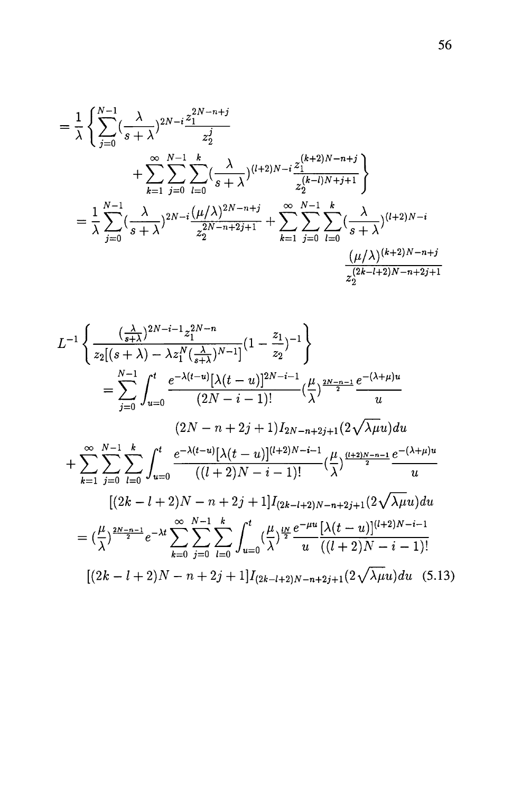$$
= \frac{1}{\lambda} \left\{ \sum_{j=0}^{N-1} \left( \frac{\lambda}{s+\lambda} \right)^{2N-i} \frac{z_1^{2N-n+j}}{z_2^j} + \sum_{k=1}^{\infty} \sum_{j=0}^{N-1} \sum_{l=0}^k \left( \frac{\lambda}{s+\lambda} \right)^{(l+2)N-i} \frac{z_1^{(k+2)N-n+j}}{z_2^{(k-l)N+j+1}} \right\}
$$
  

$$
= \frac{1}{\lambda} \sum_{j=0}^{N-1} \left( \frac{\lambda}{s+\lambda} \right)^{2N-i} \frac{(\mu/\lambda)^{2N-n+j}}{z_2^{2N-n+2j+1}} + \sum_{k=1}^{\infty} \sum_{j=0}^{N-1} \sum_{l=0}^k \left( \frac{\lambda}{s+\lambda} \right)^{(l+2)N-i} \frac{(\mu/\lambda)^{(k+2)N-n+j}}{z_2^{(2k-l+2)N-n+2j+1}}
$$

$$
L^{-1}\left\{\frac{\left(\frac{\lambda}{s+\lambda}\right)^{2N-i-1}z_1^{2N-n}}{z_2[(s+\lambda)-\lambda z_1^N(\frac{\lambda}{s+\lambda})^{N-1}]}(1-\frac{z_1}{z_2})^{-1}\right\}
$$
  
\n
$$
=\sum_{j=0}^{N-1}\int_{u=0}^t\frac{e^{-\lambda(t-u)}[\lambda(t-u)]^{2N-i-1}}{(2N-i-1)!}(\frac{\mu}{\lambda})^{\frac{2N-n-1}{2}}\frac{e^{-(\lambda+\mu)u}}{u}
$$
  
\n
$$
(2N-n+2j+1)I_{2N-n+2j+1}(2\sqrt{\lambda\mu}u)du
$$
  
\n
$$
+\sum_{k=1}^{\infty}\sum_{j=0}^{N-1}\sum_{l=0}^k\int_{u=0}^t\frac{e^{-\lambda(t-u)}[\lambda(t-u)]^{(l+2)N-i-1}}{((l+2)N-i-1)!}(\frac{\mu}{\lambda})^{\frac{(l+2)N-n-1}{2}}\frac{e^{-(\lambda+\mu)u}}{u}
$$
  
\n
$$
[(2k-l+2)N-n+2j+1]I_{(2k-l+2)N-n+2j+1}(2\sqrt{\lambda\mu}u)du
$$
  
\n
$$
=(\frac{\mu}{\lambda})^{\frac{2N-n-1}{2}}e^{-\lambda t}\sum_{k=0}^{\infty}\sum_{j=0}^{N-1}\sum_{l=0}^k\int_{u=0}^t(\frac{\mu}{\lambda})^{\frac{lp}{2}}\frac{e^{-\mu u}}{u}\frac{[\lambda(t-u)]^{(l+2)N-i-1}}{((l+2)N-i-1)!}
$$
  
\n
$$
[(2k-l+2)N-n+2j+1]I_{(2k-l+2)N-n+2j+1}(2\sqrt{\lambda\mu}u)du \quad (5.13)
$$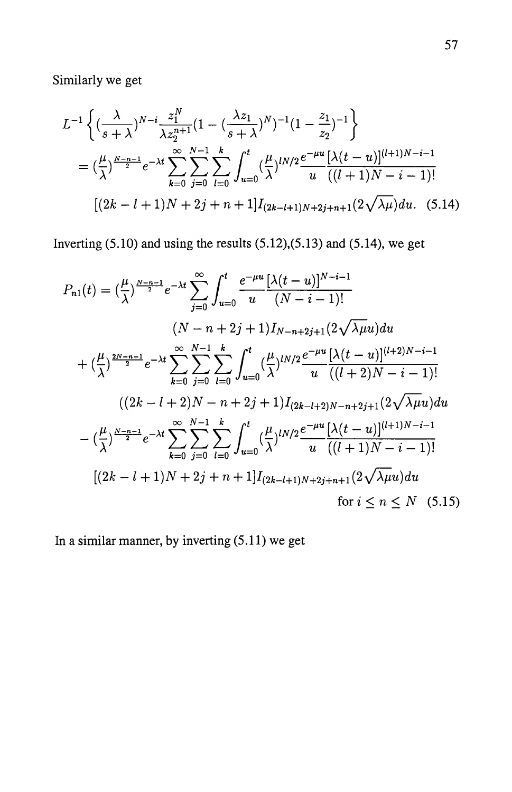Similarly we get

$$
L^{-1}\left\{ \left( \frac{\lambda}{s+\lambda} \right)^{N-i} \frac{z_1^N}{\lambda z_2^{n+1}} (1 - \left( \frac{\lambda z_1}{s+\lambda} \right)^N)^{-1} (1 - \frac{z_1}{z_2})^{-1} \right\}
$$
  
=  $\left( \frac{\mu}{\lambda} \right)^{\frac{N-n-1}{2}} e^{-\lambda t} \sum_{k=0}^{\infty} \sum_{j=0}^{N-1} \sum_{l=0}^k \int_{u=0}^t \left( \frac{\mu}{\lambda} \right)^{lN/2} \frac{e^{-\mu u}}{u} \frac{[\lambda(t-u)]^{(l+1)N-i-1}}{(l+1)N-i-1)!}$   

$$
[(2k-l+1)N+2j+n+1]I_{(2k-l+1)N+2j+n+1}(2\sqrt{\lambda\mu}) du. (5.14)
$$

Inverting  $(5.10)$  and using the results  $(5.12)$ , $(5.13)$  and  $(5.14)$ , we get

$$
P_{n1}(t) = \left(\frac{\mu}{\lambda}\right)^{\frac{N-n-1}{2}} e^{-\lambda t} \sum_{j=0}^{\infty} \int_{u=0}^{t} \frac{e^{-\mu u} \left[\lambda(t-u)\right]^{N-i-1}}{(N-i-1)!}
$$
  
\n
$$
(N-n+2j+1)I_{N-n+2j+1}(2\sqrt{\lambda\mu}u)du
$$
  
\n
$$
+ \left(\frac{\mu}{\lambda}\right)^{\frac{2N-n-1}{2}} e^{-\lambda t} \sum_{k=0}^{\infty} \sum_{j=0}^{N-1} \sum_{l=0}^{k} \int_{u=0}^{t} \left(\frac{\mu}{\lambda}\right)^{lN/2} \frac{e^{-\mu u} \left[\lambda(t-u)\right]^{(l+2)N-i-1}}{u \left((l+2)N-i-1)\right]^{l}}
$$
  
\n
$$
((2k-l+2)N-n+2j+1)I_{(2k-l+2)N-n+2j+1}(2\sqrt{\lambda\mu}u)du
$$
  
\n
$$
- \left(\frac{\mu}{\lambda}\right)^{\frac{N-n-1}{2}} e^{-\lambda t} \sum_{k=0}^{\infty} \sum_{j=0}^{N-1} \sum_{l=0}^{k} \int_{u=0}^{t} \left(\frac{\mu}{\lambda}\right)^{lN/2} \frac{e^{-\mu u} \left[\lambda(t-u)\right]^{(l+1)N-i-1}}{u \left((l+1)N-i-1)\right]} \left[(2k-l+1)N+2j+n+1\right]I_{(2k-l+1)N+2j+n+1}(2\sqrt{\lambda\mu}u)du
$$
  
\nfor  $i \le n \le N$  (5.15)

In a similar manner, by inverting  $(5.11)$  we get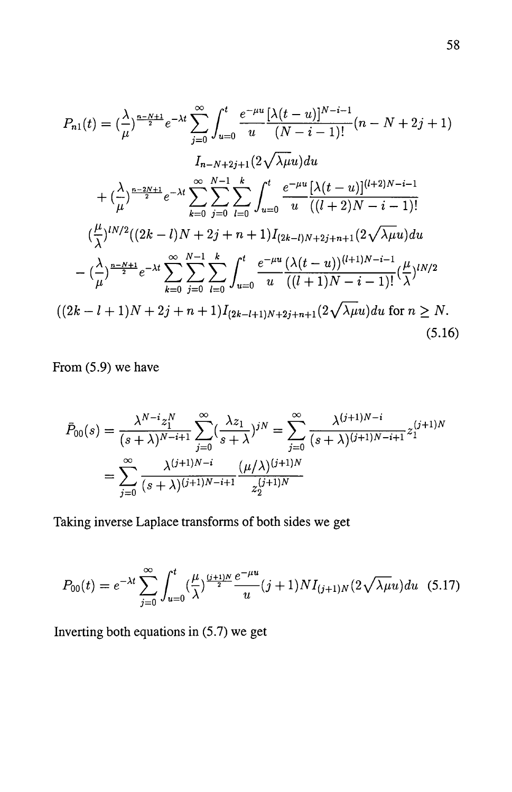$$
P_{n1}(t) = \left(\frac{\lambda}{\mu}\right)^{\frac{n-N+1}{2}} e^{-\lambda t} \sum_{j=0}^{\infty} \int_{u=0}^{t} \frac{e^{-\mu u}}{u} \frac{[\lambda(t-u)]^{N-i-1}}{(N-i-1)!} (n - N + 2j + 1)
$$
  
\n
$$
I_{n-N+2j+1}(2\sqrt{\lambda\mu}u) du
$$
  
\n
$$
+ \left(\frac{\lambda}{\mu}\right)^{\frac{n-2N+1}{2}} e^{-\lambda t} \sum_{k=0}^{\infty} \sum_{j=0}^{N-1} \sum_{l=0}^{k} \int_{u=0}^{t} \frac{e^{-\mu u}}{u} \frac{[\lambda(t-u)]^{(l+2)N-i-1}}{((l+2)N-i-1)!}
$$
  
\n
$$
\left(\frac{\mu}{\lambda}\right)^{lN/2} ((2k-l)N + 2j + n + 1) I_{(2k-l)N+2j+n+1}(2\sqrt{\lambda\mu}u) du
$$
  
\n
$$
- \left(\frac{\lambda}{\mu}\right)^{\frac{n-N+1}{2}} e^{-\lambda t} \sum_{k=0}^{\infty} \sum_{j=0}^{N-1} \sum_{l=0}^{k} \int_{u=0}^{t} \frac{e^{-\mu u}}{u} \frac{(\lambda(t-u))^{(l+1)N-i-1}}{((l+1)N-i-1)!} (\frac{\mu}{\lambda})^{lN/2}
$$
  
\n
$$
((2k-l+1)N + 2j + n + 1) I_{(2k-l+1)N+2j+n+1}(2\sqrt{\lambda\mu}u) du \text{ for } n \ge N.
$$
  
\n(5.16)

From (5.9) we have

$$
\bar{P}_{00}(s) = \frac{\lambda^{N-i} z_1^N}{(s+\lambda)^{N-i+1}} \sum_{j=0}^{\infty} \left(\frac{\lambda z_1}{s+\lambda}\right)^{jN} = \sum_{j=0}^{\infty} \frac{\lambda^{(j+1)N-i}}{(s+\lambda)^{(j+1)N-i+1}} z_1^{(j+1)N}
$$
\n
$$
= \sum_{j=0}^{\infty} \frac{\lambda^{(j+1)N-i}}{(s+\lambda)^{(j+1)N-i+1}} \frac{(\mu/\lambda)^{(j+1)N}}{z_2^{(j+1)N}}
$$

Taking inverse Laplace transforms of both sides we get

$$
P_{00}(t) = e^{-\lambda t} \sum_{j=0}^{\infty} \int_{u=0}^{t} \left(\frac{\mu}{\lambda}\right)^{\frac{(j+1)N}{2}} \frac{e^{-\mu u}}{u} (j+1) N I_{(j+1)N} \left(2\sqrt{\lambda \mu} u\right) du \tag{5.17}
$$

Inverting both equations in (5.7) we get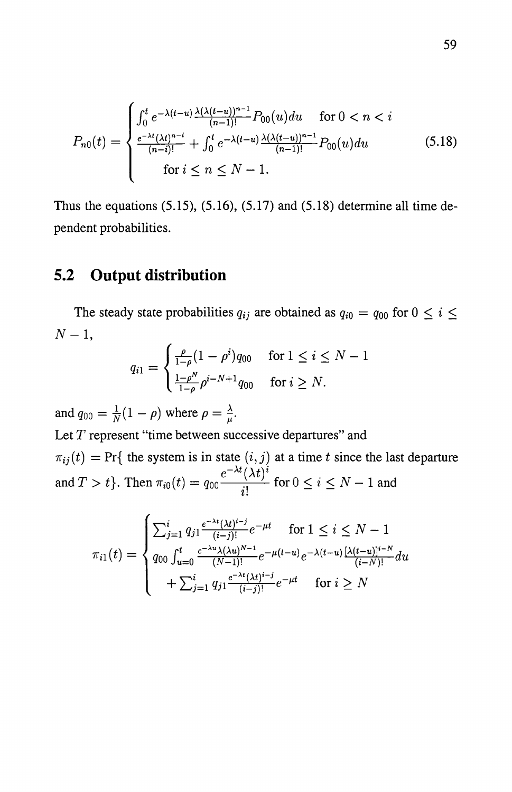$$
P_{n0}(t) = \begin{cases} \int_0^t e^{-\lambda(t-u)} \frac{\lambda(\lambda(t-u))^{n-1}}{(n-1)!} P_{00}(u) du & \text{for } 0 < n < i\\ \frac{e^{-\lambda t} (\lambda t)^{n-i}}{(n-i)!} + \int_0^t e^{-\lambda(t-u)} \frac{\lambda(\lambda(t-u))^{n-1}}{(n-1)!} P_{00}(u) du & \text{(5.18)}\\ \text{for } i \le n \le N-1. \end{cases}
$$

Thus the equations  $(5.15)$ ,  $(5.16)$ ,  $(5.17)$  and  $(5.18)$  determine all time dependent probabilities.

### **5.2 Output distribution**

The steady state probabilities  $q_{ij}$  are obtained as  $q_{i0} = q_{00}$  for  $0 \le i \le n$  $N-1$ ,

$$
q_{i1} = \begin{cases} \frac{\rho}{1-\rho}(1-\rho^{i})q_{00} & \text{for } 1 \leq i \leq N-1\\ \frac{1-\rho^{N}}{1-\rho}\rho^{i-N+1}q_{00} & \text{for } i \geq N. \end{cases}
$$

and  $q_{00} = \frac{1}{N}(1 - \rho)$  where  $\rho = \frac{\lambda}{\mu}$ .

Let *T* represent "time between successive departures" and  $\pi_{ij}(t) = \Pr\{$  the system is in state  $(i, j)$  at a time *t* since the last departure  $e^{-\lambda t} (\lambda t)^i$ and  $T > t$ . Then  $\pi_{i0}(t) = q_{00} \frac{C_1(t)}{i!}$  for  $0 \le i \le N - 1$  and

$$
\pi_{i1}(t) = \begin{cases}\n\sum_{j=1}^{i} q_{j1} \frac{e^{-\lambda t} (\lambda t)^{i-j}}{(i-j)!} e^{-\mu t} & \text{for } 1 \leq i \leq N-1 \\
q_{00} \int_{u=0}^{t} \frac{e^{-\lambda u} \lambda (\lambda u)^{N-1}}{(N-1)!} e^{-\mu (t-u)} e^{-\lambda (t-u)} \frac{[\lambda (t-u)]^{i-N}}{(i-N)!} du \\
+\sum_{j=1}^{i} q_{j1} \frac{e^{-\lambda t} (\lambda t)^{i-j}}{(i-j)!} e^{-\mu t} & \text{for } i \geq N\n\end{cases}
$$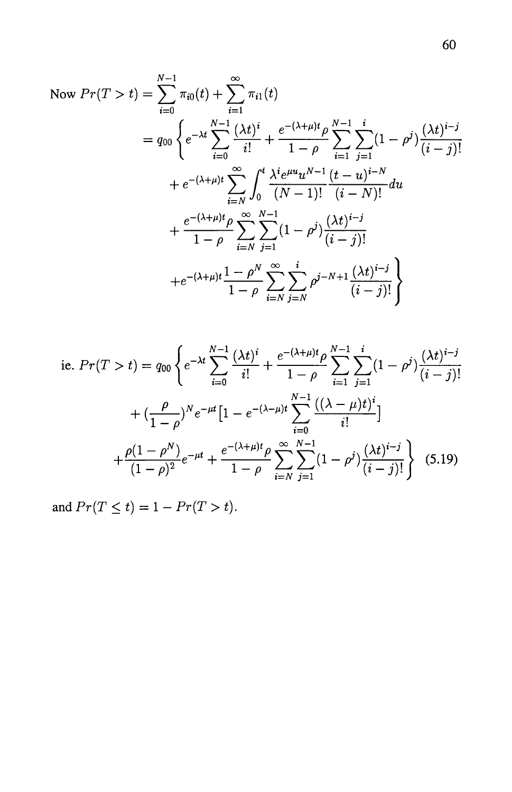Now 
$$
Pr(T > t) = \sum_{i=0}^{N-1} \pi_{i0}(t) + \sum_{i=1}^{\infty} \pi_{i1}(t)
$$
  
\n
$$
= q_{00} \left\{ e^{-\lambda t} \sum_{i=0}^{N-1} \frac{(\lambda t)^i}{i!} + \frac{e^{-(\lambda + \mu)t} \rho}{1 - \rho} \sum_{i=1}^{N-1} \sum_{j=1}^i (1 - \rho^j) \frac{(\lambda t)^{i-j}}{(i-j)!} + e^{-(\lambda + \mu)t} \sum_{i=N}^{\infty} \int_0^t \frac{\lambda^i e^{\mu u} u^{N-1}}{(N-1)!} \frac{(t - u)^{i-N}}{(i - N)!} du + \frac{e^{-(\lambda + \mu)t} \rho}{1 - \rho} \sum_{i=N}^{\infty} \sum_{j=1}^{N-1} (1 - \rho^j) \frac{(\lambda t)^{i-j}}{(i - j)!} + e^{-(\lambda + \mu)t} \frac{1 - \rho^N}{1 - \rho} \sum_{i=N}^{\infty} \sum_{j=N}^i \rho^{j-N+1} \frac{(\lambda t)^{i-j}}{(i - j)!} \right\}
$$

i.e. 
$$
Pr(T > t) = q_{00} \left\{ e^{-\lambda t} \sum_{i=0}^{N-1} \frac{(\lambda t)^i}{i!} + \frac{e^{-(\lambda+\mu)t} \rho}{1-\rho} \sum_{i=1}^{N-1} \sum_{j=1}^i (1-\rho^j) \frac{(\lambda t)^{i-j}}{(i-j)!} + \left(\frac{\rho}{1-\rho}\right)^N e^{-\mu t} \left[1 - e^{-(\lambda-\mu)t} \sum_{i=0}^{N-1} \frac{((\lambda-\mu)t)^i}{i!} \right] + \frac{\rho(1-\rho^N)}{(1-\rho)^2} e^{-\mu t} + \frac{e^{-(\lambda+\mu)t} \rho}{1-\rho} \sum_{i=N}^{\infty} \sum_{j=1}^{N-1} (1-\rho^j) \frac{(\lambda t)^{i-j}}{(i-j)!} \right\}
$$
(5.19)

and  $Pr(T \le t) = 1 - Pr(T > t)$ .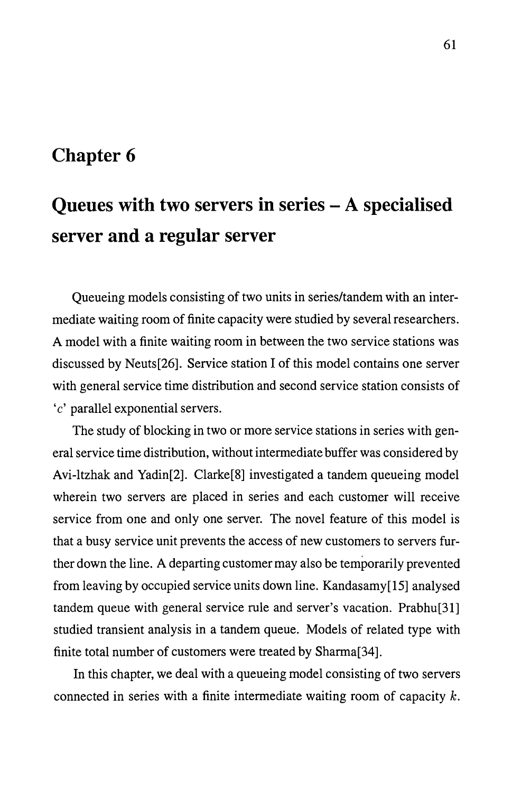### **Chapter 6**

# **Queues with two servers in series - A specialised server and a regular server**

Queueing models consisting of two units in series/tandem with an intermediate waiting room of finite capacity were studied by several researchers. A model with a finite waiting room in between the two service stations was discussed by Neuts[26]. Service station I of this model contains one server with general service time distribution and second service station consists of *'c'* parallel exponential servers.

The study of blocking in two or more service stations in series with general service time distribution, without intermediate buffer was considered by Avi-ltzhak and Yadin[2]. Clarke[8] investigated a tandem queueing model wherein two servers are placed in series and each customer will receive service from one and only one server. The novel feature of this model is that a busy service unit prevents the access of new customers to servers further down the line. A departing customer may also be temporarily prevented from leaving by occupied service units down line. Kandasamy[15] analysed tandem queue with general service rule and server's vacation. Prabhu[31] studied transient analysis in a tandem queue. Models of related type with finite total number of customers were treated by Sharma[34].

In this chapter, we deal with a queueing model consisting of two servers connected in series with a finite intermediate waiting room of capacity k.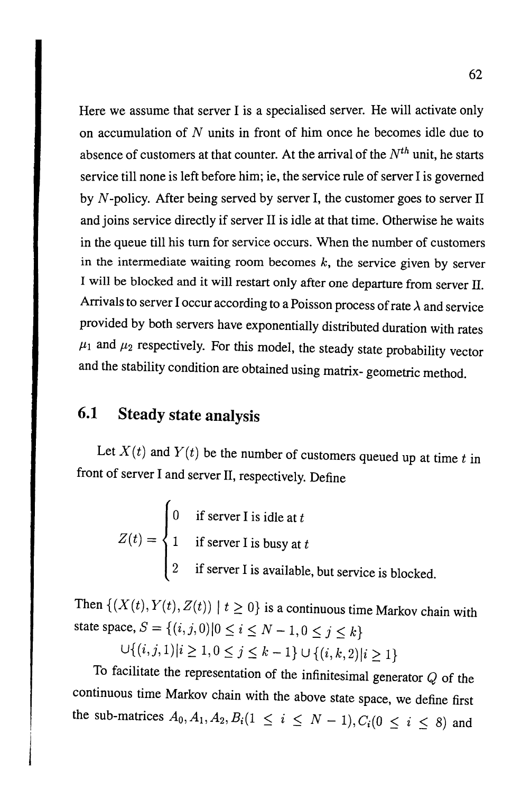Here we assume that server I is a specialised server. He will activate only on accumulation of  $N$  units in front of him once he becomes idle due to absence of customers at that counter. At the arrival of the *Nth* unit, he starts service till none is left before him; ie, the service rule of server I is governed by  $N$ -policy. After being served by server I, the customer goes to server II and joins service directly if server 11 is idle at that time. Otherwise he waits in the queue till his turn for service occurs. When the number of customers in the intermediate waiting room becomes  $k$ , the service given by server I will be blocked and it will restart only after one departure from server ll. Arrivals to server I occur according to a Poisson process of rate *A* and service provided by both servers have exponentially distributed duration with rates  $\mu_1$  and  $\mu_2$  respectively. For this model, the steady state probability vector and the stability condition are obtained using matrix- geometric method.

## **6.1 Steady state analysis**

Let  $X(t)$  and  $Y(t)$  be the number of customers queued up at time  $t$  in front of server I and server II, respectively. Define

> 0 if server I is idle at  $t$  $Z(t) = \begin{cases} 1 & \text{if server I is busy at } t \end{cases}$ 2 if server I is available, but service is blocked.

Then  $\{(X(t), Y(t), Z(t)) \mid t \ge 0\}$  is a continuous time Markov chain with state space,  $S = \{(i, j, 0) | 0 \le i \le N - 1, 0 \le j \le k\}$ 

 $\bigcup \{(i, j, 1)|i \geq 1, 0 \leq j \leq k-1\} \cup \{(i, k, 2)|i \geq 1\}$ 

To facilitate the representation of the infinitesimal generator  $Q$  of the continuous time Markov chain with the above state space, we define first the sub-matrices  $A_0, A_1, A_2, B_i (1 \le i \le N-1), C_i (0 \le i \le 8)$  and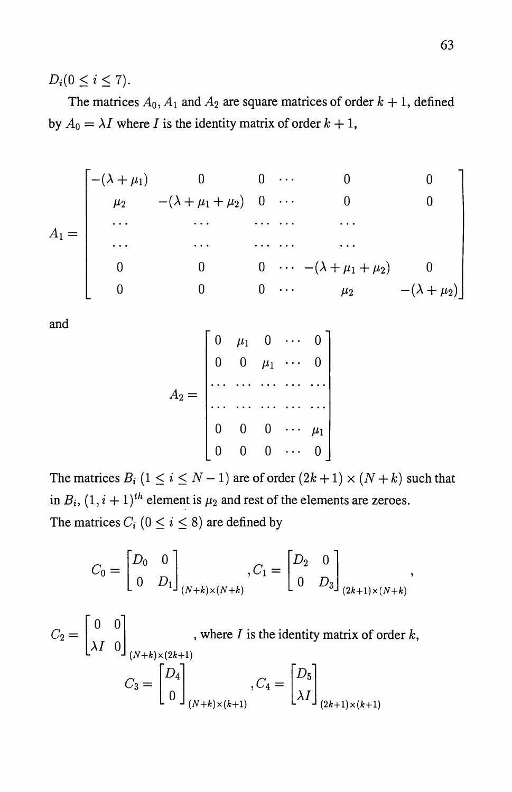$D_i (0 \le i \le 7)$ .

The matrices  $A_0$ ,  $A_1$  and  $A_2$  are square matrices of order  $k + 1$ , defined by  $A_0 = \lambda I$  where *I* is the identity matrix of order  $k + 1$ ,

$$
A_1 = \begin{bmatrix} -(\lambda + \mu_1) & 0 & 0 & \cdots & 0 & 0 \\ \mu_2 & -(\lambda + \mu_1 + \mu_2) & 0 & \cdots & 0 & 0 \\ \cdots & \cdots & \cdots & \cdots & \cdots & \cdots \\ \cdots & \cdots & \cdots & \cdots & \cdots & \cdots \\ 0 & 0 & 0 & \cdots & -(\lambda + \mu_1 + \mu_2) & 0 \\ 0 & 0 & 0 & \cdots & \mu_2 & -(\lambda + \mu_2) \end{bmatrix}
$$

and

$$
A_2 = \begin{bmatrix} 0 & \mu_1 & 0 & \cdots & 0 \\ 0 & 0 & \mu_1 & \cdots & 0 \\ \cdots & \cdots & \cdots & \cdots & \cdots \\ 0 & 0 & 0 & \cdots & \mu_1 \\ 0 & 0 & 0 & \cdots & 0 \end{bmatrix}
$$

The matrices  $B_i$  ( $1 \le i \le N-1$ ) are of order  $(2k+1) \times (N+k)$  such that in  $B_i$ ,  $(1, i + 1)$ <sup>th</sup> element is  $\mu_2$  and rest of the elements are zeroes. The matrices  $C_i$  ( $0 \le i \le 8$ ) are defined by

$$
C_0 = \begin{bmatrix} D_0 & 0 \\ 0 & D_1 \end{bmatrix}_{(N+k)\times (N+k)}, C_1 = \begin{bmatrix} D_2 & 0 \\ 0 & D_3 \end{bmatrix}_{(2k+1)\times (N+k)},
$$

$$
C_2 = \begin{bmatrix} 0 & 0 \\ \lambda I & 0 \end{bmatrix}_{(N+k)\times(2k+1)}
$$
, where *I* is the identity matrix of order *k*,  

$$
C_3 = \begin{bmatrix} D_4 \\ 0 \end{bmatrix}_{(N+k)\times(k+1)}, C_4 = \begin{bmatrix} D_5 \\ \lambda I \end{bmatrix}_{(2k+1)\times(k+1)}
$$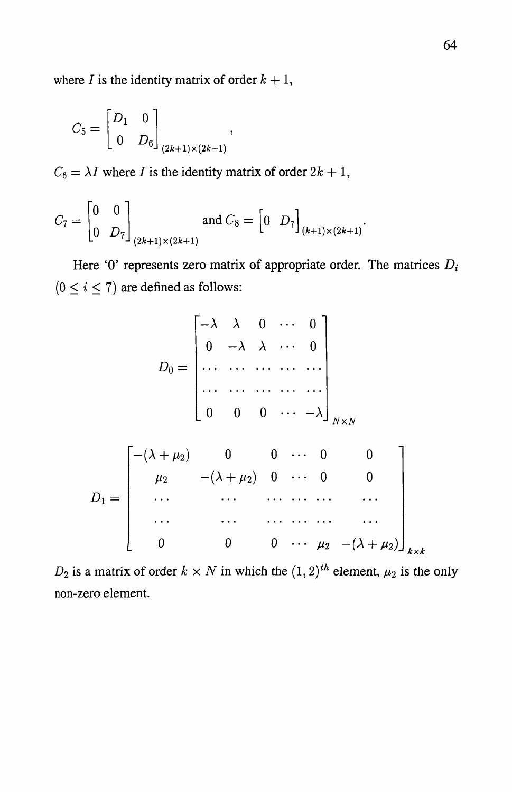where *I* is the identity matrix of order  $k + 1$ ,

$$
C_5 = \begin{bmatrix} D_1 & 0 \\ 0 & D_6 \end{bmatrix}_{(2k+1)\times(2k+1)},
$$

 $C_6 = \lambda I$  where *I* is the identity matrix of order  $2k + 1$ ,

$$
C_7 = \begin{bmatrix} 0 & 0 \\ 0 & D_7 \end{bmatrix}_{(2k+1)\times(2k+1)}
$$
 and  $C_8 = \begin{bmatrix} 0 & D_7 \end{bmatrix}_{(k+1)\times(2k+1)}$ .

Here '0' represents zero matrix of appropriate order. The matrices *Di*   $(0 \le i \le 7)$  are defined as follows:

$$
D_0 = \begin{bmatrix} -\lambda & \lambda & 0 & \cdots & 0 \\ 0 & -\lambda & \lambda & \cdots & 0 \\ \vdots & \vdots & \ddots & \vdots & \ddots & \vdots \\ 0 & 0 & 0 & \cdots & -\lambda \end{bmatrix}_{N \times N}
$$

$$
D_1 = \begin{bmatrix} -(\lambda + \mu_2) & 0 & 0 & \cdots & 0 & 0 \\ \mu_2 & -(\lambda + \mu_2) & 0 & \cdots & 0 & 0 \\ \vdots & \vdots & \vdots & \ddots & \vdots & \vdots \\ 0 & 0 & 0 & \cdots & \mu_2 & -(\lambda + \mu_2) \end{bmatrix}_{k \times k}
$$

 $D_2$  is a matrix of order  $k \times N$  in which the  $(1, 2)^{th}$  element,  $\mu_2$  is the only non-zero element.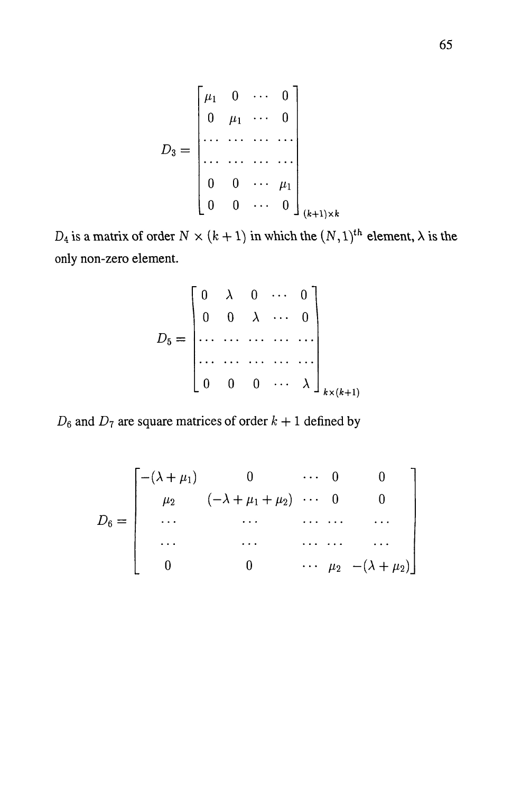$$
D_3 = \begin{bmatrix} \mu_1 & 0 & \cdots & 0 \\ 0 & \mu_1 & \cdots & 0 \\ \cdots & \cdots & \cdots & \cdots \\ 0 & 0 & \cdots & \mu_1 \\ 0 & 0 & \cdots & 0 \end{bmatrix}_{(k+1)\times k}
$$

 $D_4$  is a matrix of order  $N \times (k + 1)$  in which the  $(N, 1)$ <sup>th</sup> element,  $\lambda$  is the only non-zero element.

$$
D_5 = \begin{bmatrix} 0 & \lambda & 0 & \cdots & 0 \\ 0 & 0 & \lambda & \cdots & 0 \\ \cdots & \cdots & \cdots & \cdots & \cdots \\ 0 & 0 & 0 & \cdots & \lambda \end{bmatrix}_{k \times (k+1)}
$$

 $D_6$  and  $D_7$  are square matrices of order  $k + 1$  defined by

$$
D_6 = \begin{bmatrix} -(\lambda + \mu_1) & 0 & \cdots & 0 & 0 \\ \mu_2 & (-\lambda + \mu_1 + \mu_2) & \cdots & 0 & 0 \\ \cdots & \cdots & \cdots & \cdots & \cdots \\ \cdots & \cdots & \cdots & \cdots & \cdots \\ 0 & 0 & \cdots & \mu_2 & -(\lambda + \mu_2) \end{bmatrix}
$$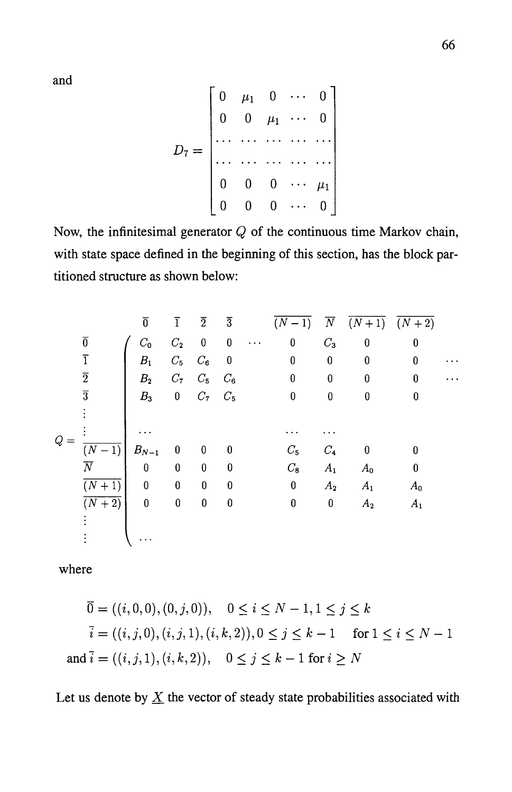and

$$
D_7 = \begin{bmatrix} 0 & \mu_1 & 0 & \cdots & 0 \\ 0 & 0 & \mu_1 & \cdots & 0 \\ \vdots & \vdots & \ddots & \vdots & \ddots & \vdots \\ 0 & 0 & 0 & \cdots & \mu_1 \\ 0 & 0 & 0 & \cdots & 0 \end{bmatrix}
$$

Now, the infinitesimal generator *Q* of the continuous time Markov chain, with state space defined in the beginning of this section, has the block partitioned structure as shown below:

|       |                    | $\overline{0}$ | $\overline{1}$          | $\overline{2}$    | $\overline{3}$           |           | $(N - 1)$        | $ \overline{N} $ | $(N+1)$ $(N+2)$  |                  |                         |
|-------|--------------------|----------------|-------------------------|-------------------|--------------------------|-----------|------------------|------------------|------------------|------------------|-------------------------|
|       | $\overline{0}$     | $C_0$          | $C_{2}$                 | $\bf{0}$          | $\bf{0}$                 | $\ddotsc$ | $\boldsymbol{0}$ | $C_3$            | $\boldsymbol{0}$ | $\bf{0}$         |                         |
|       | $\overline{1}$     | $B_1$          | $C_5$                   | $C_6$             | $\overline{\phantom{0}}$ |           | $\bf{0}$         | $\bf{0}$         | 0                | $\bf{0}$         |                         |
|       | $\overline{2}$     | B <sub>2</sub> |                         | $C_7$ $C_5$ $C_6$ |                          |           | $\boldsymbol{0}$ | $\boldsymbol{0}$ | $\bf{0}$         | 0                | $\bullet$ . $\bullet$ . |
|       | $\overline{3}$     | B <sub>3</sub> |                         | $0 \t C_7 \t C_5$ |                          |           | $\bf{0}$         | $\boldsymbol{0}$ | 0                | $\bf{0}$         |                         |
|       |                    |                |                         |                   |                          |           |                  |                  |                  |                  |                         |
| $Q$ : |                    |                |                         |                   |                          |           |                  |                  |                  |                  |                         |
|       | $\overline{(N-1)}$ | $B_{N-1}$      | $\overline{\mathbf{0}}$ | $\boldsymbol{0}$  | $\boldsymbol{0}$         |           | $C_5$            | $C_{4}$          | $\boldsymbol{0}$ | $\boldsymbol{0}$ |                         |
|       | $\overline{N}$     | $\bf{0}$       | $\pmb{0}$               | $\pmb{0}$         | $\boldsymbol{0}$         |           | $C_{8}$          | $A_{1}$          | $A_0$            | 0                |                         |
|       | $\overline{(N+1)}$ | $\bf{0}$       | $\bf{0}$                | $\bf{0}$          | $\bf{0}$                 |           | $\bf{0}$         | $A_2$            | $A_{1}$          | $A_0$            |                         |
|       | $\overline{(N+2)}$ | $\bf{0}$       | $\pmb{0}$               | $\pmb{0}$         | $\bf{0}$                 |           | $\bf{0}$         | $\bf{0}$         | A <sub>2</sub>   | $A_1$            |                         |
|       |                    |                |                         |                   |                          |           |                  |                  |                  |                  |                         |
|       |                    |                |                         |                   |                          |           |                  |                  |                  |                  |                         |

where

$$
\overline{0} = ((i, 0, 0), (0, j, 0)), \quad 0 \le i \le N - 1, 1 \le j \le k
$$
  

$$
\overline{i} = ((i, j, 0), (i, j, 1), (i, k, 2)), 0 \le j \le k - 1 \quad \text{for } 1 \le i \le N - 1
$$
  
and 
$$
\overline{i} = ((i, j, 1), (i, k, 2)), \quad 0 \le j \le k - 1 \text{ for } i \ge N
$$

Let us denote by  $\underline{X}$  the vector of steady state probabilities associated with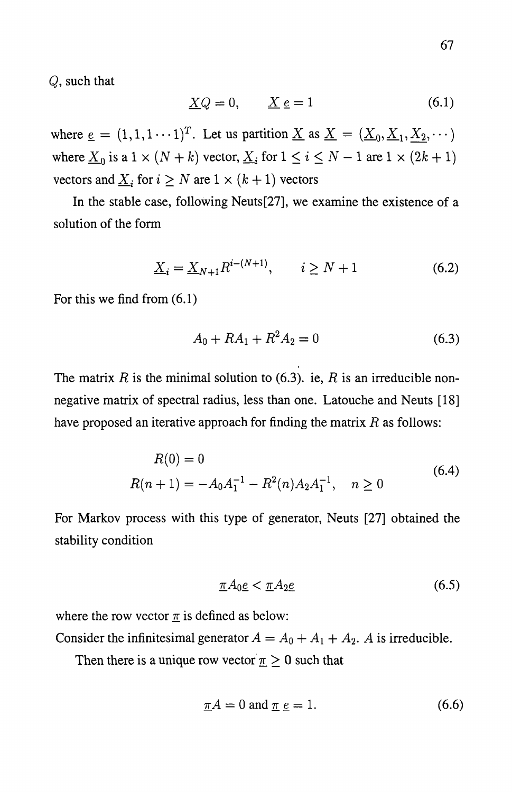*Q,* such that

$$
\underline{X}Q = 0, \qquad \underline{X} \underline{e} = 1 \tag{6.1}
$$

where  $\underline{e} = (1,1,1 \cdots 1)^T$ . Let us partition  $\underline{X}$  as  $\underline{X} = (\underline{X}_0, \underline{X}_1, \underline{X}_2, \cdots)$ where  $\underline{X}_0$  is a  $1 \times (N + k)$  vector,  $\underline{X}_i$  for  $1 \le i \le N - 1$  are  $1 \times (2k + 1)$ vectors and  $\underline{X}_i$  for  $i \geq N$  are  $1 \times (k+1)$  vectors

In the stable case, following Neuts[27], we examine the existence of a solution of the form

$$
\underline{X}_{i} = \underline{X}_{N+1} R^{i - (N+1)}, \qquad i \ge N+1 \tag{6.2}
$$

For this we find from (6.1)

$$
A_0 + RA_1 + R^2 A_2 = 0 \tag{6.3}
$$

The matrix  $R$  is the minimal solution to (6.3). ie,  $R$  is an irreducible nonnegative matrix of spectral radius, less than one. Latouche and Neuts [18] have proposed an iterative approach for finding the matrix *R* as follows:

$$
R(0) = 0
$$
  
 
$$
R(n + 1) = -A_0 A_1^{-1} - R^2(n) A_2 A_1^{-1}, \quad n \ge 0
$$
 (6.4)

For Markov process with this type of generator, Neuts [27] obtained the stability condition

$$
\underline{\pi}A_0 \underline{e} < \underline{\pi}A_2 \underline{e} \tag{6.5}
$$

where the row vector  $\pi$  is defined as below:

Consider the infinitesimal generator  $A = A_0 + A_1 + A_2$ . A is irreducible.

Then there is a unique row vector  $\pi \geq 0$  such that

$$
\underline{\pi}A = 0 \text{ and } \underline{\pi} \underline{e} = 1. \tag{6.6}
$$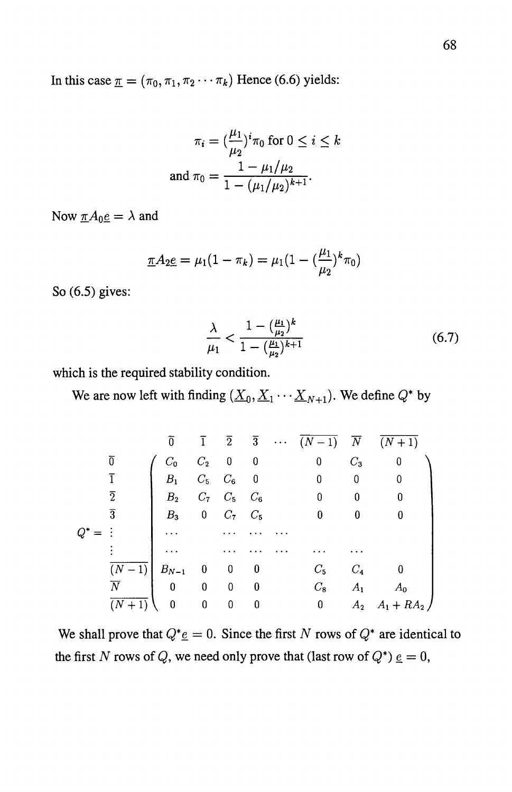In this case  $\pi = (\pi_0, \pi_1, \pi_2 \cdots \pi_k)$  Hence (6.6) yields:

$$
\pi_i = \left(\frac{\mu_1}{\mu_2}\right)^i \pi_0 \text{ for } 0 \le i \le k
$$
  
and 
$$
\pi_0 = \frac{1 - \mu_1/\mu_2}{1 - (\mu_1/\mu_2)^{k+1}}.
$$

Now  $\underline{\pi}A_0\underline{e} = \lambda$  and

$$
\underline{\pi}A_{2}\underline{e} = \mu_1(1-\pi_k) = \mu_1(1-(\frac{\mu_1}{\mu_2})^k \pi_0)
$$

So (6.5) gives:

$$
\frac{\lambda}{\mu_1} < \frac{1 - \left(\frac{\mu_1}{\mu_2}\right)^k}{1 - \left(\frac{\mu_1}{\mu_2}\right)^{k+1}}\tag{6.7}
$$

which is the required stability condition.

We are now left with finding  $(\underline{X}_0, \underline{X}_1 \cdots \underline{X}_{N+1})$ . We define  $Q^*$  by

|          |                              | $\overline{0}$                          | $\overline{1}$           |                          |                          | $\overline{2}$ $\overline{3}$ $\cdots$ $\overline{(N-1)}$ $\overline{N}$ $\overline{(N+1)}$ |                  |                        |
|----------|------------------------------|-----------------------------------------|--------------------------|--------------------------|--------------------------|---------------------------------------------------------------------------------------------|------------------|------------------------|
|          | $\overline{0}$               | $C_0$                                   |                          | $C_2$ 0 0                |                          | $\bf{0}$                                                                                    | $C_3$            | $\boldsymbol{0}$       |
|          |                              | $B_1$                                   |                          | $C_5$ $C_6$              | $\overline{\phantom{0}}$ | $\overline{\phantom{0}}$                                                                    | 0                | $\bf{0}$               |
|          | $\overline{2}$               | B <sub>2</sub>                          |                          | $C_7$ $C_5$ $C_6$        |                          | 0                                                                                           | $\boldsymbol{0}$ | $\bf{0}$               |
|          | $\overline{3}$               | $B_3$                                   |                          | 0 $C_7$ $C_5$            |                          | 0                                                                                           | $\bf{0}$         | $\bf{0}$               |
| $Q^\ast$ |                              |                                         |                          |                          |                          |                                                                                             |                  |                        |
|          |                              |                                         |                          |                          |                          |                                                                                             |                  |                        |
|          | $\overline{(N-1)}$ $B_{N-1}$ |                                         | $\overline{\phantom{0}}$ | $\overline{\mathbf{0}}$  | $\overline{\phantom{0}}$ | $C_5$                                                                                       | $C_4$            |                        |
|          | $\overline{N}$               | $\begin{matrix} 0 & 0 & 0 \end{matrix}$ |                          |                          | $\bf{0}$                 | $C_8$                                                                                       | $A_{1}$          | $A_0$                  |
|          | $(N + 1)$                    | $\mathbf{0}$                            | $\overline{\mathbf{0}}$  | $\overline{\phantom{0}}$ | $\boldsymbol{0}$         | 0                                                                                           |                  | $A_2 \quad A_1 + RA_2$ |

We shall prove that  $Q^* \underline{e} = 0$ . Since the first N rows of  $Q^*$  are identical to the first N rows of Q, we need only prove that (last row of  $Q^*$ )  $\underline{e} = 0$ ,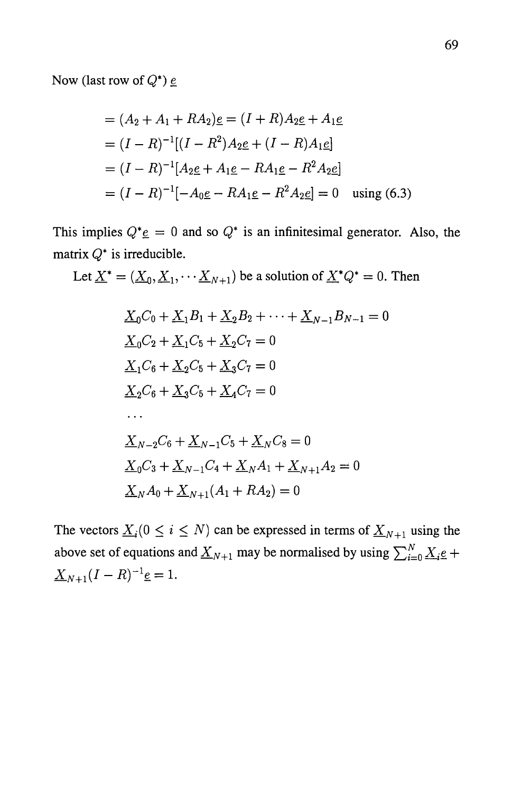Now (last row of  $Q^*$ )  $\underline{e}$ 

$$
= (A_2 + A_1 + RA_2)\underline{e} = (I + R)A_2\underline{e} + A_1\underline{e}
$$
  
=  $(I - R)^{-1}[(I - R^2)A_2\underline{e} + (I - R)A_1\underline{e}]$   
=  $(I - R)^{-1}[A_2\underline{e} + A_1\underline{e} - RA_1\underline{e} - R^2A_2\underline{e}]$   
=  $(I - R)^{-1}[-A_0\underline{e} - RA_1\underline{e} - R^2A_2\underline{e}] = 0$  using (6.3)

This implies  $Q^* \underline{e} = 0$  and so  $Q^*$  is an infinitesimal generator. Also, the matrix  $Q^*$  is irreducible.

Let 
$$
\underline{X}^* = (\underline{X}_0, \underline{X}_1, \cdots, \underline{X}_{N+1})
$$
 be a solution of  $\underline{X}^*Q^* = 0$ . Then

$$
\underline{X}_0 C_0 + \underline{X}_1 B_1 + \underline{X}_2 B_2 + \dots + \underline{X}_{N-1} B_{N-1} = 0
$$
  
\n
$$
\underline{X}_0 C_2 + \underline{X}_1 C_5 + \underline{X}_2 C_7 = 0
$$
  
\n
$$
\underline{X}_1 C_6 + \underline{X}_2 C_5 + \underline{X}_3 C_7 = 0
$$
  
\n
$$
\underline{X}_2 C_6 + \underline{X}_3 C_5 + \underline{X}_4 C_7 = 0
$$
  
\n
$$
\dots
$$
  
\n
$$
\underline{X}_{N-2} C_6 + \underline{X}_{N-1} C_5 + \underline{X}_N C_8 = 0
$$
  
\n
$$
\underline{X}_0 C_3 + \underline{X}_{N-1} C_4 + \underline{X}_N A_1 + \underline{X}_{N+1} A_2 = 0
$$
  
\n
$$
\underline{X}_N A_0 + \underline{X}_{N+1} (A_1 + R A_2) = 0
$$

The vectors  $\underline{X}_i (0 \le i \le N)$  can be expressed in terms of  $\underline{X}_{N+1}$  using the above set of equations and  $\underline{X}_{N+1}$  may be normalised by using  $\sum_{i=0}^{N} \underline{X}_{i}e +$  $\underline{X}_{N+1}(I - R)^{-1}$ <u>e</u> = 1.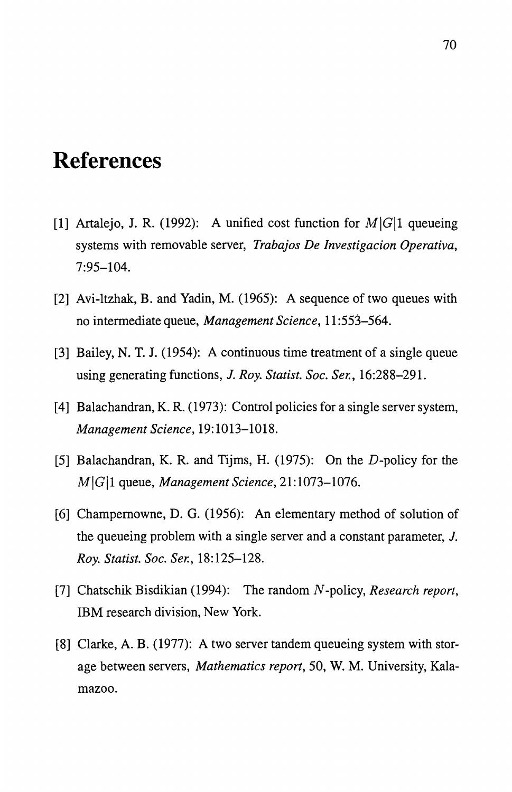## **References**

- [1] Artalejo, J. R. (1992): A unified cost function for  $M\vert G\vert 1$  queueing systems with removable server, *Trabajos De Investigacion Operativa,*  7:95-104.
- [2] Avi-ltzhak, B. and Yadin, M. (1965): A sequence of two queues with no intermediate queue, *Management Science,* 11 :553-564.
- [3] Bailey, N. T. J. (1954): A continuous time treatment of a single queue using generating functions, *1. Roy. Statist. Soc. Ser., 16:288-291.*
- [4] Balachandran, K. R. (1973): Control policies for a single server system, *Management Science,* 19: 1013-1018.
- [5] Balachandran, K. R. and Tijms, H. (1975): On the *D-policy* for the *M\G\1* queue, *Management Science, 21:1073-1076.*
- [6] Champemowne, D. G. (1956): An elementary method of solution of the queueing problem with a single server and a constant parameter, *1. Roy. Statist. Soc. Ser., 18:125-128.*
- [7] Chatschik Bisdikian (1994): The random *N* -policy, *Research report,*  IBM research division, New York.
- [8] Clarke, A. B. (1977): A two server tandem queueing system with storage between servers, *Mathematics report,* 50, W. M. University, Kalamazoo.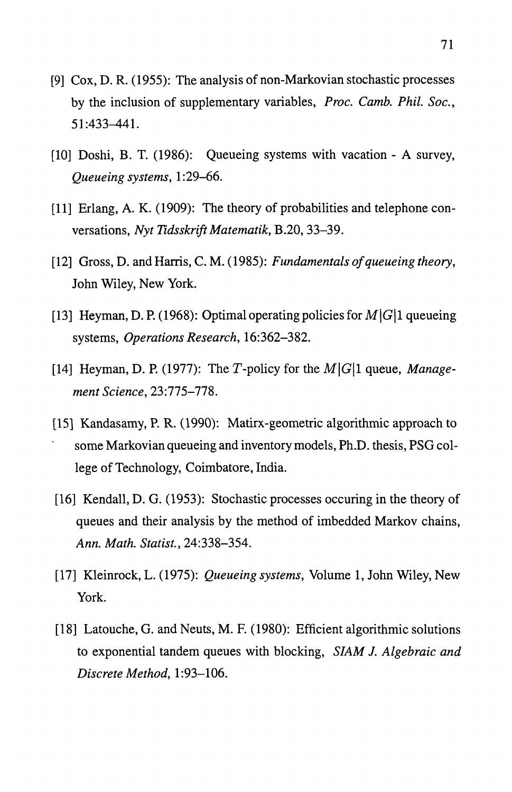- [9]  $Cox$ , D. R. (1955): The analysis of non-Markovian stochastic processes by the inclusion of supplementary variables, *Proc. Camb. Phil. Soc.,*  51:433-441.
- [10] Doshi, B. T. (1986): Queueing systems with vacation A survey, *Queueing systems, 1:29-66.*
- [11] Erlang, A. K. (1909): The theory of probabilities and telephone conversations, *Nyt Tidsskrift Matematik,* B.20, 33-39.
- [12] Gross, D. and Harris, C. M. (1985): *Fundamentals of queueing theory,*  John Wiley, New York.
- [13] Heyman, D. P. (1968): Optimal operating policies for  $M|G|1$  queueing systems, *Operations Research, 16:362-382.*
- [14] Heyman, D. P. (1977): The T-policy for the  $M|G|1$  queue, *Management Science, 23:775-778.*
- [151 Kandasamy, P. R. (1990): Matirx-geometric algorithmic approach to some Markovian queueing and inventory models, Ph.D. thesis, PSG college of Technology, Coimbatore, India.
- [16] Kendall, D. G. (1953): Stochastic processes occuring in the theory of queues and their analysis by the method of imbedded Markov chains, *Ann. Math. Statist., 24:338-354.*
- [17] Kleinrock, L. (1975): *Queueing systems,* Volume 1, John Wiley, New York.
- [18] Latouche, G. and Neuts, M. F. (1980): Efficient algorithmic solutions to exponential tandem queues with blocking, *SIAM* J. *Algebraic and Discrete Method, 1:93-106.*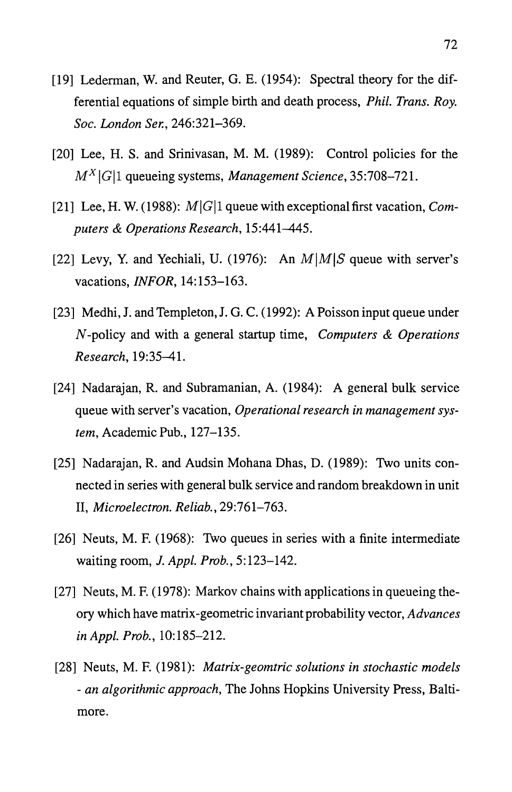- [19] Lederman, W. and Reuter, G. E. (1954): Spectral theory for the differential equations of simple birth and death process, *Phil. Trans. Roy. Soc. London Ser., 246:321-369.*
- [20] Lee, H. S. and Srinivasan, M. M. (1989): Control policies for the M X ICl1 queueing systems, *Management Science, 35:708-721.*
- [21] Lee, H. W. (1988): MICll queue with exceptional first vacation, *Computers* & *Operations Research, 15:441-445.*
- [22] Levy, Y. and Yechiali, U. (1976): An  $M/M/S$  queue with server's vacations, *INFOR, 14:153-163.*
- [23] Medhi, J. and Templeton, J. G. C. (1992): A Poisson input queue under N -policy and with a general startup time, *Computers* & *Operations Research, 19:35-41.*
- [24] Nadarajan, R. and Subramanian, A. (1984): A general bulk service queue with server's vacation, *Operational research in management system,* Academic Pub., 127-135.
- [25] Nadarajan, R. and Audsin Mohana Dhas, D. (1989): Two units connected in series with general bulk service and random breakdown in unit *11, Microelectron. Reliab., 29:761-763.*
- [26] Neuts, M. F. (1968): Two queues in series with a finite intermediate waiting room, J. *Appl. Prob., 5:123-142.*
- [27] Neuts, M. F. (1978): Markov chains with applications in queueing theory which have matrix -geometric invariant probability vector, *Advances in Appl. Prob.,* 10: 185-212.
- [28] Neuts, M. F. (1981): *Matrix-geomtric solutions in stochastic models - an algorithmic approach,* The Johns Hopkins University Press, Baltimore.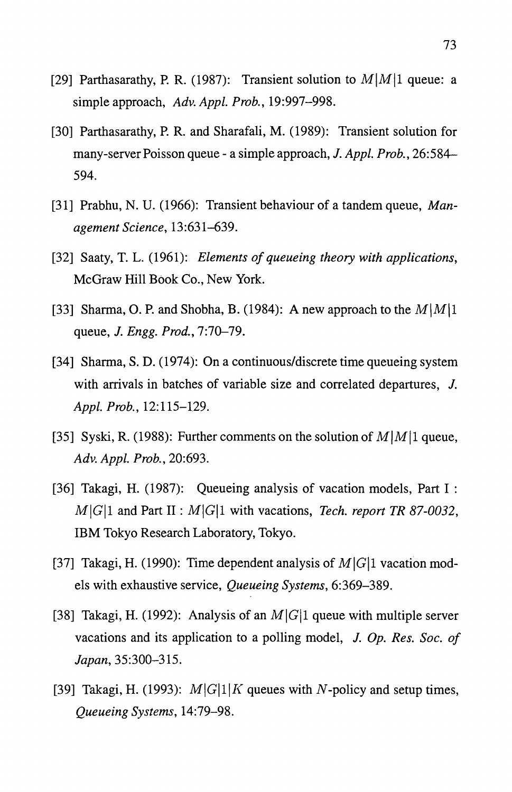- [29] Parthasarathy, P. R. (1987): Transient solution to  $M|M|1$  queue: a simple approach, *Adv. Appl. Prob., 19:997-998.*
- [30] Parthasarathy, P. R. and Sharafali, M. (1989): Transient solution for many-server Poisson queue - a simple approach, *J. Appl. Prob., 26:584-* 594.
- [31] Prabhu, N. U. (1966): Transient behaviour of a tandem queue, *Management Science, 13:631-639.*
- [32] Saaty, T. L. (1961): *Elements of queueing theory with applications,*  McGraw Hill Book Co., New York.
- [33] Sharma, O. P. and Shobha, B. (1984): A new approach to the  $M|M|1$ queue, *J. Engg. Prod., 7:70-79.*
- [34] Sharma, S. D. (1974): On a continuous/discrete time queueing system with arrivals in batches of variable size and correlated departures, J. *Appl. Prob., 12:115-129.*
- [35] Syski, R. (1988): Further comments on the solution of  $M|M|1$  queue, *Adv. Appl. Prob., 20:693.*
- [36] Takagi, H. (1987): Queueing analysis of vacation models, Part I :  $M|G|1$  and Part II :  $M|G|1$  with vacations, *Tech. report TR 87-0032*, IBM Tokyo Research Laboratory, Tokyo.
- [37] Takagi, H. (1990): Time dependent analysis of  $M|G|1$  vacation models with exhaustive service, *Queueing Systems, 6:369-389.*
- [38] Takagi, H. (1992): Analysis of an  $M|G|1$  queue with multiple server vacations and its application to a polling model, *J. Op. Res. Soc. of Japan,* 35:300-315.
- [39] Takagi, H. (1993):  $M|G|1|K$  queues with N-policy and setup times, *Queueing Systems, 14:79-98.*